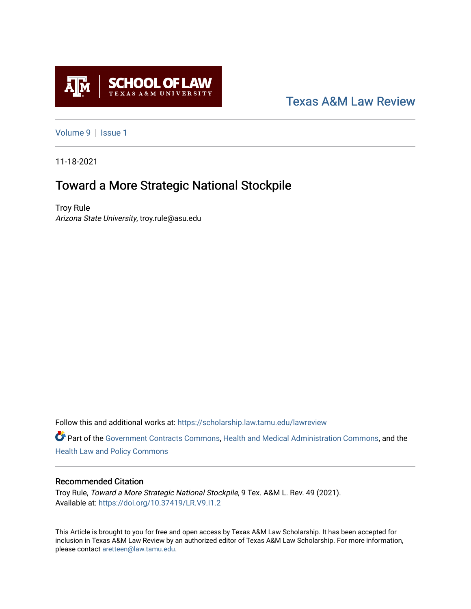

## [Texas A&M Law Review](https://scholarship.law.tamu.edu/lawreview)

[Volume 9](https://scholarship.law.tamu.edu/lawreview/vol9) | Issue 1

11-18-2021

# Toward a More Strategic National Stockpile

Troy Rule Arizona State University, troy.rule@asu.edu

Follow this and additional works at: [https://scholarship.law.tamu.edu/lawreview](https://scholarship.law.tamu.edu/lawreview?utm_source=scholarship.law.tamu.edu%2Flawreview%2Fvol9%2Fiss1%2F5&utm_medium=PDF&utm_campaign=PDFCoverPages)

Part of the [Government Contracts Commons,](http://network.bepress.com/hgg/discipline/845?utm_source=scholarship.law.tamu.edu%2Flawreview%2Fvol9%2Fiss1%2F5&utm_medium=PDF&utm_campaign=PDFCoverPages) [Health and Medical Administration Commons](http://network.bepress.com/hgg/discipline/663?utm_source=scholarship.law.tamu.edu%2Flawreview%2Fvol9%2Fiss1%2F5&utm_medium=PDF&utm_campaign=PDFCoverPages), and the [Health Law and Policy Commons](http://network.bepress.com/hgg/discipline/901?utm_source=scholarship.law.tamu.edu%2Flawreview%2Fvol9%2Fiss1%2F5&utm_medium=PDF&utm_campaign=PDFCoverPages) 

## Recommended Citation

Troy Rule, Toward a More Strategic National Stockpile, 9 Tex. A&M L. Rev. 49 (2021). Available at:<https://doi.org/10.37419/LR.V9.I1.2>

This Article is brought to you for free and open access by Texas A&M Law Scholarship. It has been accepted for inclusion in Texas A&M Law Review by an authorized editor of Texas A&M Law Scholarship. For more information, please contact [aretteen@law.tamu.edu.](mailto:aretteen@law.tamu.edu)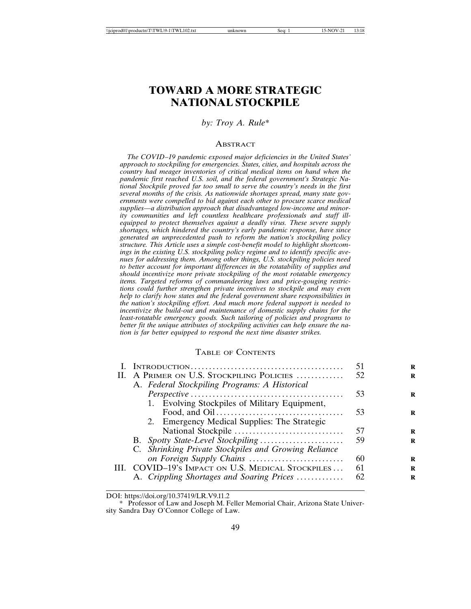## **TOWARD A MORE STRATEGIC NATIONAL STOCKPILE**

#### *by: Troy A. Rule\**

#### ABSTRACT

*The COVID–19 pandemic exposed major deficiencies in the United States' approach to stockpiling for emergencies. States, cities, and hospitals across the country had meager inventories of critical medical items on hand when the pandemic first reached U.S. soil, and the federal government's Strategic National Stockpile proved far too small to serve the country's needs in the first several months of the crisis. As nationwide shortages spread, many state governments were compelled to bid against each other to procure scarce medical supplies—a distribution approach that disadvantaged low-income and minor*ity communities and left countless healthcare professionals and staff ill*equipped to protect themselves against a deadly virus. These severe supply shortages, which hindered the country's early pandemic response, have since generated an unprecedented push to reform the nation's stockpiling policy structure. This Article uses a simple cost-benefit model to highlight shortcomings in the existing U.S. stockpiling policy regime and to identify specific avenues for addressing them. Among other things, U.S. stockpiling policies need to better account for important differences in the rotatability of supplies and should incentivize more private stockpiling of the most rotatable emergency items. Targeted reforms of commandeering laws and price-gouging restrictions could further strengthen private incentives to stockpile and may even help to clarify how states and the federal government share responsibilities in the nation's stockpiling effort. And much more federal support is needed to incentivize the build-out and maintenance of domestic supply chains for the least-rotatable emergency goods. Such tailoring of policies and programs to better fit the unique attributes of stockpiling activities can help ensure the nation is far better equipped to respond the next time disaster strikes.*

#### TABLE OF CONTENTS

|    |                                                      | 51  |
|----|------------------------------------------------------|-----|
| H. | A PRIMER ON U.S. STOCKPILING POLICIES                | 52. |
|    | A. Federal Stockpiling Programs: A Historical        |     |
|    |                                                      | 53  |
|    | 1. Evolving Stockpiles of Military Equipment,        |     |
|    |                                                      | 53  |
|    | 2. Emergency Medical Supplies: The Strategic         |     |
|    |                                                      | 57  |
|    |                                                      | 59  |
|    | C. Shrinking Private Stockpiles and Growing Reliance |     |
|    |                                                      | 60  |
|    | III. COVID-19's IMPACT ON U.S. MEDICAL STOCKPILES    | 61  |
|    | A. Crippling Shortages and Soaring Prices            | 62  |
|    |                                                      |     |

DOI: https://doi.org/10.37419/LR.V9.I1.2

<sup>\*</sup> Professor of Law and Joseph M. Feller Memorial Chair, Arizona State University Sandra Day O'Connor College of Law.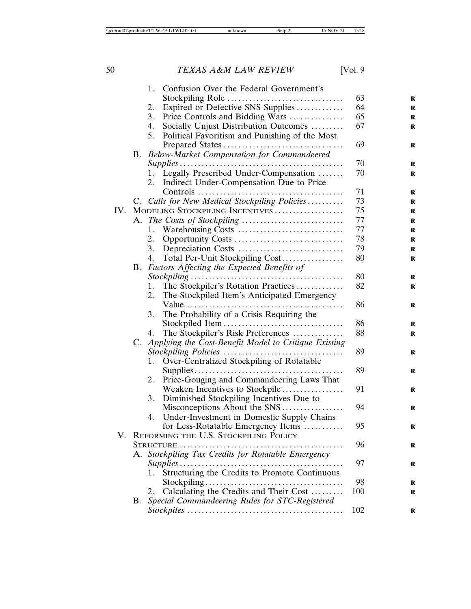|     |           |                                                    | 1. Confusion Over the Federal Government's              |     |
|-----|-----------|----------------------------------------------------|---------------------------------------------------------|-----|
|     |           |                                                    | Stockpiling Role                                        | 63  |
|     |           | 2.                                                 | Expired or Defective SNS Supplies                       | 64  |
|     |           | 3.                                                 | Price Controls and Bidding Wars                         | 65  |
|     |           | 4.                                                 | Socially Unjust Distribution Outcomes                   | 67  |
|     |           | 5.                                                 | Political Favoritism and Punishing of the Most          |     |
|     |           |                                                    |                                                         | 69  |
|     | B.        |                                                    | Below-Market Compensation for Commandeered              |     |
|     |           |                                                    |                                                         | 70  |
|     |           | 1.                                                 | Legally Prescribed Under-Compensation                   | 70  |
|     |           | 2.                                                 | Indirect Under-Compensation Due to Price                |     |
|     |           |                                                    |                                                         | 71  |
|     |           |                                                    | C. Calls for New Medical Stockpiling Policies           | 73  |
| IV. |           |                                                    | MODELING STOCKPILING INCENTIVES                         | 75  |
|     | A.        |                                                    |                                                         | 77  |
|     |           | 1.                                                 |                                                         | 77  |
|     |           |                                                    |                                                         | 78  |
|     |           | 2.<br>3.                                           |                                                         | 79  |
|     |           |                                                    |                                                         | 80  |
|     |           | 4.                                                 | Total Per-Unit Stockpiling Cost                         |     |
|     | <b>B.</b> |                                                    | Factors Affecting the Expected Benefits of              |     |
|     |           |                                                    |                                                         | 80  |
|     |           | 1.                                                 | The Stockpiler's Rotation Practices                     | 82  |
|     |           | 2.                                                 | The Stockpiled Item's Anticipated Emergency             |     |
|     |           |                                                    |                                                         | 86  |
|     |           | 3.                                                 | The Probability of a Crisis Requiring the               |     |
|     |           |                                                    |                                                         | 86  |
|     |           | 4.                                                 | The Stockpiler's Risk Preferences                       | 88  |
|     |           |                                                    | C. Applying the Cost-Benefit Model to Critique Existing |     |
|     |           |                                                    |                                                         | 89  |
|     |           | 1.                                                 | Over-Centralized Stockpiling of Rotatable               |     |
|     |           |                                                    |                                                         | 89  |
|     |           | 2.                                                 | Price-Gouging and Commandeering Laws That               |     |
|     |           |                                                    | Weaken Incentives to Stockpile                          | 91  |
|     |           | 3.                                                 | Diminished Stockpiling Incentives Due to                |     |
|     |           |                                                    | Misconceptions About the SNS                            | 94  |
|     |           | 4.                                                 | Under-Investment in Domestic Supply Chains              |     |
|     |           |                                                    | for Less-Rotatable Emergency Items                      | 95  |
|     |           |                                                    | V. REFORMING THE U.S. STOCKPILING POLICY                |     |
|     |           | STRUCTURE                                          | 96                                                      |     |
|     |           | A. Stockpiling Tax Credits for Rotatable Emergency |                                                         |     |
|     |           |                                                    | $Supplies \ldots \ldots$<br>.                           | 97  |
|     |           | 1.                                                 | Structuring the Credits to Promote Continuous           |     |
|     |           |                                                    |                                                         | 98  |
|     |           | 2.                                                 | Calculating the Credits and Their Cost                  | 100 |
|     | B.        |                                                    | Special Commandeering Rules for STC-Registered          |     |
|     |           |                                                    |                                                         | 102 |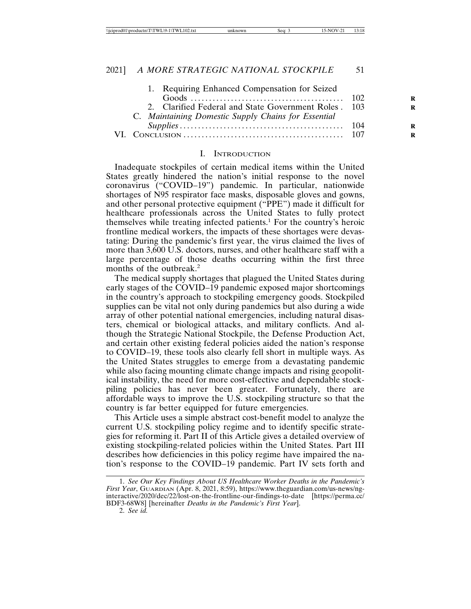| 1. Requiring Enhanced Compensation for Seized         |  |
|-------------------------------------------------------|--|
|                                                       |  |
| 2. Clarified Federal and State Government Roles . 103 |  |
| C. Maintaining Domestic Supply Chains for Essential   |  |
|                                                       |  |
|                                                       |  |
|                                                       |  |

#### I. INTRODUCTION

Inadequate stockpiles of certain medical items within the United States greatly hindered the nation's initial response to the novel coronavirus ("COVID–19") pandemic. In particular, nationwide shortages of N95 respirator face masks, disposable gloves and gowns, and other personal protective equipment ("PPE") made it difficult for healthcare professionals across the United States to fully protect themselves while treating infected patients.<sup>1</sup> For the country's heroic frontline medical workers, the impacts of these shortages were devastating: During the pandemic's first year, the virus claimed the lives of more than 3,600 U.S. doctors, nurses, and other healthcare staff with a large percentage of those deaths occurring within the first three months of the outbreak.<sup>2</sup>

The medical supply shortages that plagued the United States during early stages of the COVID–19 pandemic exposed major shortcomings in the country's approach to stockpiling emergency goods. Stockpiled supplies can be vital not only during pandemics but also during a wide array of other potential national emergencies, including natural disasters, chemical or biological attacks, and military conflicts. And although the Strategic National Stockpile, the Defense Production Act, and certain other existing federal policies aided the nation's response to COVID–19, these tools also clearly fell short in multiple ways. As the United States struggles to emerge from a devastating pandemic while also facing mounting climate change impacts and rising geopolitical instability, the need for more cost-effective and dependable stockpiling policies has never been greater. Fortunately, there are affordable ways to improve the U.S. stockpiling structure so that the country is far better equipped for future emergencies.

This Article uses a simple abstract cost-benefit model to analyze the current U.S. stockpiling policy regime and to identify specific strategies for reforming it. Part II of this Article gives a detailed overview of existing stockpiling-related policies within the United States. Part III describes how deficiencies in this policy regime have impaired the nation's response to the COVID–19 pandemic. Part IV sets forth and

<sup>1.</sup> *See Our Key Findings About US Healthcare Worker Deaths in the Pandemic's First Year*, GUARDIAN (Apr. 8, 2021, 8:59), https://www.theguardian.com/us-news/nginteractive/2020/dec/22/lost-on-the-frontline-our-findings-to-date [https://perma.cc/ BDF3-68W8] [hereinafter *Deaths in the Pandemic's First Year*].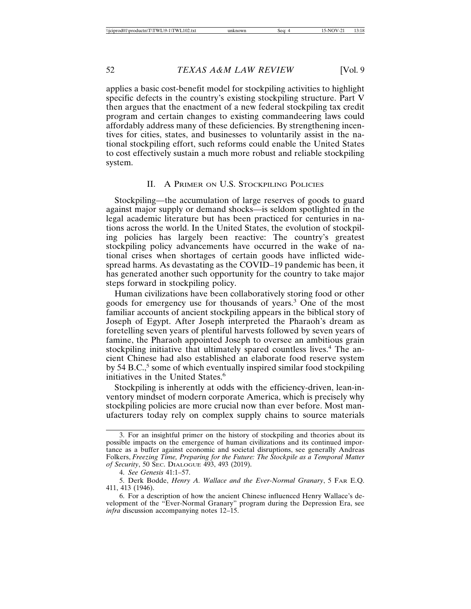applies a basic cost-benefit model for stockpiling activities to highlight specific defects in the country's existing stockpiling structure. Part V then argues that the enactment of a new federal stockpiling tax credit program and certain changes to existing commandeering laws could affordably address many of these deficiencies. By strengthening incentives for cities, states, and businesses to voluntarily assist in the national stockpiling effort, such reforms could enable the United States to cost effectively sustain a much more robust and reliable stockpiling system.

## II. A PRIMER ON U.S. STOCKPILING POLICIES

Stockpiling—the accumulation of large reserves of goods to guard against major supply or demand shocks—is seldom spotlighted in the legal academic literature but has been practiced for centuries in nations across the world. In the United States, the evolution of stockpiling policies has largely been reactive: The country's greatest stockpiling policy advancements have occurred in the wake of national crises when shortages of certain goods have inflicted widespread harms. As devastating as the COVID–19 pandemic has been, it has generated another such opportunity for the country to take major steps forward in stockpiling policy.

Human civilizations have been collaboratively storing food or other goods for emergency use for thousands of years.<sup>3</sup> One of the most familiar accounts of ancient stockpiling appears in the biblical story of Joseph of Egypt. After Joseph interpreted the Pharaoh's dream as foretelling seven years of plentiful harvests followed by seven years of famine, the Pharaoh appointed Joseph to oversee an ambitious grain stockpiling initiative that ultimately spared countless lives.<sup>4</sup> The ancient Chinese had also established an elaborate food reserve system by 54 B.C.,<sup>5</sup> some of which eventually inspired similar food stockpiling initiatives in the United States.<sup>6</sup>

Stockpiling is inherently at odds with the efficiency-driven, lean-inventory mindset of modern corporate America, which is precisely why stockpiling policies are more crucial now than ever before. Most manufacturers today rely on complex supply chains to source materials

<sup>3.</sup> For an insightful primer on the history of stockpiling and theories about its possible impacts on the emergence of human civilizations and its continued importance as a buffer against economic and societal disruptions, see generally Andreas Folkers, *Freezing Time, Preparing for the Future: The Stockpile as a Temporal Matter of Security*, 50 SEC. DIALOGUE 493, 493 (2019).

<sup>4.</sup> *See Genesis* 41:1–57.

<sup>5.</sup> Derk Bodde, *Henry A. Wallace and the Ever-Normal Granary*, 5 FAR E.Q. 411, 413 (1946).

<sup>6.</sup> For a description of how the ancient Chinese influenced Henry Wallace's development of the "Ever-Normal Granary" program during the Depression Era, see *infra* discussion accompanying notes 12–15.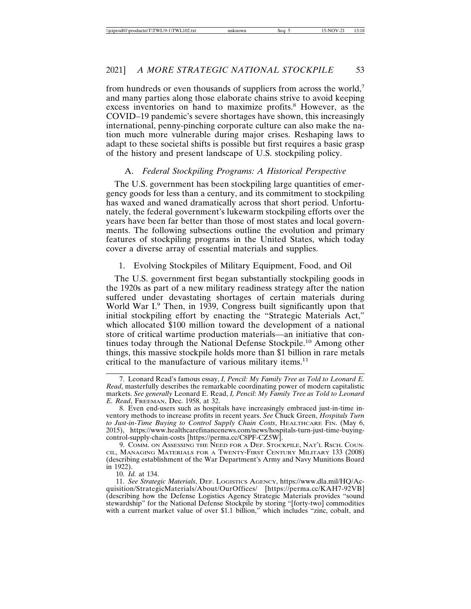from hundreds or even thousands of suppliers from across the world,<sup>7</sup> and many parties along those elaborate chains strive to avoid keeping excess inventories on hand to maximize profits.<sup>8</sup> However, as the COVID–19 pandemic's severe shortages have shown, this increasingly international, penny-pinching corporate culture can also make the nation much more vulnerable during major crises. Reshaping laws to adapt to these societal shifts is possible but first requires a basic grasp of the history and present landscape of U.S. stockpiling policy.

#### A. *Federal Stockpiling Programs: A Historical Perspective*

The U.S. government has been stockpiling large quantities of emergency goods for less than a century, and its commitment to stockpiling has waxed and waned dramatically across that short period. Unfortunately, the federal government's lukewarm stockpiling efforts over the years have been far better than those of most states and local governments. The following subsections outline the evolution and primary features of stockpiling programs in the United States, which today cover a diverse array of essential materials and supplies.

## 1. Evolving Stockpiles of Military Equipment, Food, and Oil

The U.S. government first began substantially stockpiling goods in the 1920s as part of a new military readiness strategy after the nation suffered under devastating shortages of certain materials during World War I.<sup>9</sup> Then, in 1939, Congress built significantly upon that initial stockpiling effort by enacting the "Strategic Materials Act," which allocated \$100 million toward the development of a national store of critical wartime production materials—an initiative that continues today through the National Defense Stockpile.<sup>10</sup> Among other things, this massive stockpile holds more than \$1 billion in rare metals critical to the manufacture of various military items. $11$ 

10. *Id.* at 134.

<sup>7.</sup> Leonard Read's famous essay, *I, Pencil: My Family Tree as Told to Leonard E. Read*, masterfully describes the remarkable coordinating power of modern capitalistic markets. *See generally* Leonard E. Read, *I, Pencil*: *My Family Tree as Told to Leonard E. Read*, FREEMAN, Dec. 1958, at 32.

<sup>8.</sup> Even end-users such as hospitals have increasingly embraced just-in-time inventory methods to increase profits in recent years. *See* Chuck Green, *Hospitals Turn to Just-in-Time Buying to Control Supply Chain Costs*, HEALTHCARE FIN. (May 6, 2015), https://www.healthcarefinancenews.com/news/hospitals-turn-just-time-buyingcontrol-supply-chain-costs [https://perma.cc/C8PF-CZ5W].

<sup>9.</sup> COMM. ON ASSESSING THE NEED FOR A DEF. STOCKPILE, NAT'L RSCH. COUN-CIL, MANAGING MATERIALS FOR A TWENTY-FIRST CENTURY MILITARY 133 (2008) (describing establishment of the War Department's Army and Navy Munitions Board in 1922).

<sup>11.</sup> *See Strategic Materials*, DEF. LOGISTICS AGENCY, https://www.dla.mil/HQ/Acquisition/StrategicMaterials/About/OurOffices/ [https://perma.cc/KAH7-92VB] (describing how the Defense Logistics Agency Strategic Materials provides "sound stewardship" for the National Defense Stockpile by storing "[forty-two] commodities with a current market value of over \$1.1 billion," which includes "zinc, cobalt, and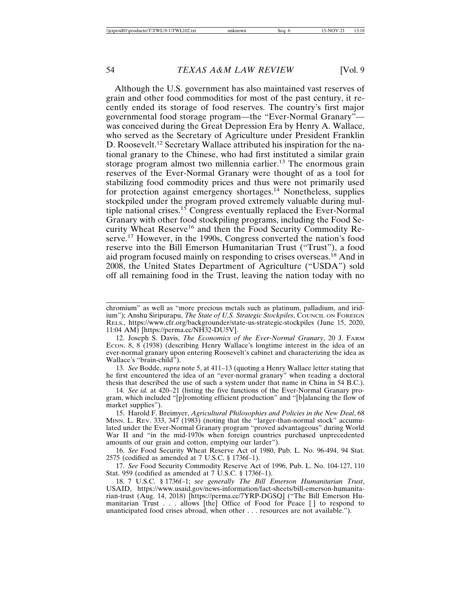Although the U.S. government has also maintained vast reserves of grain and other food commodities for most of the past century, it recently ended its storage of food reserves. The country's first major governmental food storage program—the "Ever-Normal Granary" was conceived during the Great Depression Era by Henry A. Wallace, who served as the Secretary of Agriculture under President Franklin D. Roosevelt.12 Secretary Wallace attributed his inspiration for the national granary to the Chinese, who had first instituted a similar grain storage program almost two millennia earlier.<sup>13</sup> The enormous grain reserves of the Ever-Normal Granary were thought of as a tool for stabilizing food commodity prices and thus were not primarily used for protection against emergency shortages.<sup>14</sup> Nonetheless, supplies stockpiled under the program proved extremely valuable during multiple national crises.<sup>15</sup> Congress eventually replaced the Ever-Normal Granary with other food stockpiling programs, including the Food Security Wheat Reserve<sup>16</sup> and then the Food Security Commodity Reserve.17 However, in the 1990s, Congress converted the nation's food reserve into the Bill Emerson Humanitarian Trust ("Trust"), a food aid program focused mainly on responding to crises overseas.<sup>18</sup> And in 2008, the United States Department of Agriculture ("USDA") sold off all remaining food in the Trust, leaving the nation today with no

13. *See* Bodde, *supra* note 5, at 411–13 (quoting a Henry Wallace letter stating that he first encountered the idea of an "ever-normal granary" when reading a doctoral thesis that described the use of such a system under that name in China in 54 B.C.).

14. *See id.* at 420–21 (listing the five functions of the Ever-Normal Granary program, which included "[p]romoting efficient production" and "[b]alancing the flow of market supplies").

17. *See* Food Security Commodity Reserve Act of 1996, Pub. L. No. 104-127, 110 Stat. 959 (codified as amended at 7 U.S.C. § 1736f–1).

chromium" as well as "more precious metals such as platinum, palladium, and iridium"); Anshu Siripurapu, *The State of U.S. Strategic Stockpiles*, COUNCIL ON FOREIGN RELS., https://www.cfr.org/backgrounder/state-us-strategic-stockpiles (June 15, 2020, 11:04 AM) [https://perma.cc/NH32-DU5V].

<sup>12.</sup> Joseph S. Davis, *The Economics of the Ever-Normal Granary*, 20 J. FARM ECON. 8,  $8(1938)$  (describing Henry Wallace's longtime interest in the idea of an ever-normal granary upon entering Roosevelt's cabinet and characterizing the idea as Wallace's "brain-child").

<sup>15.</sup> Harold F. Breimyer, *Agricultural Philosophies and Policies in the New Deal*, 68 MINN. L. REV. 333, 347 (1983) (noting that the "larger-than-normal stock" accumulated under the Ever-Normal Granary program "proved advantageous" during World War II and "in the mid-1970s when foreign countries purchased unprecedented amounts of our grain and cotton, emptying our larder").

<sup>16.</sup> *See* Food Security Wheat Reserve Act of 1980, Pub. L. No. 96-494, 94 Stat. 2575 (codified as amended at 7 U.S.C. § 1736f–1).

<sup>18. 7</sup> U.S.C. § 1736f–1; *see generally The Bill Emerson Humanitarian Trust*, USAID, https://www.usaid.gov/news-information/fact-sheets/bill-emerson-humanitarian-trust (Aug. 14, 2018) [https://perma.cc/7YRP-DGSQ] ("The Bill Emerson Humanitarian Trust . . . allows [the] Office of Food for Peace [ ] to respond to unanticipated food crises abroad, when other . . . resources are not available.").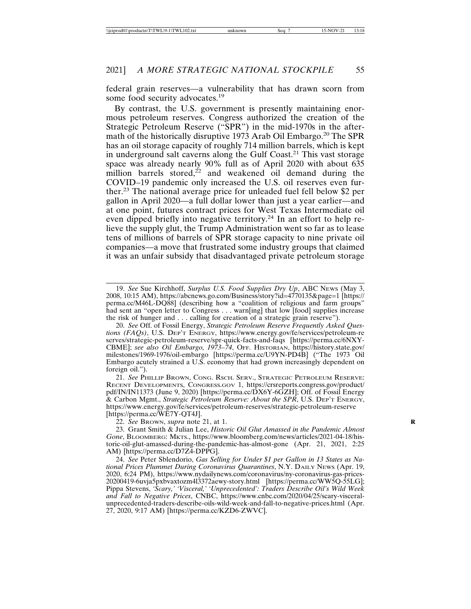federal grain reserves—a vulnerability that has drawn scorn from some food security advocates.<sup>19</sup>

By contrast, the U.S. government is presently maintaining enormous petroleum reserves. Congress authorized the creation of the Strategic Petroleum Reserve ("SPR") in the mid-1970s in the aftermath of the historically disruptive 1973 Arab Oil Embargo.<sup>20</sup> The SPR has an oil storage capacity of roughly 714 million barrels, which is kept in underground salt caverns along the Gulf Coast.21 This vast storage space was already nearly 90% full as of April 2020 with about 635 million barrels stored, $^{22}$  and weakened oil demand during the COVID–19 pandemic only increased the U.S. oil reserves even further.23 The national average price for unleaded fuel fell below \$2 per gallon in April 2020—a full dollar lower than just a year earlier—and at one point, futures contract prices for West Texas Intermediate oil even dipped briefly into negative territory.<sup>24</sup> In an effort to help relieve the supply glut, the Trump Administration went so far as to lease tens of millions of barrels of SPR storage capacity to nine private oil companies—a move that frustrated some industry groups that claimed it was an unfair subsidy that disadvantaged private petroleum storage

22. *See* BROWN, *supra* note 21, at 1. **R**

23. Grant Smith & Julian Lee, *Historic Oil Glut Amassed in the Pandemic Almost Gone*, BLOOMBERG: MKTS., https://www.bloomberg.com/news/articles/2021-04-18/historic-oil-glut-amassed-during-the-pandemic-has-almost-gone (Apr. 21, 2021, 2:25 AM) [https://perma.cc/D7Z4-DPPG].

24. *See* Peter Sblendorio, *Gas Selling for Under \$1 per Gallon in 13 States as National Prices Plummet During Coronavirus Quarantines*, N.Y. DAILY NEWS (Apr. 19, 2020, 6:24 PM), https://www.nydailynews.com/coronavirus/ny-coronavirus-gas-prices-20200419-6uvja5pxbvaxtozm4l3372aewy-story.html [https://perma.cc/WW5Q-55LG]; Pippa Stevens, *'Scary,' 'Visceral,' 'Unprecedented': Traders Describe Oil's Wild Week and Fall to Negative Prices*, CNBC, https://www.cnbc.com/2020/04/25/scary-visceralunprecedented-traders-describe-oils-wild-week-and-fall-to-negative-prices.html (Apr. 27, 2020, 9:17 AM) [https://perma.cc/KZD6-ZWVC].

<sup>19.</sup> *See* Sue Kirchhoff, *Surplus U.S. Food Supplies Dry Up*, ABC NEWS (May 3, 2008, 10:15 AM), https://abcnews.go.com/Business/story?id=4770135&page=1 [https:// perma.cc/M46L-DQ88] (describing how a "coalition of religious and farm groups" had sent an "open letter to Congress . . . warn[ing] that low [food] supplies increase the risk of hunger and . . . calling for creation of a strategic grain reserve").

<sup>20.</sup> *See* Off. of Fossil Energy, *Strategic Petroleum Reserve Frequently Asked Questions (FAQs)*, U.S. DEP'T ENERGY, https://www.energy.gov/fe/services/petroleum-re serves/strategic-petroleum-reserve/spr-quick-facts-and-faqs [https://perma.cc/6NXY-CBME]; *see also Oil Embargo, 1973–74*, OFF. HISTORIAN, https://history.state.gov/ milestones/1969-1976/oil-embargo [https://perma.cc/U9YN-PD4B] ("The 1973 Oil Embargo acutely strained a U.S. economy that had grown increasingly dependent on foreign oil.").

<sup>21.</sup> *See* PHILLIP BROWN, CONG. RSCH. SERV., STRATEGIC PETROLEUM RESERVE: RECENT DEVELOPMENTS, CONGRESS.GOV 1, https://crsreports.congress.gov/product/ pdf/IN/IN11373 (June 9, 2020) [https://perma.cc/DX6Y-6GZH]; Off. of Fossil Energy & Carbon Mgmt., *Strategic Petroleum Reserve: About the SPR*, U.S. DEP'T ENERGY, https://www.energy.gov/fe/services/petroleum-reserves/strategic-petroleum-reserve [https://perma.cc/WE7Y-QT4J].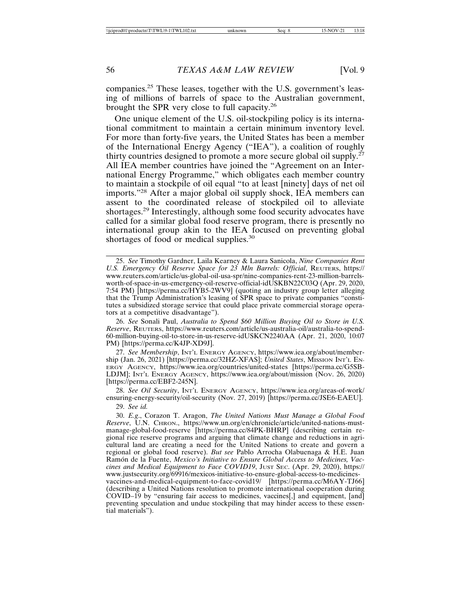companies.25 These leases, together with the U.S. government's leasing of millions of barrels of space to the Australian government, brought the SPR very close to full capacity.<sup>26</sup>

One unique element of the U.S. oil-stockpiling policy is its international commitment to maintain a certain minimum inventory level. For more than forty-five years, the United States has been a member of the International Energy Agency ("IEA"), a coalition of roughly thirty countries designed to promote a more secure global oil supply.<sup> $27$ </sup> All IEA member countries have joined the "Agreement on an International Energy Programme," which obligates each member country to maintain a stockpile of oil equal "to at least [ninety] days of net oil imports."28 After a major global oil supply shock, IEA members can assent to the coordinated release of stockpiled oil to alleviate shortages.29 Interestingly, although some food security advocates have called for a similar global food reserve program, there is presently no international group akin to the IEA focused on preventing global shortages of food or medical supplies.<sup>30</sup>

26. *See* Sonali Paul, *Australia to Spend \$60 Million Buying Oil to Store in U.S. Reserve*, REUTERS, https://www.reuters.com/article/us-australia-oil/australia-to-spend-60-million-buying-oil-to-store-in-us-reserve-idUSKCN2240AA (Apr. 21, 2020, 10:07 PM) [https://perma.cc/K4JP-XD9J].

27. *See Membership*, INT'L ENERGY AGENCY, https://www.iea.org/about/membership (Jan. 26, 2021) [https://perma.cc/32HZ-XFAS]; *United States*, MISSION INT'L EN-ERGY AGENCY, https://www.iea.org/countries/united-states [https://perma.cc/G5SB-LDJM]; INT'L ENERGY AGENCY, https://www.iea.org/about/mission (NOV. 26, 2020) [https://perma.cc/EBF2-245N].

28. *See Oil Security*, INT'L ENERGY AGENCY, https://www.iea.org/areas-of-work/ ensuring-energy-security/oil-security (Nov. 27, 2019) [https://perma.cc/JSE6-EAEU].

29. *See id.*

30. *E.g*., Corazon T. Aragon, *The United Nations Must Manage a Global Food Reserve*, U.N. CHRON., https://www.un.org/en/chronicle/article/united-nations-mustmanage-global-food-reserve [https://perma.cc/84PK-BHRP] (describing certain regional rice reserve programs and arguing that climate change and reductions in agricultural land are creating a need for the United Nations to create and govern a regional or global food reserve). *But see* Pablo Arrocha Olabuenaga & H.E. Juan Ramón de la Fuente, *Mexico's Initiative to Ensure Global Access to Medicines, Vaccines and Medical Equipment to Face COVID19*, JUST SEC. (Apr. 29, 2020), https:// www.justsecurity.org/69916/mexicos-initiative-to-ensure-global-access-to-medicinesvaccines-and-medical-equipment-to-face-covid19/ [https://perma.cc/M6AY-TJ66] (describing a United Nations resolution to promote international cooperation during COVID–19 by "ensuring fair access to medicines, vaccines[,] and equipment, [and] preventing speculation and undue stockpiling that may hinder access to these essential materials").

<sup>25.</sup> *See* Timothy Gardner, Laila Kearney & Laura Sanicola, *Nine Companies Rent U.S. Emergency Oil Reserve Space for 23 Mln Barrels: Official*, REUTERS, https:// www.reuters.com/article/us-global-oil-usa-spr/nine-companies-rent-23-million-barrelsworth-of-space-in-us-emergency-oil-reserve-official-idUSKBN22C03Q (Apr. 29, 2020, 7:54 PM) [https://perma.cc/HYB5-2WV9] (quoting an industry group letter alleging that the Trump Administration's leasing of SPR space to private companies "constitutes a subsidized storage service that could place private commercial storage operators at a competitive disadvantage").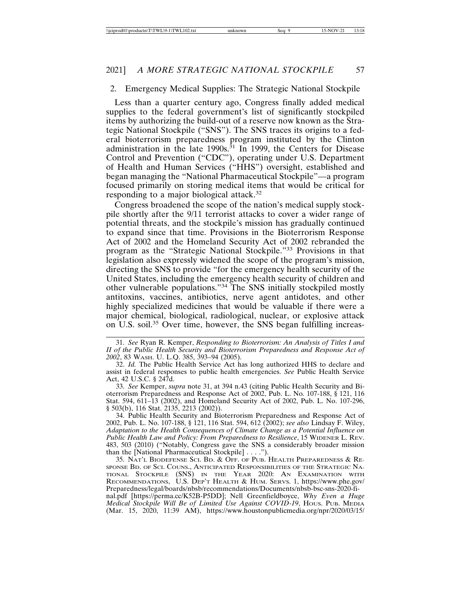### 2. Emergency Medical Supplies: The Strategic National Stockpile

Less than a quarter century ago, Congress finally added medical supplies to the federal government's list of significantly stockpiled items by authorizing the build-out of a reserve now known as the Strategic National Stockpile ("SNS"). The SNS traces its origins to a federal bioterrorism preparedness program instituted by the Clinton administration in the late  $1990s$ .<sup>31</sup> In 1999, the Centers for Disease Control and Prevention ("CDC"), operating under U.S. Department of Health and Human Services ("HHS") oversight, established and began managing the "National Pharmaceutical Stockpile"—a program focused primarily on storing medical items that would be critical for responding to a major biological attack.<sup>32</sup>

Congress broadened the scope of the nation's medical supply stockpile shortly after the 9/11 terrorist attacks to cover a wider range of potential threats, and the stockpile's mission has gradually continued to expand since that time. Provisions in the Bioterrorism Response Act of 2002 and the Homeland Security Act of 2002 rebranded the program as the "Strategic National Stockpile."33 Provisions in that legislation also expressly widened the scope of the program's mission, directing the SNS to provide "for the emergency health security of the United States, including the emergency health security of children and other vulnerable populations."34 The SNS initially stockpiled mostly antitoxins, vaccines, antibiotics, nerve agent antidotes, and other highly specialized medicines that would be valuable if there were a major chemical, biological, radiological, nuclear, or explosive attack on U.S. soil.35 Over time, however, the SNS began fulfilling increas-

33. *See* Kemper, *supra* note 31, at 394 n.43 (citing Public Health Security and Bioterrorism Preparedness and Response Act of 2002, Pub. L. No. 107-188, § 121, 116 Stat. 594, 611–13 (2002), and Homeland Security Act of 2002, Pub. L. No. 107-296, § 503(b), 116 Stat. 2135, 2213 (2002)).

34. Public Health Security and Bioterrorism Preparedness and Response Act of 2002, Pub. L. No. 107-188, § 121, 116 Stat. 594, 612 (2002); *see also* Lindsay F. Wiley, *Adaptation to the Health Consequences of Climate Change as a Potential Influence on Public Health Law and Policy: From Preparedness to Resilience*, 15 WIDENER L. REV. 483, 503 (2010) ("Notably, Congress gave the SNS a considerably broader mission than the [National Pharmaceutical Stockpile] . . . .").

35. NAT'L BIODEFENSE SCI. BD. & OFF. OF PUB. HEALTH PREPAREDNESS & RE-SPONSE BD. OF SCI. COUNS., ANTICIPATED RESPONSIBILITIES OF THE STRATEGIC NA-TIONAL STOCKPILE (SNS) IN THE YEAR 2020: AN EXAMINATION WITH RECOMMENDATIONS, U.S. DEP'T HEALTH & HUM. SERVS. 1, https://www.phe.gov/ Preparedness/legal/boards/nbsb/recommendations/Documents/nbsb-bsc-sns-2020-final.pdf [https://perma.cc/K52B-P5DD]; Nell Greenfieldboyce, *Why Even a Huge Medical Stockpile Will Be of Limited Use Against COVID-19*, HOUS. PUB. MEDIA (Mar. 15, 2020, 11:39 AM), https://www.houstonpublicmedia.org/npr/2020/03/15/

<sup>31.</sup> *See* Ryan R. Kemper, *Responding to Bioterrorism: An Analysis of Titles I and II of the Public Health Security and Bioterrorism Preparedness and Response Act of 2002*, 83 WASH. U. L.Q. 385, 393–94 (2005).

<sup>32.</sup> *Id.* The Public Health Service Act has long authorized HHS to declare and assist in federal responses to public health emergencies. *See* Public Health Service Act, 42 U.S.C. § 247d.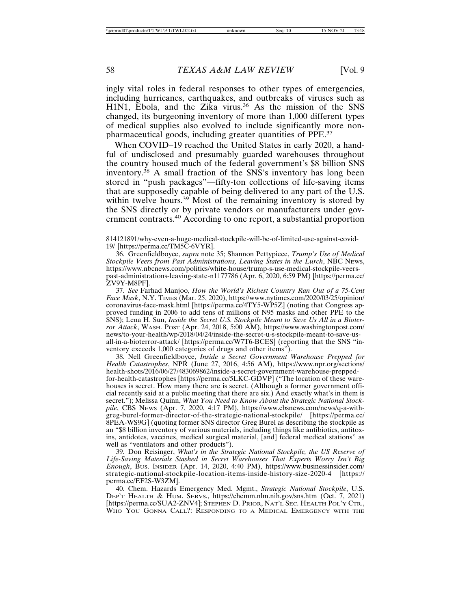ingly vital roles in federal responses to other types of emergencies, including hurricanes, earthquakes, and outbreaks of viruses such as H1N1, Ebola, and the Zika virus.<sup>36</sup> As the mission of the SNS changed, its burgeoning inventory of more than 1,000 different types of medical supplies also evolved to include significantly more nonpharmaceutical goods, including greater quantities of PPE.<sup>37</sup>

When COVID–19 reached the United States in early 2020, a handful of undisclosed and presumably guarded warehouses throughout the country housed much of the federal government's \$8 billion SNS inventory.<sup>38</sup> A small fraction of the SNS's inventory has long been stored in "push packages"—fifty-ton collections of life-saving items that are supposedly capable of being delivered to any part of the U.S. within twelve hours.<sup>39</sup> Most of the remaining inventory is stored by the SNS directly or by private vendors or manufacturers under government contracts.40 According to one report, a substantial proportion

36. Greenfieldboyce, *supra* note 35; Shannon Pettypiece, *Trump's Use of Medical Stockpile Veers from Past Administrations, Leaving States in the Lurch*, NBC NEWS, https://www.nbcnews.com/politics/white-house/trump-s-use-medical-stockpile-veerspast-administrations-leaving-state-n1177786 (Apr. 6, 2020, 6:59 PM) [https://perma.cc/ ZV9Y-M8PF].

37. *See* Farhad Manjoo, *How the World's Richest Country Ran Out of a 75-Cent Face Mask*, N.Y. TIMES (Mar. 25, 2020), https://www.nytimes.com/2020/03/25/opinion/ coronavirus-face-mask.html [https://perma.cc/4TY5-WP5Z] (noting that Congress approved funding in 2006 to add tens of millions of N95 masks and other PPE to the SNS); Lena H. Sun, *Inside the Secret U.S. Stockpile Meant to Save Us All in a Bioterror Attack*, WASH. POST (Apr. 24, 2018, 5:00 AM), https://www.washingtonpost.com/ news/to-your-health/wp/2018/04/24/inside-the-secret-u-s-stockpile-meant-to-save-usall-in-a-bioterror-attack/ [https://perma.cc/W7T6-BCES] (reporting that the SNS "inventory exceeds 1,000 categories of drugs and other items").

38. Nell Greenfieldboyce, *Inside a Secret Government Warehouse Prepped for Health Catastrophes*, NPR (June 27, 2016, 4:56 AM), https://www.npr.org/sections/ health-shots/2016/06/27/483069862/inside-a-secret-government-warehouse-preppedfor-health-catastrophes [https://perma.cc/5LKC-GDVP] ("The location of these warehouses is secret. How many there are is secret. (Although a former government official recently said at a public meeting that there are six.) And exactly what's in them is secret."); Melissa Quinn, *What You Need to Know About the Strategic National Stockpile*, CBS NEWS (Apr. 7, 2020, 4:17 PM), https://www.cbsnews.com/news/q-a-withgreg-burel-former-director-of-the-strategic-national-stockpile/ [https://perma.cc/ 8PEA-WS9G] (quoting former SNS director Greg Burel as describing the stockpile as an "\$8 billion inventory of various materials, including things like antibiotics, antitoxins, antidotes, vaccines, medical surgical material, [and] federal medical stations" as well as "ventilators and other products").

39. Don Reisinger, *What's in the Strategic National Stockpile, the US Reserve of Life-Saving Materials Stashed in Secret Warehouses That Experts Worry Isn't Big Enough*, BUS. INSIDER (Apr. 14, 2020, 4:40 PM), https://www.businessinsider.com/ strategic-national-stockpile-location-items-inside-history-size-2020-4 [https:// perma.cc/EF2S-W3ZM].

40. Chem. Hazards Emergency Med. Mgmt., *Strategic National Stockpile*, U.S. DEP'T HEALTH & HUM. SERVS., https://chemm.nlm.nih.gov/sns.htm (Oct. 7, 2021) [https://perma.cc/SUA2-ZNV4]; STEPHEN D. PRIOR, NAT'L SEC. HEALTH POL'Y CTR., WHO YOU GONNA CALL?: RESPONDING TO A MEDICAL EMERGENCY WITH THE

<sup>814121891/</sup>why-even-a-huge-medical-stockpile-will-be-of-limited-use-against-covid-19/ [https://perma.cc/TM5C-6VYR].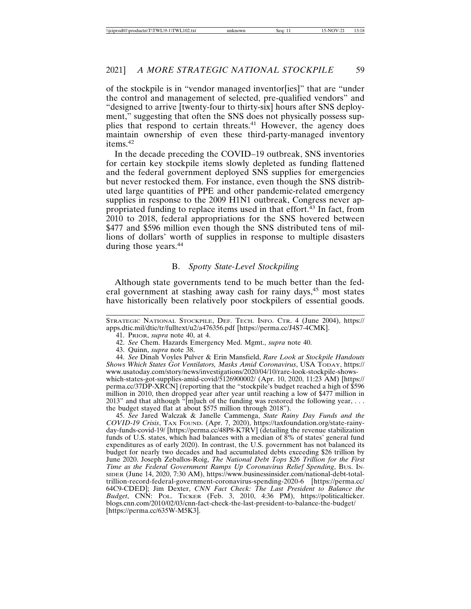of the stockpile is in "vendor managed inventor[ies]" that are "under the control and management of selected, pre-qualified vendors" and "designed to arrive [twenty-four to thirty-six] hours after SNS deployment," suggesting that often the SNS does not physically possess supplies that respond to certain threats.<sup>41</sup> However, the agency does maintain ownership of even these third-party-managed inventory items.42

In the decade preceding the COVID–19 outbreak, SNS inventories for certain key stockpile items slowly depleted as funding flattened and the federal government deployed SNS supplies for emergencies but never restocked them. For instance, even though the SNS distributed large quantities of PPE and other pandemic-related emergency supplies in response to the 2009 H1N1 outbreak, Congress never appropriated funding to replace items used in that effort. $43$  In fact, from 2010 to 2018, federal appropriations for the SNS hovered between \$477 and \$596 million even though the SNS distributed tens of millions of dollars' worth of supplies in response to multiple disasters during those years.<sup>44</sup>

#### B. *Spotty State-Level Stockpiling*

Although state governments tend to be much better than the federal government at stashing away cash for rainy days,<sup>45</sup> most states have historically been relatively poor stockpilers of essential goods.

43. Quinn, *supra* note 38.

44. *See* Dinah Voyles Pulver & Erin Mansfield, *Rare Look at Stockpile Handouts Shows Which States Got Ventilators, Masks Amid Coronavirus*, USA TODAY, https:// www.usatoday.com/story/news/investigations/2020/04/10/rare-look-stockpile-showswhich-states-got-supplies-amid-covid/5126900002/ (Apr. 10, 2020, 11:23 AM) [https:// perma.cc/37DP-XRCN] (reporting that the "stockpile's budget reached a high of \$596 million in 2010, then dropped year after year until reaching a low of \$477 million in 2013" and that although "[m]uch of the funding was restored the following year, . . . the budget stayed flat at about \$575 million through 2018").

45. *See* Jared Walczak & Janelle Cammenga, *State Rainy Day Funds and the COVID-19 Crisis*, TAX FOUND. (Apr. 7, 2020), https://taxfoundation.org/state-rainyday-funds-covid-19/ [https://perma.cc/48P8-K7RV] (detailing the revenue stabilization funds of U.S. states, which had balances with a median of 8% of states' general fund expenditures as of early 2020). In contrast, the U.S. government has not balanced its budget for nearly two decades and had accumulated debts exceeding \$26 trillion by June 2020. Joseph Zeballos-Roig, *The National Debt Tops \$26 Trillion for the First Time as the Federal Government Ramps Up Coronavirus Relief Spending*, BUS. IN-SIDER (June 14, 2020, 7:30 AM), https://www.businessinsider.com/national-debt-totaltrillion-record-federal-government-coronavirus-spending-2020-6 [https://perma.cc/ 64C9-CDED]; Jim Dexter, *CNN Fact Check: The Last President to Balance the Budget*, CNN: POL. TICKER (Feb. 3, 2010, 4:36 PM), https://politicalticker. blogs.cnn.com/2010/02/03/cnn-fact-check-the-last-president-to-balance-the-budget/ [https://perma.cc/635W-M5K3].

STRATEGIC NATIONAL STOCKPILE, DEF. TECH. INFO. CTR. 4 (June 2004), https:// apps.dtic.mil/dtic/tr/fulltext/u2/a476356.pdf [https://perma.cc/J4S7-4CMK].

<sup>41.</sup> PRIOR, *supra* note 40, at 4.

<sup>42.</sup> *See* Chem. Hazards Emergency Med. Mgmt., *supra* note 40.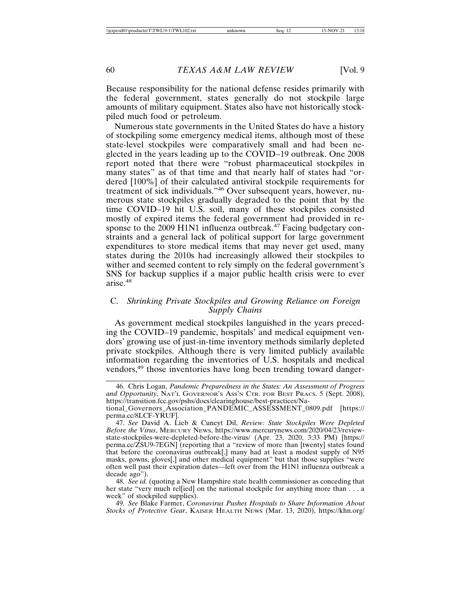Because responsibility for the national defense resides primarily with the federal government, states generally do not stockpile large amounts of military equipment. States also have not historically stockpiled much food or petroleum.

Numerous state governments in the United States do have a history of stockpiling some emergency medical items, although most of these state-level stockpiles were comparatively small and had been neglected in the years leading up to the COVID–19 outbreak. One 2008 report noted that there were "robust pharmaceutical stockpiles in many states" as of that time and that nearly half of states had "ordered [100%] of their calculated antiviral stockpile requirements for treatment of sick individuals."46 Over subsequent years, however, numerous state stockpiles gradually degraded to the point that by the time COVID–19 hit U.S. soil, many of these stockpiles consisted mostly of expired items the federal government had provided in response to the 2009 H1N1 influenza outbreak.<sup>47</sup> Facing budgetary constraints and a general lack of political support for large government expenditures to store medical items that may never get used, many states during the 2010s had increasingly allowed their stockpiles to wither and seemed content to rely simply on the federal government's SNS for backup supplies if a major public health crisis were to ever arise.48

## C. *Shrinking Private Stockpiles and Growing Reliance on Foreign Supply Chains*

As government medical stockpiles languished in the years preceding the COVID–19 pandemic, hospitals' and medical equipment vendors' growing use of just-in-time inventory methods similarly depleted private stockpiles. Although there is very limited publicly available information regarding the inventories of U.S. hospitals and medical vendors,<sup>49</sup> those inventories have long been trending toward danger-

48. *See id.* (quoting a New Hampshire state health commissioner as conceding that her state "very much rel[ied] on the national stockpile for anything more than . . . a week" of stockpiled supplies).

49. *See* Blake Farmer, *Coronavirus Pushes Hospitals to Share Information About Stocks of Protective Gear*, KAISER HEALTH NEWS (Mar. 13, 2020), https://khn.org/

<sup>46.</sup> Chris Logan, *Pandemic Preparedness in the States: An Assessment of Progress and Opportunity*, NAT'L GOVERNOR'S ASS'N CTR. FOR BEST PRACS. 5 (Sept. 2008), https://transition.fcc.gov/pshs/docs/clearinghouse/best-practices/National\_Governors\_Association\_PANDEMIC\_ASSESSMENT\_0809.pdf [https:// perma.cc/8LCF-YRUF].

<sup>47.</sup> *See* David A. Lieb & Cuneyt Dil, *Review: State Stockpiles Were Depleted Before the Virus*, MERCURY NEWS, https://www.mercurynews.com/2020/04/23/reviewstate-stockpiles-were-depleted-before-the-virus/ (Apr. 23, 2020, 3:33 PM) [https:// perma.cc/ZSU9-7EGN] (reporting that a "review of more than [twenty] states found that before the coronavirus outbreak[,] many had at least a modest supply of N95 masks, gowns, gloves[,] and other medical equipment" but that those supplies "were often well past their expiration dates—left over from the H1N1 influenza outbreak a decade ago").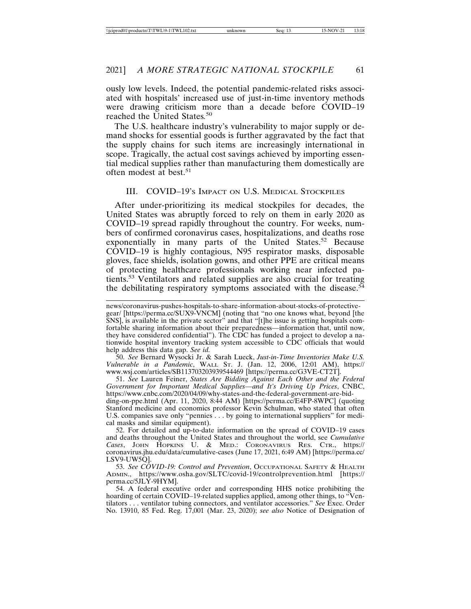ously low levels. Indeed, the potential pandemic-related risks associated with hospitals' increased use of just-in-time inventory methods were drawing criticism more than a decade before COVID–19 reached the United States*.* 50

The U.S. healthcare industry's vulnerability to major supply or demand shocks for essential goods is further aggravated by the fact that the supply chains for such items are increasingly international in scope. Tragically, the actual cost savings achieved by importing essential medical supplies rather than manufacturing them domestically are often modest at best.<sup>51</sup>

#### III. COVID–19'S IMPACT ON U.S. MEDICAL STOCKPILES

After under-prioritizing its medical stockpiles for decades, the United States was abruptly forced to rely on them in early 2020 as COVID–19 spread rapidly throughout the country. For weeks, numbers of confirmed coronavirus cases, hospitalizations, and deaths rose exponentially in many parts of the United States.<sup>52</sup> Because COVID–19 is highly contagious, N95 respirator masks, disposable gloves, face shields, isolation gowns, and other PPE are critical means of protecting healthcare professionals working near infected patients.53 Ventilators and related supplies are also crucial for treating the debilitating respiratory symptoms associated with the disease.<sup>54</sup>

50. *See* Bernard Wysocki Jr. & Sarah Lueck, *Just-in-Time Inventories Make U.S. Vulnerable in a Pandemic*, WALL ST. J. (Jan. 12, 2006, 12:01 AM), https:// www.wsj.com/articles/SB113703203939544469 [https://perma.cc/G3VE-CT2T].

51. *See* Lauren Feiner, *States Are Bidding Against Each Other and the Federal Government for Important Medical Supplies—and It's Driving Up Prices*, CNBC, https://www.cnbc.com/2020/04/09/why-states-and-the-federal-government-are-bidding-on-ppe.html (Apr. 11, 2020, 8:44 AM) [https://perma.cc/E4FP-8WPC] (quoting Stanford medicine and economics professor Kevin Schulman, who stated that often U.S. companies save only "pennies . . . by going to international suppliers" for medical masks and similar equipment).

52. For detailed and up-to-date information on the spread of COVID–19 cases and deaths throughout the United States and throughout the world, see *Cumulative Cases*, JOHN HOPKINS U. & MED.: CORONAVIRUS RES. CTR., https:// coronavirus.jhu.edu/data/cumulative-cases (June 17, 2021, 6:49 AM) [https://perma.cc/ LSV9-UW5Q].

53. *See COVID-19: Control and Prevention*, OCCUPATIONAL SAFETY & HEALTH ADMIN., https://www.osha.gov/SLTC/covid-19/controlprevention.html [https:// perma.cc/5JLY-9HYM].

54. A federal executive order and corresponding HHS notice prohibiting the hoarding of certain COVID–19-related supplies applied, among other things, to "Ventilators . . . ventilator tubing connectors, and ventilator accessories." *See* Exec. Order No. 13910, 85 Fed. Reg. 17,001 (Mar. 23, 2020); *see also* Notice of Designation of

news/coronavirus-pushes-hospitals-to-share-information-about-stocks-of-protectivegear/ [https://perma.cc/SUX9-VNCM] (noting that "no one knows what, beyond [the SNS], is available in the private sector" and that "[t]he issue is getting hospitals comfortable sharing information about their preparedness—information that, until now, they have considered confidential"). The CDC has funded a project to develop a nationwide hospital inventory tracking system accessible to CDC officials that would help address this data gap. *See id.*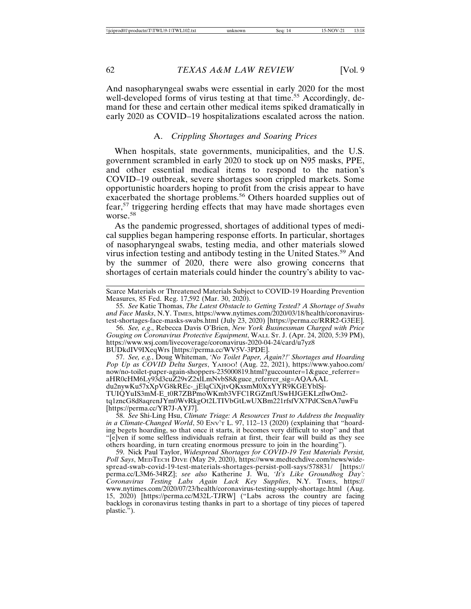And nasopharyngeal swabs were essential in early 2020 for the most well-developed forms of virus testing at that time.<sup>55</sup> Accordingly, demand for these and certain other medical items spiked dramatically in early 2020 as COVID–19 hospitalizations escalated across the nation.

#### A. *Crippling Shortages and Soaring Prices*

When hospitals, state governments, municipalities, and the U.S. government scrambled in early 2020 to stock up on N95 masks, PPE, and other essential medical items to respond to the nation's COVID–19 outbreak, severe shortages soon crippled markets. Some opportunistic hoarders hoping to profit from the crisis appear to have exacerbated the shortage problems.<sup>56</sup> Others hoarded supplies out of fear,57 triggering herding effects that may have made shortages even worse.<sup>58</sup>

As the pandemic progressed, shortages of additional types of medical supplies began hampering response efforts. In particular, shortages of nasopharyngeal swabs, testing media, and other materials slowed virus infection testing and antibody testing in the United States.59 And by the summer of 2020, there were also growing concerns that shortages of certain materials could hinder the country's ability to vac-

56. *See, e.g*., Rebecca Davis O'Brien, *New York Businessman Charged with Price Gouging on Coronavirus Protective Equipment*, WALL ST. J. (Apr. 24, 2020, 5:39 PM), https://www.wsj.com/livecoverage/coronavirus-2020-04-24/card/u7yz8 BUDkdIV9IXeqWrs [https://perma.cc/WV5V-3PDE].

57. *See, e.g.*, Doug Whiteman, *'No Toilet Paper, Again?!' Shortages and Hoarding Pop Up as COVID Delta Surges*, YAHOO! (Aug. 22, 2021), https://www.yahoo.com/ now/no-toilet-paper-again-shoppers-235000819.html?guccounter=1&guce\_referrer= aHR0cHM6Ly93d3cuZ29vZ2xlLmNvbS8&guce\_referrer\_sig=AQAAAL du2nywKu57xXpVG8kREc-\_jElqCiXjtvQKxsmM0XxYYR9KGEYblSj-TUIQYuIS3mM-E\_t0R7ZBPmoWKmb3VFC1RGZmfUSwHJGEKLzflwOm2 tq1zncG8d8aqrenJYm0WvRkgOt2LTIVbGtLwUXBm221rfsfVX7PdCScnA7uwFu [https://perma.cc/YR7J-AYJ7].

58. *See* Shi-Ling Hsu, *Climate Triage: A Resources Trust to Address the Inequality in a Climate-Changed World*, 50 Env<sup>y</sup>r L. 97, 112–13 (2020) (explaining that "hoarding begets hoarding, so that once it starts, it becomes very difficult to stop" and that "[e]ven if some selfless individuals refrain at first, their fear will build as they see others hoarding, in turn creating enormous pressure to join in the hoarding").

59. Nick Paul Taylor, *Widespread Shortages for COVID-19 Test Materials Persist, Poll Says*, MEDTECH DIVE (May 29, 2020), https://www.medtechdive.com/news/widespread-swab-covid-19-test-materials-shortages-persist-poll-says/578831/ [https:// perma.cc/L3M6-34RZ]; *see also* Katherine J. Wu, *'It's Like Groundhog Day': Coronavirus Testing Labs Again Lack Key Supplies*, N.Y. TIMES, https:// www.nytimes.com/2020/07/23/health/coronavirus-testing-supply-shortage.html (Aug. 15, 2020) [https://perma.cc/M32L-TJRW] ("Labs across the country are facing backlogs in coronavirus testing thanks in part to a shortage of tiny pieces of tapered plastic.").

Scarce Materials or Threatened Materials Subject to COVID-19 Hoarding Prevention Measures, 85 Fed. Reg. 17,592 (Mar. 30, 2020).

<sup>55.</sup> *See* Katie Thomas, *The Latest Obstacle to Getting Tested? A Shortage of Swabs and Face Masks*, N.Y. TIMES, https://www.nytimes.com/2020/03/18/health/coronavirustest-shortages-face-masks-swabs.html (July 23, 2020) [https://perma.cc/RRR2-G3EE].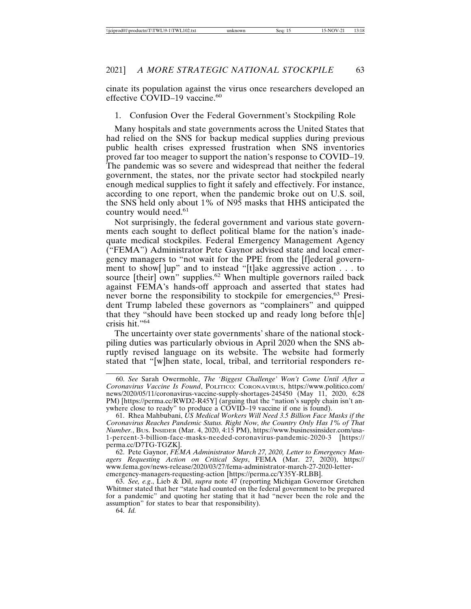cinate its population against the virus once researchers developed an effective COVID-19 vaccine.<sup>60</sup>

#### 1. Confusion Over the Federal Government's Stockpiling Role

Many hospitals and state governments across the United States that had relied on the SNS for backup medical supplies during previous public health crises expressed frustration when SNS inventories proved far too meager to support the nation's response to COVID–19. The pandemic was so severe and widespread that neither the federal government, the states, nor the private sector had stockpiled nearly enough medical supplies to fight it safely and effectively. For instance, according to one report, when the pandemic broke out on U.S. soil, the SNS held only about 1% of N95 masks that HHS anticipated the country would need.<sup>61</sup>

Not surprisingly, the federal government and various state governments each sought to deflect political blame for the nation's inadequate medical stockpiles. Federal Emergency Management Agency ("FEMA") Administrator Pete Gaynor advised state and local emergency managers to "not wait for the PPE from the [f]ederal government to show[ ]up" and to instead "[t]ake aggressive action . . . to source [their] own" supplies.<sup>62</sup> When multiple governors railed back against FEMA's hands-off approach and asserted that states had never borne the responsibility to stockpile for emergencies,<sup>63</sup> President Trump labeled these governors as "complainers" and quipped that they "should have been stocked up and ready long before th[e] crisis hit."64

The uncertainty over state governments' share of the national stockpiling duties was particularly obvious in April 2020 when the SNS abruptly revised language on its website. The website had formerly stated that "[w]hen state, local, tribal, and territorial responders re-

62. Pete Gaynor, *FEMA Administrator March 27, 2020, Letter to Emergency Managers Requesting Action on Critical Steps*, FEMA (Mar. 27, 2020), https:// www.fema.gov/news-release/2020/03/27/fema-administrator-march-27-2020-letteremergency-managers-requesting-action [https://perma.cc/Y35Y-RLBB].

<sup>60.</sup> *See* Sarah Owermohle, *The 'Biggest Challenge' Won't Come Until After a Coronavirus Vaccine Is Found*, POLITICO: CORONAVIRUS, https://www.politico.com/ news/2020/05/11/coronavirus-vaccine-supply-shortages-245450 (May 11, 2020, 6:28 PM) [https://perma.cc/RWD2-R45Y] (arguing that the "nation's supply chain isn't anywhere close to ready" to produce a COVID–19 vaccine if one is found).

<sup>61.</sup> Rhea Mahbubani, *US Medical Workers Will Need 3.5 Billion Face Masks if the Coronavirus Reaches Pandemic Status. Right Now, the Country Only Has 1% of That Number.*, BUS. INSIDER (Mar. 4, 2020, 4:15 PM), https://www.businessinsider.com/usa-1-percent-3-billion-face-masks-needed-coronavirus-pandemic-2020-3 [https:// perma.cc/D7TG-TGZK].

<sup>63.</sup> *See, e.g*., Lieb & Dil, *supra* note 47 (reporting Michigan Governor Gretchen Whitmer stated that her "state had counted on the federal government to be prepared for a pandemic" and quoting her stating that it had "never been the role and the assumption" for states to bear that responsibility).

<sup>64.</sup> *Id.*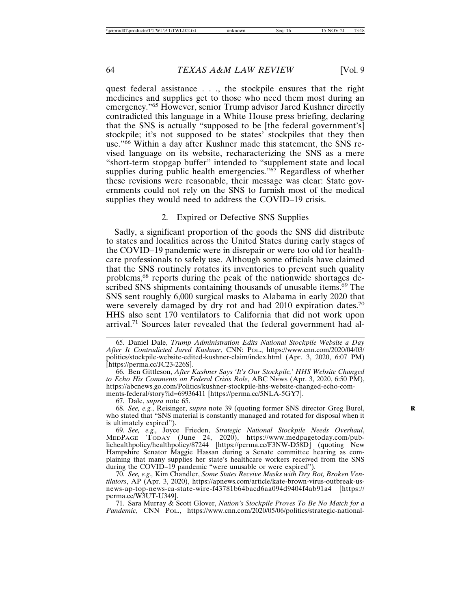quest federal assistance . . ., the stockpile ensures that the right medicines and supplies get to those who need them most during an emergency."65 However, senior Trump advisor Jared Kushner directly contradicted this language in a White House press briefing, declaring that the SNS is actually "supposed to be [the federal government's] stockpile; it's not supposed to be states' stockpiles that they then use."66 Within a day after Kushner made this statement, the SNS revised language on its website, recharacterizing the SNS as a mere "short-term stopgap buffer" intended to "supplement state and local supplies during public health emergencies."<sup>67</sup> Regardless of whether these revisions were reasonable, their message was clear: State governments could not rely on the SNS to furnish most of the medical supplies they would need to address the COVID–19 crisis.

#### 2. Expired or Defective SNS Supplies

Sadly, a significant proportion of the goods the SNS did distribute to states and localities across the United States during early stages of the COVID–19 pandemic were in disrepair or were too old for healthcare professionals to safely use. Although some officials have claimed that the SNS routinely rotates its inventories to prevent such quality problems,68 reports during the peak of the nationwide shortages described SNS shipments containing thousands of unusable items.<sup>69</sup> The SNS sent roughly 6,000 surgical masks to Alabama in early 2020 that were severely damaged by dry rot and had 2010 expiration dates.<sup>70</sup> HHS also sent 170 ventilators to California that did not work upon arrival.<sup>71</sup> Sources later revealed that the federal government had al-

67. Dale, *supra* note 65.

68. *See, e.g.*, Reisinger, *supra* note 39 (quoting former SNS director Greg Burel, **R** who stated that "SNS material is constantly managed and rotated for disposal when it is ultimately expired").

69. *See, e.g.,* Joyce Frieden, *Strategic National Stockpile Needs Overhaul*, MEDPAGE TODAY (June 24, 2020), https://www.medpagetoday.com/publichealthpolicy/healthpolicy/87244 [https://perma.cc/F3NW-D58D] (quoting New Hampshire Senator Maggie Hassan during a Senate committee hearing as complaining that many supplies her state's healthcare workers received from the SNS during the COVID–19 pandemic "were unusable or were expired").

70. *See, e.g.,* Kim Chandler, *Some States Receive Masks with Dry Rot, Broken Ventilators*, AP (Apr. 3, 2020), https://apnews.com/article/kate-brown-virus-outbreak-usnews-ap-top-news-ca-state-wire-f43781b64bacd6aa094d9404f4ab91a4 [https:// perma.cc/W3UT-U349].

71. Sara Murray & Scott Glover, *Nation's Stockpile Proves To Be No Match for a Pandemic*, CNN POL., https://www.cnn.com/2020/05/06/politics/strategic-national-

<sup>65.</sup> Daniel Dale, *Trump Administration Edits National Stockpile Website a Day After It Contradicted Jared Kushner*, CNN: POL., https://www.cnn.com/2020/04/03/ politics/stockpile-website-edited-kushner-claim/index.html (Apr. 3, 2020, 6:07 PM) [https://perma.cc/JC23-226S].

<sup>66.</sup> Ben Gittleson, *After Kushner Says 'It's Our Stockpile,' HHS Website Changed to Echo His Comments on Federal Crisis Role*, ABC NEWS (Apr. 3, 2020, 6:50 PM), https://abcnews.go.com/Politics/kushner-stockpile-hhs-website-changed-echo-comments-federal/story?id=69936411 [https://perma.cc/5NLA-5GY7].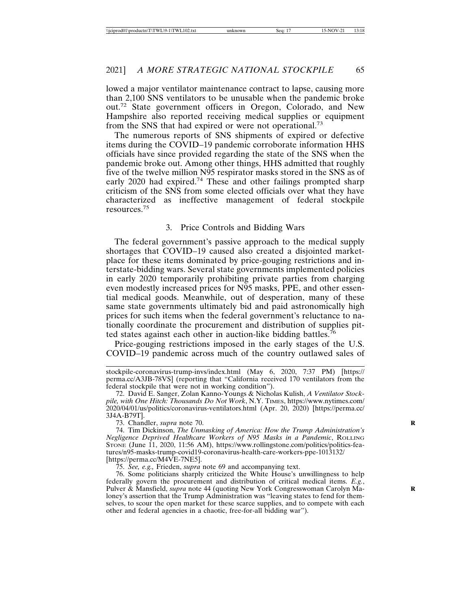lowed a major ventilator maintenance contract to lapse, causing more than 2,100 SNS ventilators to be unusable when the pandemic broke out.72 State government officers in Oregon, Colorado, and New Hampshire also reported receiving medical supplies or equipment from the SNS that had expired or were not operational.<sup>73</sup>

The numerous reports of SNS shipments of expired or defective items during the COVID–19 pandemic corroborate information HHS officials have since provided regarding the state of the SNS when the pandemic broke out. Among other things, HHS admitted that roughly five of the twelve million N95 respirator masks stored in the SNS as of early 2020 had expired.<sup>74</sup> These and other failings prompted sharp criticism of the SNS from some elected officials over what they have characterized as ineffective management of federal stockpile resources.<sup>75</sup>

#### 3. Price Controls and Bidding Wars

The federal government's passive approach to the medical supply shortages that COVID–19 caused also created a disjointed marketplace for these items dominated by price-gouging restrictions and interstate-bidding wars. Several state governments implemented policies in early 2020 temporarily prohibiting private parties from charging even modestly increased prices for N95 masks, PPE, and other essential medical goods. Meanwhile, out of desperation, many of these same state governments ultimately bid and paid astronomically high prices for such items when the federal government's reluctance to nationally coordinate the procurement and distribution of supplies pitted states against each other in auction-like bidding battles.<sup>76</sup>

Price-gouging restrictions imposed in the early stages of the U.S. COVID–19 pandemic across much of the country outlawed sales of

73. Chandler, *supra* note 70. **R**

74. Tim Dickinson, *The Unmasking of America: How the Trump Administration's Negligence Deprived Healthcare Workers of N95 Masks in a Pandemic*, ROLLING STONE (June 11, 2020, 11:56 AM), https://www.rollingstone.com/politics/politics-features/n95-masks-trump-covid19-coronavirus-health-care-workers-ppe-1013132/ [https://perma.cc/M4VE-7NE5].

75. *See, e.g.,* Frieden, *supra* note 69 and accompanying text.

stockpile-coronavirus-trump-invs/index.html (May 6, 2020, 7:37 PM) [https:// perma.cc/A3JB-78VS] (reporting that "California received 170 ventilators from the federal stockpile that were not in working condition").

<sup>72.</sup> David E. Sanger, Zolan Kanno-Youngs & Nicholas Kulish, *A Ventilator Stockpile, with One Hitch: Thousands Do Not Work*, N.Y. TIMES, https://www.nytimes.com/ 2020/04/01/us/politics/coronavirus-ventilators.html (Apr. 20, 2020) [https://perma.cc/ 3J4A-B79T].

<sup>76.</sup> Some politicians sharply criticized the White House's unwillingness to help federally govern the procurement and distribution of critical medical items. *E.g.*, Pulver & Mansfield, *supra* note 44 (quoting New York Congresswoman Carolyn Ma- **R** loney's assertion that the Trump Administration was "leaving states to fend for themselves, to scour the open market for these scarce supplies, and to compete with each other and federal agencies in a chaotic, free-for-all bidding war").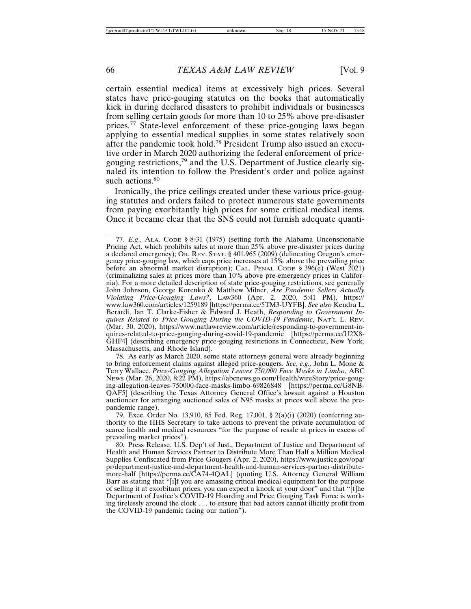certain essential medical items at excessively high prices. Several states have price-gouging statutes on the books that automatically kick in during declared disasters to prohibit individuals or businesses from selling certain goods for more than 10 to 25% above pre-disaster prices.77 State-level enforcement of these price-gouging laws began applying to essential medical supplies in some states relatively soon after the pandemic took hold.78 President Trump also issued an executive order in March 2020 authorizing the federal enforcement of pricegouging restrictions,79 and the U.S. Department of Justice clearly signaled its intention to follow the President's order and police against such actions.<sup>80</sup>

Ironically, the price ceilings created under these various price-gouging statutes and orders failed to protect numerous state governments from paying exorbitantly high prices for some critical medical items. Once it became clear that the SNS could not furnish adequate quanti-

78. As early as March 2020, some state attorneys general were already beginning to bring enforcement claims against alleged price-gougers. *See, e.g.,* John L. Mone & Terry Wallace, *Price-Gouging Allegation Leaves 750,000 Face Masks in Limbo*, ABC NEWS (Mar. 26, 2020, 8:22 PM), https://abcnews.go.com/Health/wireStory/price-gouging-allegation-leaves-750000-face-masks-limbo-69826848 [https://perma.cc/G8NB-QAF5] (describing the Texas Attorney General Office's lawsuit against a Houston auctioneer for arranging auctioned sales of N95 masks at prices well above the prepandemic range).

79. Exec. Order No. 13,910, 85 Fed. Reg. 17,001, § 2(a)(i) (2020) (conferring authority to the HHS Secretary to take actions to prevent the private accumulation of scarce health and medical resources "for the purpose of resale at prices in excess of prevailing market prices").

80. Press Release, U.S. Dep't of Just., Department of Justice and Department of Health and Human Services Partner to Distribute More Than Half a Million Medical Supplies Confiscated from Price Gougers (Apr. 2, 2020), https://www.justice.gov/opa/ pr/department-justice-and-department-health-and-human-services-partner-distributemore-half [https://perma.cc/CA74-4QAL] (quoting U.S. Attorney General William Barr as stating that "[i]f you are amassing critical medical equipment for the purpose of selling it at exorbitant prices, you can expect a knock at your door" and that "[t]he Department of Justice's COVID-19 Hoarding and Price Gouging Task Force is working tirelessly around the clock . . . to ensure that bad actors cannot illicitly profit from the COVID-19 pandemic facing our nation").

<sup>77.</sup> *E.g*., ALA. CODE § 8-31 (1975) (setting forth the Alabama Unconscionable Pricing Act, which prohibits sales at more than 25% above pre-disaster prices during a declared emergency); OR. REV. STAT. § 401.965 (2009) (delineating Oregon's emergency price-gouging law, which caps price increases at 15% above the prevailing price before an abnormal market disruption); CAL. PENAL CODE § 396(e) (West 2021) (criminalizing sales at prices more than 10% above pre-emergency prices in California). For a more detailed description of state price-gouging restrictions, see generally John Johnson, George Korenko & Matthew Milner, *Are Pandemic Sellers Actually Violating Price-Gouging Laws?*, LAW360 (Apr. 2, 2020, 5:41 PM), https:// www.law360.com/articles/1259189 [https://perma.cc/5TM3-UYFB]. *See also* Kendra L. Berardi, Ian T. Clarke-Fisher & Edward J. Heath, *Responding to Government Inquires Related to Price Gouging During the COVID-19 Pandemic*, NAT'L L. REV. (Mar. 30, 2020), https://www.natlawreview.com/article/responding-to-government-inquires-related-to-price-gouging-during-covid-19-pandemic [https://perma.cc/U2X8- GHF4] (describing emergency price-gouging restrictions in Connecticut, New York, Massachusetts, and Rhode Island).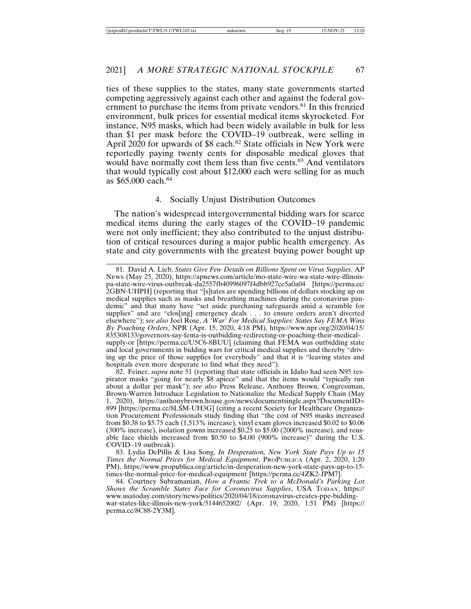ties of these supplies to the states, many state governments started competing aggressively against each other and against the federal government to purchase the items from private vendors.<sup>81</sup> In this frenzied environment, bulk prices for essential medical items skyrocketed. For instance, N95 masks, which had been widely available in bulk for less than \$1 per mask before the COVID–19 outbreak, were selling in April 2020 for upwards of \$8 each.<sup>82</sup> State officials in New York were reportedly paying twenty cents for disposable medical gloves that would have normally cost them less than five cents.<sup>83</sup> And ventilators that would typically cost about \$12,000 each were selling for as much as \$65,000 each.84

## 4. Socially Unjust Distribution Outcomes

The nation's widespread intergovernmental bidding wars for scarce medical items during the early stages of the COVID–19 pandemic were not only inefficient; they also contributed to the unjust distribution of critical resources during a major public health emergency. As state and city governments with the greatest buying power bought up

82. Feiner, *supra* note 51 (reporting that state officials in Idaho had seen N95 respirator masks "going for nearly \$8 apiece" and that the items would "typically run about a dollar per mask"); *see also* Press Release, Anthony Brown, Congressman, Brown-Warren Introduce Legislation to Nationalize the Medical Supply Chain (May 1, 2020), https://anthonybrown.house.gov/news/documentsingle.aspx?DocumentID= 899 [https://perma.cc/8LSM-UH3G] (citing a recent Society for Healthcare Organization Procurement Professionals study finding that "the cost of N95 masks increased from \$0.38 to \$5.75 each (1,513% increase), vinyl exam gloves increased \$0.02 to \$0.06 (300% increase), isolation gowns increased \$0.25 to \$5.00 (2000% increase), and reusable face shields increased from \$0.50 to \$4.00 (900% increase)" during the U.S. COVID–19 outbreak).

83. Lydia DePillis & Lisa Song, *In Desperation, New York State Pays Up to 15 Times the Normal Prices for Medical Equipment*, PROPUBLICA (Apr. 2, 2020, 1:20 PM), https://www.propublica.org/article/in-desperation-new-york-state-pays-up-to-15 times-the-normal-price-for-medical-equipment [https://perma.cc/4ZK2-JPM7].

84. Courtney Subramanian, *How a Frantic Trek to a McDonald's Parking Lot Shows the Scramble States Face for Coronavirus Supplies*, USA TODAY, https:// www.usatoday.com/story/news/politics/2020/04/18/coronavirus-creates-ppe-biddingwar-states-like-illinois-new-york/5144652002/ (Apr. 19, 2020, 1:51 PM) [https:// perma.cc/8C88-2Y3M].

<sup>81.</sup> David A. Lieb, *States Give Few Details on Billions Spent on Virus Supplies*, AP NEWS (May 25, 2020), https://apnews.com/article/mo-state-wire-wa-state-wire-illinoispa-state-wire-virus-outbreak-da2557fb40996097f4dbb927ce5a0a04 [https://perma.cc/ 2GBN-UHPH] (reporting that "[s]tates are spending billions of dollars stocking up on medical supplies such as masks and breathing machines during the coronavirus pandemic" and that many have "set aside purchasing safeguards amid a scramble for supplies" and are "clos[ing] emergency deals . . . to ensure orders aren't diverted elsewhere"); *see also* Joel Rose, *A 'War' For Medical Supplies: States Say FEMA Wins By Poaching Orders*, NPR (Apr. 15, 2020, 4:18 PM), https://www.npr.org/2020/04/15/ 835308133/governors-say-fema-is-outbidding-redirecting-or-poaching-their-medicalsupply-or [https://perma.cc/U5C6-8BUU] (claiming that FEMA was outbidding state and local governments in bidding wars for critical medical supplies and thereby "driving up the price of those supplies for everybody" and that it is "leaving states and hospitals even more desperate to find what they need").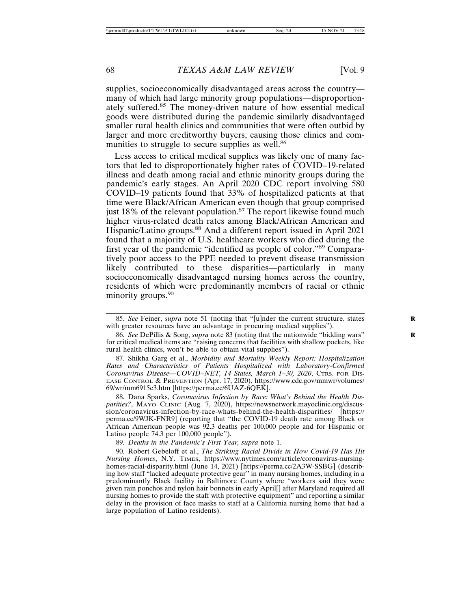supplies, socioeconomically disadvantaged areas across the country many of which had large minority group populations—disproportionately suffered.85 The money-driven nature of how essential medical goods were distributed during the pandemic similarly disadvantaged smaller rural health clinics and communities that were often outbid by larger and more creditworthy buyers, causing those clinics and communities to struggle to secure supplies as well.<sup>86</sup>

Less access to critical medical supplies was likely one of many factors that led to disproportionately higher rates of COVID–19-related illness and death among racial and ethnic minority groups during the pandemic's early stages. An April 2020 CDC report involving 580 COVID–19 patients found that 33% of hospitalized patients at that time were Black/African American even though that group comprised just 18% of the relevant population.<sup>87</sup> The report likewise found much higher virus-related death rates among Black/African American and Hispanic/Latino groups.<sup>88</sup> And a different report issued in April 2021 found that a majority of U.S. healthcare workers who died during the first year of the pandemic "identified as people of color."89 Comparatively poor access to the PPE needed to prevent disease transmission likely contributed to these disparities—particularly in many socioeconomically disadvantaged nursing homes across the country, residents of which were predominantly members of racial or ethnic minority groups.<sup>90</sup>

87. Shikha Garg et al., *Morbidity and Mortality Weekly Report: Hospitalization Rates and Characteristics of Patients Hospitalized with Laboratory-Confirmed Coronavirus Disease—COVID–NET, 14 States, March 1–30, 2020*, CTRS. FOR DIS-EASE CONTROL & PREVENTION (Apr. 17, 2020), https://www.cdc.gov/mmwr/volumes/ 69/wr/mm6915e3.htm [https://perma.cc/6UAZ-6QEK].

88. Dana Sparks, *Coronavirus Infection by Race: What's Behind the Health Disparities?*, MAYO CLINIC (Aug. 7, 2020), https://newsnetwork.mayoclinic.org/discussion/coronavirus-infection-by-race-whats-behind-the-health-disparities/ [https:// perma.cc/9WJK-FNR9] (reporting that "the COVID-19 death rate among Black or African American people was 92.3 deaths per 100,000 people and for Hispanic or Latino people 74.3 per 100,000 people").

89. *Deaths in the Pandemic's First Year, supra* note 1.

90. Robert Gebeloff et al., *The Striking Racial Divide in How Covid-19 Has Hit Nursing Homes*, N.Y. TIMES, https://www.nytimes.com/article/coronavirus-nursinghomes-racial-disparity.html (June 14, 2021) [https://perma.cc/2A3W-SSBG] (describing how staff "lacked adequate protective gear" in many nursing homes, including in a predominantly Black facility in Baltimore County where "workers said they were given rain ponchos and nylon hair bonnets in early April[] after Maryland required all nursing homes to provide the staff with protective equipment" and reporting a similar delay in the provision of face masks to staff at a California nursing home that had a large population of Latino residents).

<sup>85.</sup> *See* Feiner, *supra* note 51 (noting that "[u]nder the current structure, states **R** with greater resources have an advantage in procuring medical supplies").

<sup>86.</sup> *See* DePillis & Song, *supra* note 83 (noting that the nationwide "bidding wars" **R** for critical medical items are "raising concerns that facilities with shallow pockets, like rural health clinics, won't be able to obtain vital supplies").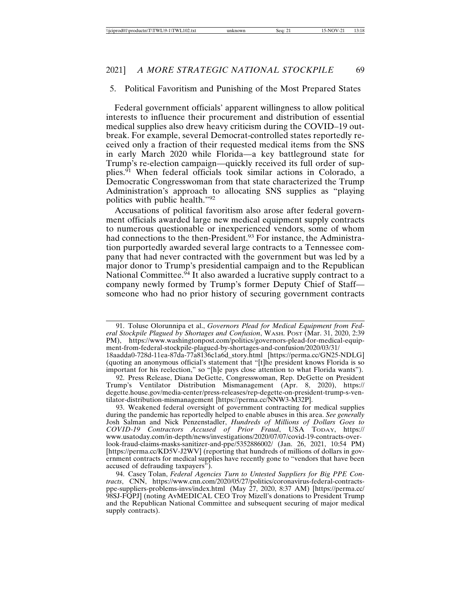#### 5. Political Favoritism and Punishing of the Most Prepared States

Federal government officials' apparent willingness to allow political interests to influence their procurement and distribution of essential medical supplies also drew heavy criticism during the COVID–19 outbreak. For example, several Democrat-controlled states reportedly received only a fraction of their requested medical items from the SNS in early March 2020 while Florida—a key battleground state for Trump's re-election campaign—quickly received its full order of supplies.<sup>91</sup> When federal officials took similar actions in Colorado, a Democratic Congresswoman from that state characterized the Trump Administration's approach to allocating SNS supplies as "playing politics with public health."<sup>92</sup>

Accusations of political favoritism also arose after federal government officials awarded large new medical equipment supply contracts to numerous questionable or inexperienced vendors, some of whom had connections to the then-President.<sup>93</sup> For instance, the Administration purportedly awarded several large contracts to a Tennessee company that had never contracted with the government but was led by a major donor to Trump's presidential campaign and to the Republican National Committee. $94$  It also awarded a lucrative supply contract to a company newly formed by Trump's former Deputy Chief of Staff someone who had no prior history of securing government contracts

<sup>91.</sup> Toluse Olorunnipa et al., *Governors Plead for Medical Equipment from Federal Stockpile Plagued by Shortages and Confusion*, WASH. POST (Mar. 31, 2020, 2:39 PM), https://www.washingtonpost.com/politics/governors-plead-for-medical-equipment-from-federal-stockpile-plagued-by-shortages-and-confusion/2020/03/31/

<sup>18</sup>aadda0-728d-11ea-87da-77a8136c1a6d\_story.html [https://perma.cc/GN25-NDLG] (quoting an anonymous official's statement that "[t]he president knows Florida is so important for his reelection," so "[h]e pays close attention to what Florida wants").

<sup>92.</sup> Press Release, Diana DeGette, Congresswoman, Rep. DeGette on President Trump's Ventilator Distribution Mismanagement (Apr. 8, 2020), https:// degette.house.gov/media-center/press-releases/rep-degette-on-president-trump-s-ventilator-distribution-mismanagement [https://perma.cc/NNW3-M32P].

<sup>93.</sup> Weakened federal oversight of government contracting for medical supplies during the pandemic has reportedly helped to enable abuses in this area. *See generally* Josh Salman and Nick Penzenstadler, *Hundreds of Millions of Dollars Goes to COVID-19 Contractors Accused of Prior Fraud*, USA TODAY, https:// www.usatoday.com/in-depth/news/investigations/2020/07/07/covid-19-contracts-overlook-fraud-claims-masks-sanitizer-and-ppe/5352886002/ (Jan. 26, 2021, 10:54 PM) [https://perma.cc/KD5V-J2WV] (reporting that hundreds of millions of dollars in government contracts for medical supplies have recently gone to "vendors that have been accused of defrauding taxpayers").

<sup>94.</sup> Casey Tolan, *Federal Agencies Turn to Untested Suppliers for Big PPE Contracts*, CNN, https://www.cnn.com/2020/05/27/politics/coronavirus-federal-contractsppe-suppliers-problems-invs/index.html (May 27, 2020, 8:37 AM) [https://perma.cc/ 98SJ-FQPJ] (noting AvMEDICAL CEO Troy Mizell's donations to President Trump and the Republican National Committee and subsequent securing of major medical supply contracts).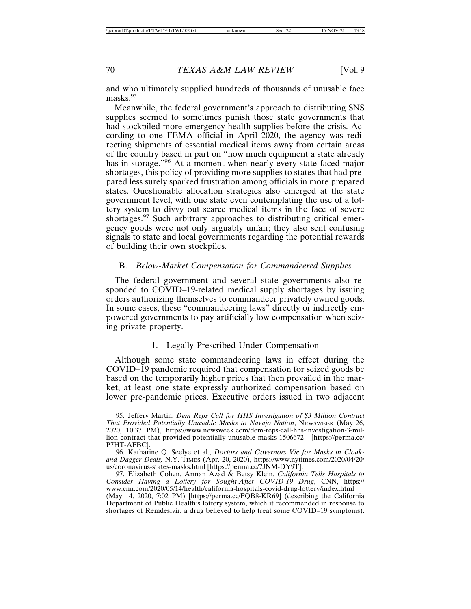and who ultimately supplied hundreds of thousands of unusable face masks.<sup>95</sup>

Meanwhile, the federal government's approach to distributing SNS supplies seemed to sometimes punish those state governments that had stockpiled more emergency health supplies before the crisis. According to one FEMA official in April 2020, the agency was redirecting shipments of essential medical items away from certain areas of the country based in part on "how much equipment a state already has in storage."<sup>96</sup> At a moment when nearly every state faced major shortages, this policy of providing more supplies to states that had prepared less surely sparked frustration among officials in more prepared states. Questionable allocation strategies also emerged at the state government level, with one state even contemplating the use of a lottery system to divvy out scarce medical items in the face of severe shortages.<sup>97</sup> Such arbitrary approaches to distributing critical emergency goods were not only arguably unfair; they also sent confusing signals to state and local governments regarding the potential rewards of building their own stockpiles.

## B. *Below-Market Compensation for Commandeered Supplies*

The federal government and several state governments also responded to COVID–19-related medical supply shortages by issuing orders authorizing themselves to commandeer privately owned goods. In some cases, these "commandeering laws" directly or indirectly empowered governments to pay artificially low compensation when seizing private property.

## 1. Legally Prescribed Under-Compensation

Although some state commandeering laws in effect during the COVID–19 pandemic required that compensation for seized goods be based on the temporarily higher prices that then prevailed in the market, at least one state expressly authorized compensation based on lower pre-pandemic prices. Executive orders issued in two adjacent

<sup>95.</sup> Jeffery Martin, *Dem Reps Call for HHS Investigation of \$3 Million Contract That Provided Potentially Unusable Masks to Navajo Nation*, NEWSWEEK (May 26, 2020, 10:37 PM), https://www.newsweek.com/dem-reps-call-hhs-investigation-3-million-contract-that-provided-potentially-unusable-masks-1506672 [https://perma.cc/ P7HT-AFBC].

<sup>96.</sup> Katharine Q. Seelye et al., *Doctors and Governors Vie for Masks in Cloakand-Dagger Deals,* N.Y. TIMES (Apr. 20, 2020), https://www.nytimes.com/2020/04/20/ us/coronavirus-states-masks.html [https://perma.cc/7JNM-DY9T].

<sup>97.</sup> Elizabeth Cohen, Arman Azad & Betsy Klein, *California Tells Hospitals to Consider Having a Lottery for Sought-After COVID-19 Drug*, CNN, https:// www.cnn.com/2020/05/14/health/california-hospitals-covid-drug-lottery/index.html (May 14, 2020, 7:02 PM) [https://perma.cc/FQB8-KR69] (describing the California Department of Public Health's lottery system, which it recommended in response to shortages of Remdesivir, a drug believed to help treat some COVID–19 symptoms).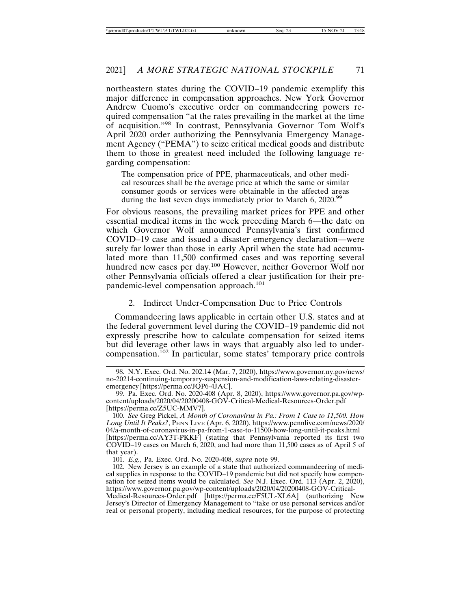northeastern states during the COVID–19 pandemic exemplify this major difference in compensation approaches. New York Governor Andrew Cuomo's executive order on commandeering powers required compensation "at the rates prevailing in the market at the time of acquisition."98 In contrast, Pennsylvania Governor Tom Wolf's April 2020 order authorizing the Pennsylvania Emergency Management Agency ("PEMA") to seize critical medical goods and distribute them to those in greatest need included the following language regarding compensation:

The compensation price of PPE, pharmaceuticals, and other medical resources shall be the average price at which the same or similar consumer goods or services were obtainable in the affected areas during the last seven days immediately prior to March 6, 2020.99

For obvious reasons, the prevailing market prices for PPE and other essential medical items in the week preceding March 6—the date on which Governor Wolf announced Pennsylvania's first confirmed COVID–19 case and issued a disaster emergency declaration—were surely far lower than those in early April when the state had accumulated more than 11,500 confirmed cases and was reporting several hundred new cases per day.<sup>100</sup> However, neither Governor Wolf nor other Pennsylvania officials offered a clear justification for their prepandemic-level compensation approach.<sup>101</sup>

## 2. Indirect Under-Compensation Due to Price Controls

Commandeering laws applicable in certain other U.S. states and at the federal government level during the COVID–19 pandemic did not expressly prescribe how to calculate compensation for seized items but did leverage other laws in ways that arguably also led to undercompensation.102 In particular, some states' temporary price controls

101. *E.g.*, Pa. Exec. Ord. No. 2020-408, *supra* note 99.

<sup>98.</sup> N.Y. Exec. Ord. No. 202.14 (Mar. 7, 2020), https://www.governor.ny.gov/news/ no-20214-continuing-temporary-suspension-and-modification-laws-relating-disasteremergency [https://perma.cc/JQP6-4JAC].

<sup>99.</sup> Pa. Exec. Ord. No. 2020-408 (Apr. 8, 2020), https://www.governor.pa.gov/wpcontent/uploads/2020/04/20200408-GOV-Critical-Medical-Resources-Order.pdf [https://perma.cc/Z5UC-MMV7].

<sup>100.</sup> *See* Greg Pickel, *A Month of Coronavirus in Pa.: From 1 Case to 11,500. How Long Until It Peaks?*, PENN LIVE (Apr. 6, 2020), https://www.pennlive.com/news/2020/ 04/a-month-of-coronavirus-in-pa-from-1-case-to-11500-how-long-until-it-peaks.html [https://perma.cc/AY3T-PKKF] (stating that Pennsylvania reported its first two COVID–19 cases on March 6, 2020, and had more than 11,500 cases as of April 5 of that year).

<sup>102.</sup> New Jersey is an example of a state that authorized commandeering of medical supplies in response to the COVID–19 pandemic but did not specify how compensation for seized items would be calculated. *See* N.J. Exec. Ord. 113 (Apr. 2, 2020), https://www.governor.pa.gov/wp-content/uploads/2020/04/20200408-GOV-Critical-Medical-Resources-Order.pdf [https://perma.cc/F5UL-XL6A] (authorizing New Jersey's Director of Emergency Management to "take or use personal services and/or real or personal property, including medical resources, for the purpose of protecting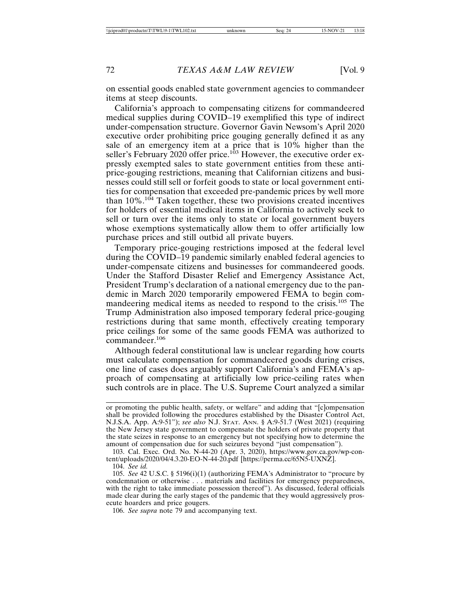on essential goods enabled state government agencies to commandeer items at steep discounts.

California's approach to compensating citizens for commandeered medical supplies during COVID–19 exemplified this type of indirect under-compensation structure. Governor Gavin Newsom's April 2020 executive order prohibiting price gouging generally defined it as any sale of an emergency item at a price that is 10% higher than the seller's February 2020 offer price.<sup>103</sup> However, the executive order expressly exempted sales to state government entities from these antiprice-gouging restrictions, meaning that Californian citizens and businesses could still sell or forfeit goods to state or local government entities for compensation that exceeded pre-pandemic prices by well more than  $10\%$ .<sup>104</sup> Taken together, these two provisions created incentives for holders of essential medical items in California to actively seek to sell or turn over the items only to state or local government buyers whose exemptions systematically allow them to offer artificially low purchase prices and still outbid all private buyers.

Temporary price-gouging restrictions imposed at the federal level during the COVID–19 pandemic similarly enabled federal agencies to under-compensate citizens and businesses for commandeered goods. Under the Stafford Disaster Relief and Emergency Assistance Act, President Trump's declaration of a national emergency due to the pandemic in March 2020 temporarily empowered FEMA to begin commandeering medical items as needed to respond to the crisis.<sup>105</sup> The Trump Administration also imposed temporary federal price-gouging restrictions during that same month, effectively creating temporary price ceilings for some of the same goods FEMA was authorized to commandeer.106

Although federal constitutional law is unclear regarding how courts must calculate compensation for commandeered goods during crises, one line of cases does arguably support California's and FEMA's approach of compensating at artificially low price-ceiling rates when such controls are in place. The U.S. Supreme Court analyzed a similar

106. *See supra* note 79 and accompanying text.

or promoting the public health, safety, or welfare" and adding that "[c]ompensation shall be provided following the procedures established by the Disaster Control Act, N.J.S.A. App. A:9-51"); *see also* N.J. STAT. ANN. § A:9-51.7 (West 2021) (requiring the New Jersey state government to compensate the holders of private property that the state seizes in response to an emergency but not specifying how to determine the amount of compensation due for such seizures beyond "just compensation").

<sup>103.</sup> Cal. Exec. Ord. No. N-44-20 (Apr. 3, 2020), https://www.gov.ca.gov/wp-content/uploads/2020/04/4.3.20-EO-N-44-20.pdf [https://perma.cc/65N5-UXNZ].

<sup>104.</sup> *See id.*

<sup>105.</sup> *See* 42 U.S.C. § 5196(i)(1) (authorizing FEMA's Administrator to "procure by condemnation or otherwise . . . materials and facilities for emergency preparedness, with the right to take immediate possession thereof"). As discussed, federal officials made clear during the early stages of the pandemic that they would aggressively prosecute hoarders and price gougers.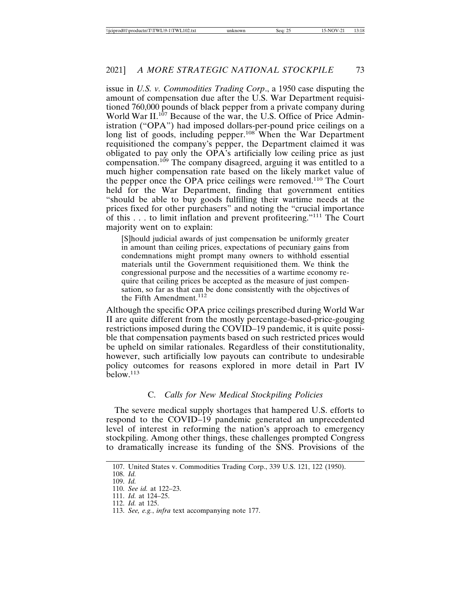issue in *U.S. v. Commodities Trading Corp*., a 1950 case disputing the amount of compensation due after the U.S. War Department requisitioned 760,000 pounds of black pepper from a private company during World War II.<sup>107</sup> Because of the war, the U.S. Office of Price Administration ("OPA") had imposed dollars-per-pound price ceilings on a long list of goods, including pepper.<sup>108</sup> When the War Department requisitioned the company's pepper, the Department claimed it was obligated to pay only the OPA's artificially low ceiling price as just compensation.109 The company disagreed, arguing it was entitled to a much higher compensation rate based on the likely market value of the pepper once the OPA price ceilings were removed.110 The Court held for the War Department, finding that government entities "should be able to buy goods fulfilling their wartime needs at the prices fixed for other purchasers" and noting the "crucial importance of this . . . to limit inflation and prevent profiteering."111 The Court majority went on to explain:

[S]hould judicial awards of just compensation be uniformly greater in amount than ceiling prices, expectations of pecuniary gains from condemnations might prompt many owners to withhold essential materials until the Government requisitioned them. We think the congressional purpose and the necessities of a wartime economy require that ceiling prices be accepted as the measure of just compensation, so far as that can be done consistently with the objectives of the Fifth Amendment.<sup>112</sup>

Although the specific OPA price ceilings prescribed during World War II are quite different from the mostly percentage-based-price-gouging restrictions imposed during the COVID–19 pandemic, it is quite possible that compensation payments based on such restricted prices would be upheld on similar rationales. Regardless of their constitutionality, however, such artificially low payouts can contribute to undesirable policy outcomes for reasons explored in more detail in Part IV  $below.<sup>113</sup>$ 

## C. *Calls for New Medical Stockpiling Policies*

The severe medical supply shortages that hampered U.S. efforts to respond to the COVID–19 pandemic generated an unprecedented level of interest in reforming the nation's approach to emergency stockpiling. Among other things, these challenges prompted Congress to dramatically increase its funding of the SNS. Provisions of the

<sup>107.</sup> United States v. Commodities Trading Corp., 339 U.S. 121, 122 (1950).

<sup>108.</sup> *Id.*

<sup>109.</sup> *Id.*

<sup>110.</sup> *See id.* at 122–23. 111. *Id.* at 124–25.

<sup>112.</sup> *Id.* at 125.

<sup>113.</sup> *See, e.g.*, *infra* text accompanying note 177.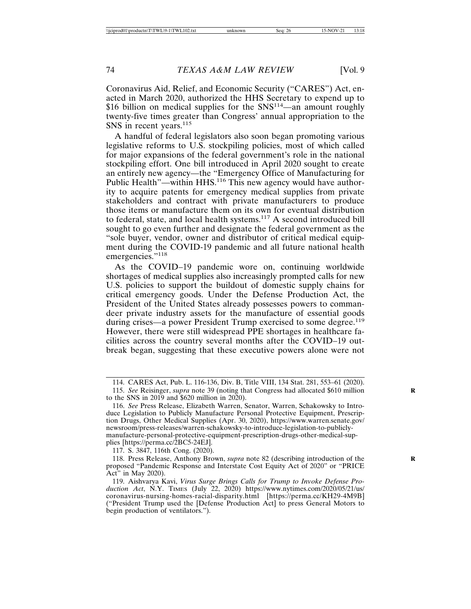Coronavirus Aid, Relief, and Economic Security ("CARES") Act, enacted in March 2020, authorized the HHS Secretary to expend up to \$16 billion on medical supplies for the SNS<sup>114</sup>—an amount roughly twenty-five times greater than Congress' annual appropriation to the SNS in recent years.<sup>115</sup>

A handful of federal legislators also soon began promoting various legislative reforms to U.S. stockpiling policies, most of which called for major expansions of the federal government's role in the national stockpiling effort. One bill introduced in April 2020 sought to create an entirely new agency—the "Emergency Office of Manufacturing for Public Health"—within HHS.<sup>116</sup> This new agency would have authority to acquire patents for emergency medical supplies from private stakeholders and contract with private manufacturers to produce those items or manufacture them on its own for eventual distribution to federal, state, and local health systems.117 A second introduced bill sought to go even further and designate the federal government as the "sole buyer, vendor, owner and distributor of critical medical equipment during the COVID-19 pandemic and all future national health emergencies."<sup>118</sup>

As the COVID–19 pandemic wore on, continuing worldwide shortages of medical supplies also increasingly prompted calls for new U.S. policies to support the buildout of domestic supply chains for critical emergency goods. Under the Defense Production Act, the President of the United States already possesses powers to commandeer private industry assets for the manufacture of essential goods during crises—a power President Trump exercised to some degree.<sup>119</sup> However, there were still widespread PPE shortages in healthcare facilities across the country several months after the COVID–19 outbreak began, suggesting that these executive powers alone were not

117. S. 3847, 116th Cong. (2020).

118. Press Release, Anthony Brown, *supra* note 82 (describing introduction of the **R** proposed "Pandemic Response and Interstate Cost Equity Act of 2020" or "PRICE Act" in May 2020).

<sup>114.</sup> CARES Act, Pub. L. 116-136, Div. B, Title VIII, 134 Stat. 281, 553–61 (2020).

<sup>115.</sup> *See* Reisinger, *supra* note 39 (noting that Congress had allocated \$610 million **R** to the SNS in 2019 and  $$620$  million in 2020).

<sup>116.</sup> *See* Press Release, Elizabeth Warren, Senator, Warren, Schakowsky to Introduce Legislation to Publicly Manufacture Personal Protective Equipment, Prescription Drugs, Other Medical Supplies (Apr. 30, 2020), https://www.warren.senate.gov/ newsroom/press-releases/warren-schakowsky-to-introduce-legislation-to-publiclymanufacture-personal-protective-equipment-prescription-drugs-other-medical-supplies [https://perma.cc/2BC5-24EJ].

<sup>119.</sup> Aishvarya Kavi, *Virus Surge Brings Calls for Trump to Invoke Defense Production Act*, N.Y. TIMES (July 22, 2020) https://www.nytimes.com/2020/05/21/us/ coronavirus-nursing-homes-racial-disparity.html [https://perma.cc/KH29-4M9B] ("President Trump used the [Defense Production Act] to press General Motors to begin production of ventilators.").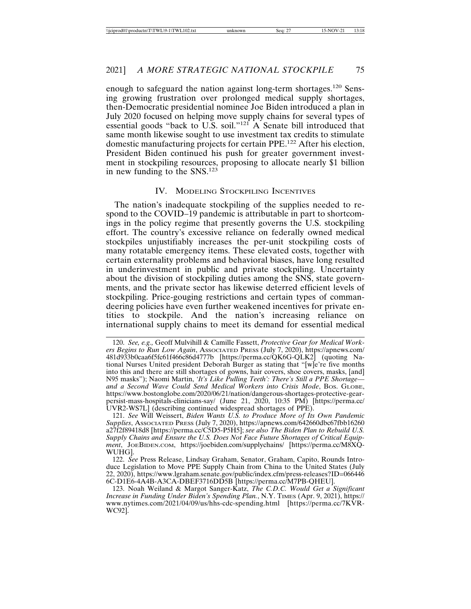enough to safeguard the nation against long-term shortages.120 Sensing growing frustration over prolonged medical supply shortages, then-Democratic presidential nominee Joe Biden introduced a plan in July 2020 focused on helping move supply chains for several types of essential goods "back to U.S. soil."<sup>121</sup> A Senate bill introduced that same month likewise sought to use investment tax credits to stimulate domestic manufacturing projects for certain PPE.122 After his election, President Biden continued his push for greater government investment in stockpiling resources, proposing to allocate nearly \$1 billion in new funding to the SNS.123

#### IV. MODELING STOCKPILING INCENTIVES

The nation's inadequate stockpiling of the supplies needed to respond to the COVID–19 pandemic is attributable in part to shortcomings in the policy regime that presently governs the U.S. stockpiling effort. The country's excessive reliance on federally owned medical stockpiles unjustifiably increases the per-unit stockpiling costs of many rotatable emergency items. These elevated costs, together with certain externality problems and behavioral biases, have long resulted in underinvestment in public and private stockpiling. Uncertainty about the division of stockpiling duties among the SNS, state governments, and the private sector has likewise deterred efficient levels of stockpiling. Price-gouging restrictions and certain types of commandeering policies have even further weakened incentives for private entities to stockpile. And the nation's increasing reliance on international supply chains to meet its demand for essential medical

121. *See* Will Weissert, *Biden Wants U.S. to Produce More of Its Own Pandemic Supplies*, ASSOCIATED PRESS (July 7, 2020), https://apnews.com/642660dbc67fbb16260 a27f2f89418d8 [https://perma.cc/C5D5-P5H5]; *see also The Biden Plan to Rebuild U.S. Supply Chains and Ensure the U.S. Does Not Face Future Shortages of Critical Equipment*, JOEBIDEN.COM, https://joebiden.com/supplychains/ [https://perma.cc/M8XQ-WUHG].

122. *See* Press Release, Lindsay Graham, Senator, Graham, Capito, Rounds Introduce Legislation to Move PPE Supply Chain from China to the United States (July 22, 2020), https://www.lgraham.senate.gov/public/index.cfm/press-releases?ID=066446 6C-D1E6-4A4B-A3CA-DBEF3716DD5B [https://perma.cc/M7PB-QHEU].

123. Noah Weiland & Margot Sanger-Katz, *The C.D.C. Would Get a Significant Increase in Funding Under Biden's Spending Plan.*, N.Y. TIMES (Apr. 9, 2021), https:// www.nytimes.com/2021/04/09/us/hhs-cdc-spending.html [https://perma.cc/7KVR-WC92].

<sup>120.</sup> *See, e.g.,* Geoff Mulvihill & Camille Fassett, *Protective Gear for Medical Workers Begins to Run Low Again*, ASSOCIATED PRESS (July 7, 2020), https://apnews.com/ 481d933b0caa6f5fc61f466c86d4777b [https://perma.cc/QK6G-QLK2] (quoting National Nurses United president Deborah Burger as stating that "[w]e're five months into this and there are still shortages of gowns, hair covers, shoe covers, masks, [and] N95 masks"); Naomi Martin, *'It's Like Pulling Teeth': There's Still a PPE Shortage and a Second Wave Could Send Medical Workers into Crisis Mode*, BOS. GLOBE, https://www.bostonglobe.com/2020/06/21/nation/dangerous-shortages-protective-gearpersist-mass-hospitals-clinicians-say/ (June 21, 2020, 10:35 PM) [https://perma.cc/ UVR2-WS7L] (describing continued widespread shortages of PPE).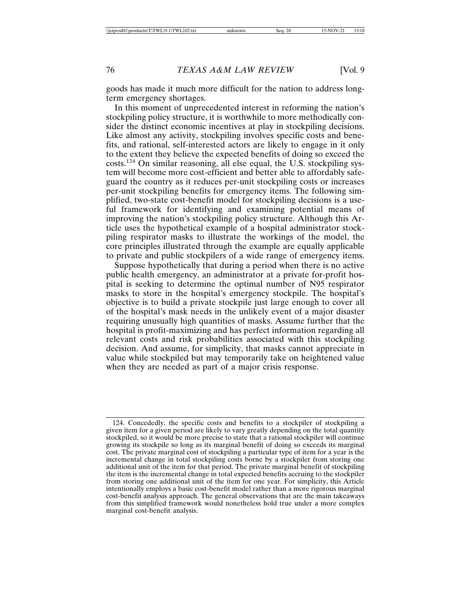goods has made it much more difficult for the nation to address longterm emergency shortages.

In this moment of unprecedented interest in reforming the nation's stockpiling policy structure, it is worthwhile to more methodically consider the distinct economic incentives at play in stockpiling decisions. Like almost any activity, stockpiling involves specific costs and benefits, and rational, self-interested actors are likely to engage in it only to the extent they believe the expected benefits of doing so exceed the costs.124 On similar reasoning, all else equal, the U.S. stockpiling system will become more cost-efficient and better able to affordably safeguard the country as it reduces per-unit stockpiling costs or increases per-unit stockpiling benefits for emergency items. The following simplified, two-state cost-benefit model for stockpiling decisions is a useful framework for identifying and examining potential means of improving the nation's stockpiling policy structure. Although this Article uses the hypothetical example of a hospital administrator stockpiling respirator masks to illustrate the workings of the model, the core principles illustrated through the example are equally applicable to private and public stockpilers of a wide range of emergency items.

Suppose hypothetically that during a period when there is no active public health emergency, an administrator at a private for-profit hospital is seeking to determine the optimal number of N95 respirator masks to store in the hospital's emergency stockpile. The hospital's objective is to build a private stockpile just large enough to cover all of the hospital's mask needs in the unlikely event of a major disaster requiring unusually high quantities of masks. Assume further that the hospital is profit-maximizing and has perfect information regarding all relevant costs and risk probabilities associated with this stockpiling decision. And assume, for simplicity, that masks cannot appreciate in value while stockpiled but may temporarily take on heightened value when they are needed as part of a major crisis response.

<sup>124.</sup> Concededly, the specific costs and benefits to a stockpiler of stockpiling a given item for a given period are likely to vary greatly depending on the total quantity stockpiled, so it would be more precise to state that a rational stockpiler will continue growing its stockpile so long as its marginal benefit of doing so exceeds its marginal cost. The private marginal cost of stockpiling a particular type of item for a year is the incremental change in total stockpiling costs borne by a stockpiler from storing one additional unit of the item for that period. The private marginal benefit of stockpiling the item is the incremental change in total expected benefits accruing to the stockpiler from storing one additional unit of the item for one year. For simplicity, this Article intentionally employs a basic cost-benefit model rather than a more rigorous marginal cost-benefit analysis approach. The general observations that are the main takeaways from this simplified framework would nonetheless hold true under a more complex marginal cost-benefit analysis.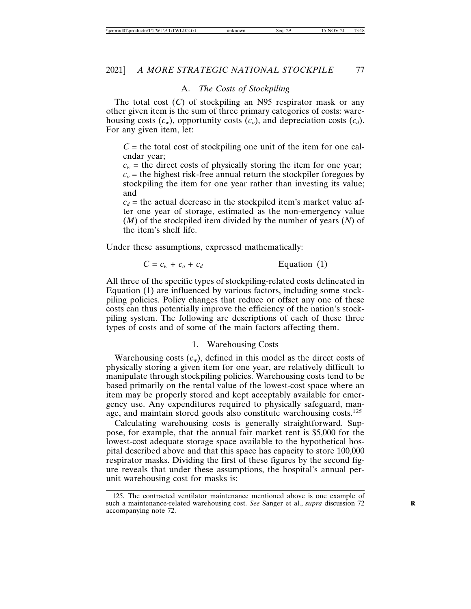## A. *The Costs of Stockpiling*

The total cost (*C*) of stockpiling an N95 respirator mask or any other given item is the sum of three primary categories of costs: warehousing costs  $(c_w)$ , opportunity costs  $(c_o)$ , and depreciation costs  $(c_d)$ . For any given item, let:

 $C =$  the total cost of stockpiling one unit of the item for one calendar year;

 $c_w$  = the direct costs of physically storing the item for one year;  $c<sub>o</sub>$  = the highest risk-free annual return the stockpiler foregoes by stockpiling the item for one year rather than investing its value; and

 $c_d$  = the actual decrease in the stockpiled item's market value after one year of storage, estimated as the non-emergency value (*M*) of the stockpiled item divided by the number of years (*N*) of the item's shelf life.

Under these assumptions, expressed mathematically:

$$
C = c_w + c_o + c_d
$$
 Equation (1)

All three of the specific types of stockpiling-related costs delineated in Equation (1) are influenced by various factors, including some stockpiling policies. Policy changes that reduce or offset any one of these costs can thus potentially improve the efficiency of the nation's stockpiling system. The following are descriptions of each of these three types of costs and of some of the main factors affecting them.

#### 1. Warehousing Costs

Warehousing costs  $(c_w)$ , defined in this model as the direct costs of physically storing a given item for one year, are relatively difficult to manipulate through stockpiling policies. Warehousing costs tend to be based primarily on the rental value of the lowest-cost space where an item may be properly stored and kept acceptably available for emergency use. Any expenditures required to physically safeguard, manage, and maintain stored goods also constitute warehousing costs.<sup>125</sup>

Calculating warehousing costs is generally straightforward. Suppose, for example, that the annual fair market rent is \$5,000 for the lowest-cost adequate storage space available to the hypothetical hospital described above and that this space has capacity to store 100,000 respirator masks. Dividing the first of these figures by the second figure reveals that under these assumptions, the hospital's annual perunit warehousing cost for masks is:

<sup>125.</sup> The contracted ventilator maintenance mentioned above is one example of such a maintenance-related warehousing cost. See Sanger et al., *supra* discussion 72 accompanying note 72.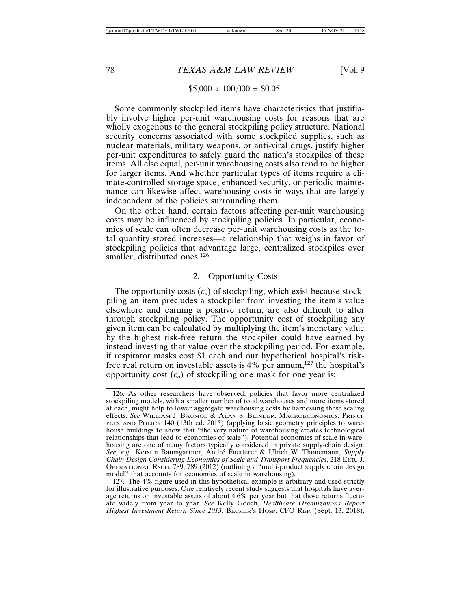#### $$5,000 \div 100,000 = $0.05.$

Some commonly stockpiled items have characteristics that justifiably involve higher per-unit warehousing costs for reasons that are wholly exogenous to the general stockpiling policy structure. National security concerns associated with some stockpiled supplies, such as nuclear materials, military weapons, or anti-viral drugs, justify higher per-unit expenditures to safely guard the nation's stockpiles of these items. All else equal, per-unit warehousing costs also tend to be higher for larger items. And whether particular types of items require a climate-controlled storage space, enhanced security, or periodic maintenance can likewise affect warehousing costs in ways that are largely independent of the policies surrounding them.

On the other hand, certain factors affecting per-unit warehousing costs may be influenced by stockpiling policies. In particular, economies of scale can often decrease per-unit warehousing costs as the total quantity stored increases—a relationship that weighs in favor of stockpiling policies that advantage large, centralized stockpiles over smaller, distributed ones.<sup>126</sup>

## 2. Opportunity Costs

The opportunity costs  $(c<sub>o</sub>)$  of stockpiling, which exist because stockpiling an item precludes a stockpiler from investing the item's value elsewhere and earning a positive return, are also difficult to alter through stockpiling policy. The opportunity cost of stockpiling any given item can be calculated by multiplying the item's monetary value by the highest risk-free return the stockpiler could have earned by instead investing that value over the stockpiling period. For example, if respirator masks cost \$1 each and our hypothetical hospital's riskfree real return on investable assets is  $4\%$  per annum,<sup>127</sup> the hospital's opportunity cost  $(c<sub>o</sub>)$  of stockpiling one mask for one year is:

127. The 4% figure used in this hypothetical example is arbitrary and used strictly for illustrative purposes. One relatively recent study suggests that hospitals have average returns on investable assets of about 4.6% per year but that those returns fluctuate widely from year to year. *See* Kelly Gooch, *Healthcare Organizations Report Highest Investment Return Since 2013*, BECKER'S HOSP. CFO REP. (Sept. 13, 2018),

<sup>126.</sup> As other researchers have observed, policies that favor more centralized stockpiling models, with a smaller number of total warehouses and more items stored at each, might help to lower aggregate warehousing costs by harnessing these scaling effects. *See* WILLIAM J. BAUMOL & ALAN S. BLINDER, MACROECONOMICS: PRINCI-PLES AND POLICY 140 (13th ed. 2015) (applying basic geometry principles to warehouse buildings to show that "the very nature of warehousing creates technological relationships that lead to economies of scale"). Potential economies of scale in warehousing are one of many factors typically considered in private supply-chain design*. See, e.g.*, Kerstin Baumgartner, André Fuetterer & Ulrich W. Thonemann, *Supply Chain Design Considering Economies of Scale and Transport Frequencies*, 218 EUR. J. OPERATIONAL RSCH. 789, 789 (2012) (outlining a "multi-product supply chain design model" that accounts for economies of scale in warehousing).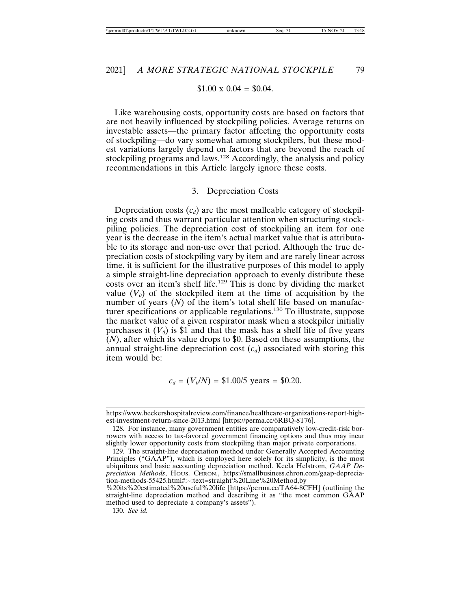#### $$1.00 \times 0.04 = $0.04$ .

Like warehousing costs, opportunity costs are based on factors that are not heavily influenced by stockpiling policies. Average returns on investable assets—the primary factor affecting the opportunity costs of stockpiling—do vary somewhat among stockpilers, but these modest variations largely depend on factors that are beyond the reach of stockpiling programs and laws.<sup>128</sup> Accordingly, the analysis and policy recommendations in this Article largely ignore these costs.

#### 3. Depreciation Costs

Depreciation costs  $(c_d)$  are the most malleable category of stockpiling costs and thus warrant particular attention when structuring stockpiling policies. The depreciation cost of stockpiling an item for one year is the decrease in the item's actual market value that is attributable to its storage and non-use over that period. Although the true depreciation costs of stockpiling vary by item and are rarely linear across time, it is sufficient for the illustrative purposes of this model to apply a simple straight-line depreciation approach to evenly distribute these costs over an item's shelf life.129 This is done by dividing the market value  $(V_0)$  of the stockpiled item at the time of acquisition by the number of years (N) of the item's total shelf life based on manufacturer specifications or applicable regulations.130 To illustrate, suppose the market value of a given respirator mask when a stockpiler initially purchases it  $(V_0)$  is \$1 and that the mask has a shelf life of five years  $(N)$ , after which its value drops to \$0. Based on these assumptions, the annual straight-line depreciation cost  $(c_d)$  associated with storing this item would be:

$$
c_d = (V_0/N) = \$1.00/5 \text{ years} = \$0.20.
$$

130. *See id.*

https://www.beckershospitalreview.com/finance/healthcare-organizations-report-highest-investment-return-since-2013.html [https://perma.cc/6RBQ-8T76].

<sup>128.</sup> For instance, many government entities are comparatively low-credit-risk borrowers with access to tax-favored government financing options and thus may incur slightly lower opportunity costs from stockpiling than major private corporations.

<sup>129.</sup> The straight-line depreciation method under Generally Accepted Accounting Principles ("GAAP"), which is employed here solely for its simplicity, is the most ubiquitous and basic accounting depreciation method. Keela Helstrom, *GAAP Depreciation Methods*, HOUS. CHRON., https://smallbusiness.chron.com/gaap-depreciation-methods-55425.html#:~:text=straight%20Line%20Method,by

<sup>%20</sup>its%20estimated%20useful%20life [https://perma.cc/TA64-8CFH] (outlining the straight-line depreciation method and describing it as "the most common GAAP method used to depreciate a company's assets").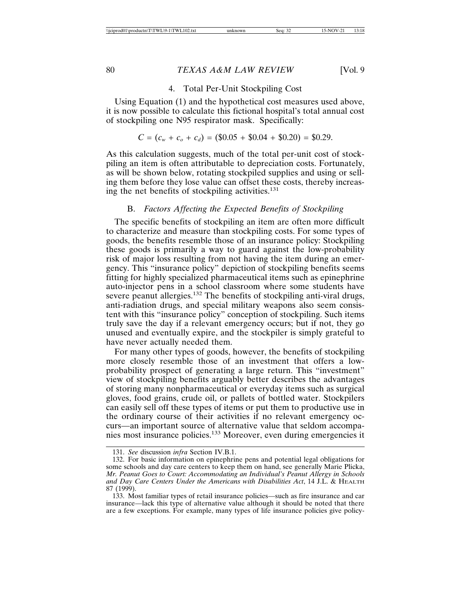#### 4. Total Per-Unit Stockpiling Cost

Using Equation (1) and the hypothetical cost measures used above, it is now possible to calculate this fictional hospital's total annual cost of stockpiling one N95 respirator mask. Specifically:

$$
C = (c_w + c_o + c_d) = (\$0.05 + \$0.04 + \$0.20) = \$0.29.
$$

As this calculation suggests, much of the total per-unit cost of stockpiling an item is often attributable to depreciation costs. Fortunately, as will be shown below, rotating stockpiled supplies and using or selling them before they lose value can offset these costs, thereby increasing the net benefits of stockpiling activities.<sup>131</sup>

## B. *Factors Affecting the Expected Benefits of Stockpiling*

The specific benefits of stockpiling an item are often more difficult to characterize and measure than stockpiling costs. For some types of goods, the benefits resemble those of an insurance policy: Stockpiling these goods is primarily a way to guard against the low-probability risk of major loss resulting from not having the item during an emergency. This "insurance policy" depiction of stockpiling benefits seems fitting for highly specialized pharmaceutical items such as epinephrine auto-injector pens in a school classroom where some students have severe peanut allergies.<sup>132</sup> The benefits of stockpiling anti-viral drugs, anti-radiation drugs, and special military weapons also seem consistent with this "insurance policy" conception of stockpiling. Such items truly save the day if a relevant emergency occurs; but if not, they go unused and eventually expire, and the stockpiler is simply grateful to have never actually needed them.

For many other types of goods, however, the benefits of stockpiling more closely resemble those of an investment that offers a lowprobability prospect of generating a large return. This "investment" view of stockpiling benefits arguably better describes the advantages of storing many nonpharmaceutical or everyday items such as surgical gloves, food grains, crude oil, or pallets of bottled water. Stockpilers can easily sell off these types of items or put them to productive use in the ordinary course of their activities if no relevant emergency occurs—an important source of alternative value that seldom accompanies most insurance policies.133 Moreover, even during emergencies it

<sup>131.</sup> *See* discussion *infra* Section IV.B.1.

<sup>132.</sup> For basic information on epinephrine pens and potential legal obligations for some schools and day care centers to keep them on hand, see generally Marie Plicka, *Mr. Peanut Goes to Court: Accommodating an Individual's Peanut Allergy in Schools and Day Care Centers Under the Americans with Disabilities Act*, 14 J.L. & HEALTH 87 (1999).

<sup>133.</sup> Most familiar types of retail insurance policies—such as fire insurance and car insurance—lack this type of alternative value although it should be noted that there are a few exceptions. For example, many types of life insurance policies give policy-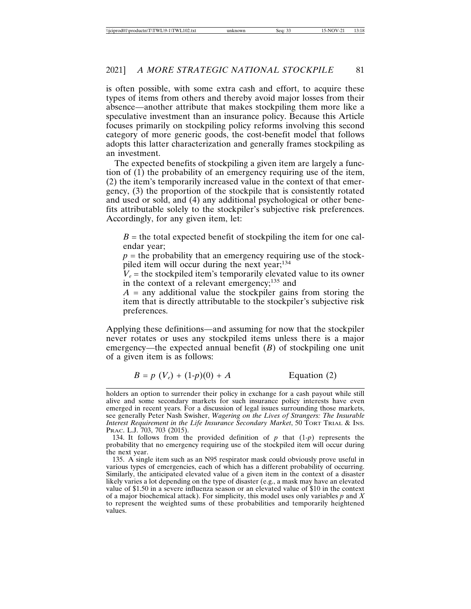is often possible, with some extra cash and effort, to acquire these types of items from others and thereby avoid major losses from their absence—another attribute that makes stockpiling them more like a speculative investment than an insurance policy. Because this Article focuses primarily on stockpiling policy reforms involving this second category of more generic goods, the cost-benefit model that follows adopts this latter characterization and generally frames stockpiling as an investment.

The expected benefits of stockpiling a given item are largely a function of (1) the probability of an emergency requiring use of the item, (2) the item's temporarily increased value in the context of that emergency, (3) the proportion of the stockpile that is consistently rotated and used or sold, and (4) any additional psychological or other benefits attributable solely to the stockpiler's subjective risk preferences. Accordingly, for any given item, let:

 $B =$  the total expected benefit of stockpiling the item for one calendar year;

 $p =$  the probability that an emergency requiring use of the stockpiled item will occur during the next year;<sup>134</sup>

 $V_e$  = the stockpiled item's temporarily elevated value to its owner in the context of a relevant emergency;<sup>135</sup> and

 $A =$ any additional value the stockpiler gains from storing the item that is directly attributable to the stockpiler's subjective risk preferences.

Applying these definitions—and assuming for now that the stockpiler never rotates or uses any stockpiled items unless there is a major emergency—the expected annual benefit (*B*) of stockpiling one unit of a given item is as follows:

$$
B = p(V_e) + (1-p)(0) + A
$$
 Equation (2)

134. It follows from the provided definition of  $p$  that  $(1-p)$  represents the probability that no emergency requiring use of the stockpiled item will occur during the next year.

135. A single item such as an N95 respirator mask could obviously prove useful in various types of emergencies, each of which has a different probability of occurring. Similarly, the anticipated elevated value of a given item in the context of a disaster likely varies a lot depending on the type of disaster (e.g., a mask may have an elevated value of \$1.50 in a severe influenza season or an elevated value of \$10 in the context of a major biochemical attack). For simplicity, this model uses only variables *p* and *X* to represent the weighted sums of these probabilities and temporarily heightened values.

holders an option to surrender their policy in exchange for a cash payout while still alive and some secondary markets for such insurance policy interests have even emerged in recent years. For a discussion of legal issues surrounding those markets, see generally Peter Nash Swisher, *Wagering on the Lives of Strangers: The Insurable Interest Requirement in the Life Insurance Secondary Market*, 50 TORT TRIAL & INS. PRAC. L.J. 703, 703 (2015).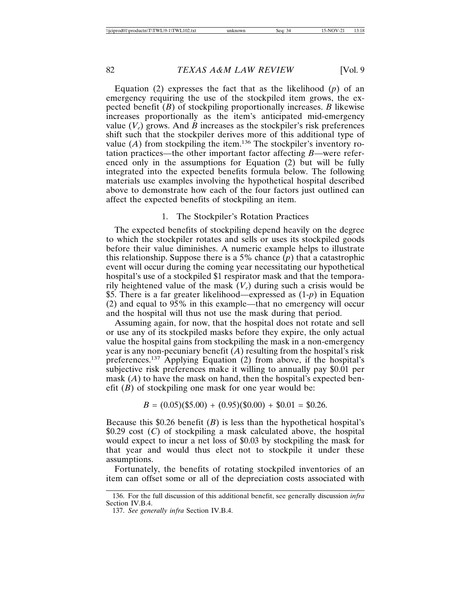Equation (2) expresses the fact that as the likelihood (*p*) of an emergency requiring the use of the stockpiled item grows, the expected benefit (*B*) of stockpiling proportionally increases. *B* likewise increases proportionally as the item's anticipated mid-emergency value  $(V_e)$  grows. And *B* increases as the stockpiler's risk preferences shift such that the stockpiler derives more of this additional type of value  $(A)$  from stockpiling the item.<sup>136</sup> The stockpiler's inventory rotation practices—the other important factor affecting *B*—were referenced only in the assumptions for Equation (2) but will be fully integrated into the expected benefits formula below. The following materials use examples involving the hypothetical hospital described above to demonstrate how each of the four factors just outlined can affect the expected benefits of stockpiling an item.

#### 1. The Stockpiler's Rotation Practices

The expected benefits of stockpiling depend heavily on the degree to which the stockpiler rotates and sells or uses its stockpiled goods before their value diminishes. A numeric example helps to illustrate this relationship. Suppose there is a 5% chance (*p*) that a catastrophic event will occur during the coming year necessitating our hypothetical hospital's use of a stockpiled \$1 respirator mask and that the temporarily heightened value of the mask  $(V_e)$  during such a crisis would be \$5. There is a far greater likelihood—expressed as (1-*p*) in Equation (2) and equal to 95% in this example—that no emergency will occur and the hospital will thus not use the mask during that period.

Assuming again, for now, that the hospital does not rotate and sell or use any of its stockpiled masks before they expire, the only actual value the hospital gains from stockpiling the mask in a non-emergency year is any non-pecuniary benefit (*A*) resulting from the hospital's risk preferences.137 Applying Equation (2) from above, if the hospital's subjective risk preferences make it willing to annually pay \$0.01 per mask (*A*) to have the mask on hand, then the hospital's expected benefit  $(B)$  of stockpiling one mask for one year would be:

$$
B = (0.05)(\$5.00) + (0.95)(\$0.00) + \$0.01 = \$0.26.
$$

Because this \$0.26 benefit  $(B)$  is less than the hypothetical hospital's \$0.29 cost (*C*) of stockpiling a mask calculated above, the hospital would expect to incur a net loss of \$0.03 by stockpiling the mask for that year and would thus elect not to stockpile it under these assumptions.

Fortunately, the benefits of rotating stockpiled inventories of an item can offset some or all of the depreciation costs associated with

<sup>136.</sup> For the full discussion of this additional benefit, see generally discussion *infra* Section IV.B.4.

<sup>137.</sup> *See generally infra* Section IV.B.4.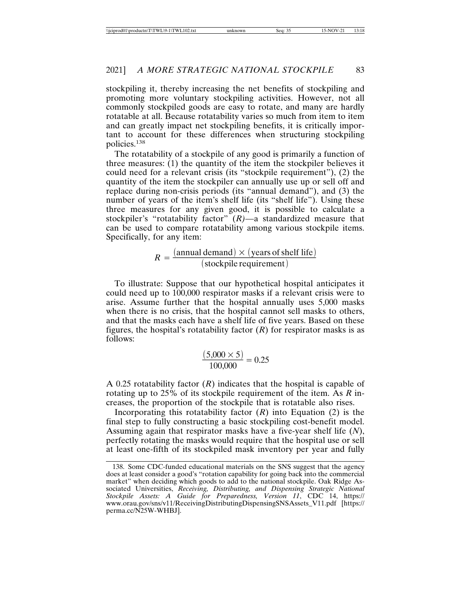stockpiling it, thereby increasing the net benefits of stockpiling and promoting more voluntary stockpiling activities. However, not all commonly stockpiled goods are easy to rotate, and many are hardly rotatable at all. Because rotatability varies so much from item to item and can greatly impact net stockpiling benefits, it is critically important to account for these differences when structuring stockpiling policies.<sup>138</sup>

The rotatability of a stockpile of any good is primarily a function of three measures: (1) the quantity of the item the stockpiler believes it could need for a relevant crisis (its "stockpile requirement"), (2) the quantity of the item the stockpiler can annually use up or sell off and replace during non-crisis periods (its "annual demand"), and (3) the number of years of the item's shelf life (its "shelf life"). Using these three measures for any given good, it is possible to calculate a stockpiler's "rotatability factor" (*R)*—a standardized measure that can be used to compare rotatability among various stockpile items. Specifically, for any item:

$$
R = \frac{(\text{annual demand}) \times (\text{years of shelf life})}{(\text{stockpile requirement})}
$$

To illustrate: Suppose that our hypothetical hospital anticipates it could need up to 100,000 respirator masks if a relevant crisis were to arise. Assume further that the hospital annually uses 5,000 masks when there is no crisis, that the hospital cannot sell masks to others, and that the masks each have a shelf life of five years. Based on these figures, the hospital's rotatability factor  $(R)$  for respirator masks is as follows:

$$
\frac{(5,000 \times 5)}{100,000} = 0.25
$$

A 0.25 rotatability factor (*R*) indicates that the hospital is capable of rotating up to 25% of its stockpile requirement of the item. As *R* increases, the proportion of the stockpile that is rotatable also rises.

Incorporating this rotatability factor  $(R)$  into Equation  $(2)$  is the final step to fully constructing a basic stockpiling cost-benefit model. Assuming again that respirator masks have a five-year shelf life (*N*), perfectly rotating the masks would require that the hospital use or sell at least one-fifth of its stockpiled mask inventory per year and fully

<sup>138.</sup> Some CDC-funded educational materials on the SNS suggest that the agency does at least consider a good's "rotation capability for going back into the commercial market" when deciding which goods to add to the national stockpile. Oak Ridge Associated Universities, *Receiving, Distributing, and Dispensing Strategic National Stockpile Assets: A Guide for Preparedness, Version 11*, CDC 14, https:// www.orau.gov/sns/v11/ReceivingDistributingDispensingSNSAssets\_V11.pdf [https:// perma.cc/N25W-WHBJ].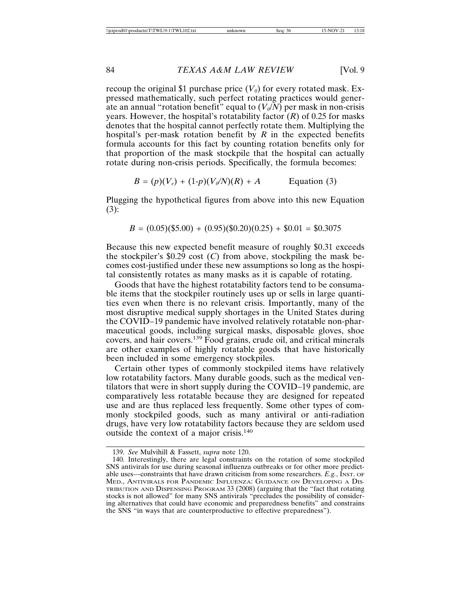recoup the original \$1 purchase price  $(V_0)$  for every rotated mask. Expressed mathematically, such perfect rotating practices would generate an annual "rotation benefit" equal to  $(V_0/N)$  per mask in non-crisis years. However, the hospital's rotatability factor (*R*) of 0.25 for masks denotes that the hospital cannot perfectly rotate them. Multiplying the hospital's per-mask rotation benefit by *R* in the expected benefits formula accounts for this fact by counting rotation benefits only for that proportion of the mask stockpile that the hospital can actually rotate during non-crisis periods. Specifically, the formula becomes:

$$
B = (p)(V_e) + (1-p)(V_o/N)(R) + A
$$
 Equation (3)

Plugging the hypothetical figures from above into this new Equation (3):

$$
B = (0.05)(\$5.00) + (0.95)(\$0.20)(0.25) + \$0.01 = \$0.3075
$$

Because this new expected benefit measure of roughly \$0.31 exceeds the stockpiler's  $$0.29$  cost (*C*) from above, stockpiling the mask becomes cost-justified under these new assumptions so long as the hospital consistently rotates as many masks as it is capable of rotating.

Goods that have the highest rotatability factors tend to be consumable items that the stockpiler routinely uses up or sells in large quantities even when there is no relevant crisis. Importantly, many of the most disruptive medical supply shortages in the United States during the COVID–19 pandemic have involved relatively rotatable non-pharmaceutical goods, including surgical masks, disposable gloves, shoe covers, and hair covers.139 Food grains, crude oil, and critical minerals are other examples of highly rotatable goods that have historically been included in some emergency stockpiles.

Certain other types of commonly stockpiled items have relatively low rotatability factors. Many durable goods, such as the medical ventilators that were in short supply during the COVID–19 pandemic, are comparatively less rotatable because they are designed for repeated use and are thus replaced less frequently. Some other types of commonly stockpiled goods, such as many antiviral or anti-radiation drugs, have very low rotatability factors because they are seldom used outside the context of a major crisis.<sup>140</sup>

<sup>139.</sup> *See* Mulvihill & Fassett, *supra* note 120.

<sup>140.</sup> Interestingly, there are legal constraints on the rotation of some stockpiled SNS antivirals for use during seasonal influenza outbreaks or for other more predictable uses—constraints that have drawn criticism from some researchers. *E.g.*, INST. OF MED., ANTIVIRALS FOR PANDEMIC INFLUENZA: GUIDANCE ON DEVELOPING A DIS-TRIBUTION AND DISPENSING PROGRAM 33 (2008) (arguing that the "fact that rotating stocks is not allowed" for many SNS antivirals "precludes the possibility of considering alternatives that could have economic and preparedness benefits" and constrains the SNS "in ways that are counterproductive to effective preparedness").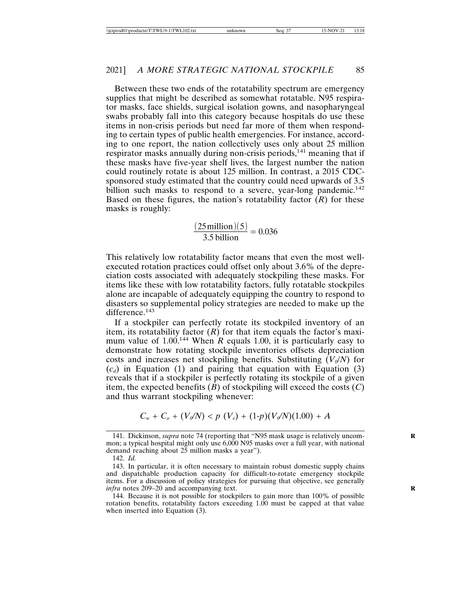Between these two ends of the rotatability spectrum are emergency supplies that might be described as somewhat rotatable. N95 respirator masks, face shields, surgical isolation gowns, and nasopharyngeal swabs probably fall into this category because hospitals do use these items in non-crisis periods but need far more of them when responding to certain types of public health emergencies. For instance, according to one report, the nation collectively uses only about 25 million respirator masks annually during non-crisis periods,<sup>141</sup> meaning that if these masks have five-year shelf lives, the largest number the nation could routinely rotate is about 125 million. In contrast, a 2015 CDCsponsored study estimated that the country could need upwards of 3.5 billion such masks to respond to a severe, year-long pandemic.<sup>142</sup> Based on these figures, the nation's rotatability factor  $(R)$  for these masks is roughly:

 $\frac{(25 \text{ million})(5)}{3.5 \text{ billion}} = 0.036$ 

This relatively low rotatability factor means that even the most wellexecuted rotation practices could offset only about 3.6% of the depreciation costs associated with adequately stockpiling these masks. For items like these with low rotatability factors, fully rotatable stockpiles alone are incapable of adequately equipping the country to respond to disasters so supplemental policy strategies are needed to make up the difference.<sup>143</sup>

If a stockpiler can perfectly rotate its stockpiled inventory of an item, its rotatability factor  $(R)$  for that item equals the factor's maximum value of  $1.00^{144}$  When *R* equals 1.00, it is particularly easy to demonstrate how rotating stockpile inventories offsets depreciation costs and increases net stockpiling benefits. Substituting  $(V_0/N)$  for  $(c_d)$  in Equation (1) and pairing that equation with Equation (3) reveals that if a stockpiler is perfectly rotating its stockpile of a given item, the expected benefits  $(\overline{B})$  of stockpiling will exceed the costs  $(C)$ and thus warrant stockpiling whenever:

$$
C_w + C_o + (V_o/N) < p(V_e) + (1-p)(V_o/N)(1.00) + A
$$

<sup>141.</sup> Dickinson, *supra* note 74 (reporting that "N95 mask usage is relatively uncommon; a typical hospital might only use 6,000 N95 masks over a full year, with national demand reaching about 25 million masks a year").

<sup>142.</sup> *Id.*

<sup>143.</sup> In particular, it is often necessary to maintain robust domestic supply chains and dispatchable production capacity for difficult-to-rotate emergency stockpile items. For a discussion of policy strategies for pursuing that objective, see generally *infra* notes 209–20 and accompanying text.

<sup>144.</sup> Because it is not possible for stockpilers to gain more than 100% of possible rotation benefits, rotatability factors exceeding 1.00 must be capped at that value when inserted into Equation (3).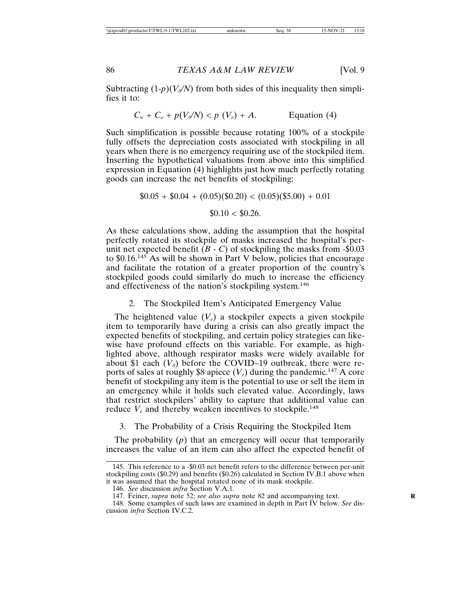Subtracting  $(1-p)(V_o/N)$  from both sides of this inequality then simplifies it to:

$$
C_w + C_o + p(V_0/N) < p(V_e) + A. \qquad \text{Equation (4)}
$$

Such simplification is possible because rotating 100% of a stockpile fully offsets the depreciation costs associated with stockpiling in all years when there is no emergency requiring use of the stockpiled item. Inserting the hypothetical valuations from above into this simplified expression in Equation (4) highlights just how much perfectly rotating goods can increase the net benefits of stockpiling:

$$
$0.05 + $0.04 + (0.05)(\$0.20) < (0.05)(\$5.00) + 0.01
$$

\$0.10 < \$0.26.

As these calculations show, adding the assumption that the hospital perfectly rotated its stockpile of masks increased the hospital's perunit net expected benefit  $(B - C)$  of stockpiling the masks from  $-\$0.03$ to \$0.16.145 As will be shown in Part V below, policies that encourage and facilitate the rotation of a greater proportion of the country's stockpiled goods could similarly do much to increase the efficiency and effectiveness of the nation's stockpiling system.<sup>146</sup>

## 2. The Stockpiled Item's Anticipated Emergency Value

The heightened value  $(V_e)$  a stockpiler expects a given stockpile item to temporarily have during a crisis can also greatly impact the expected benefits of stockpiling, and certain policy strategies can likewise have profound effects on this variable. For example, as highlighted above, although respirator masks were widely available for about \$1 each  $(V_0)$  before the COVID–19 outbreak, there were reports of sales at roughly \$8 apiece  $(V_e)$  during the pandemic.<sup>147</sup> A core benefit of stockpiling any item is the potential to use or sell the item in an emergency while it holds such elevated value. Accordingly, laws that restrict stockpilers' ability to capture that additional value can reduce  $V_e$  and thereby weaken incentives to stockpile.<sup>148</sup>

## 3. The Probability of a Crisis Requiring the Stockpiled Item

The probability (*p*) that an emergency will occur that temporarily increases the value of an item can also affect the expected benefit of

<sup>145.</sup> This reference to a -\$0.03 net benefit refers to the difference between per-unit stockpiling costs (\$0.29) and benefits (\$0.26) calculated in Section IV.B.1 above when it was assumed that the hospital rotated none of its mask stockpile.

<sup>146.</sup> *See* discussion *infra* Section V.A.1*.*

<sup>147.</sup> Feiner, *supra* note 52; *see also supra* note 82 and accompanying text. **R**

<sup>148.</sup> Some examples of such laws are examined in depth in Part IV below. *See* discussion *infra* Section IV.C.2.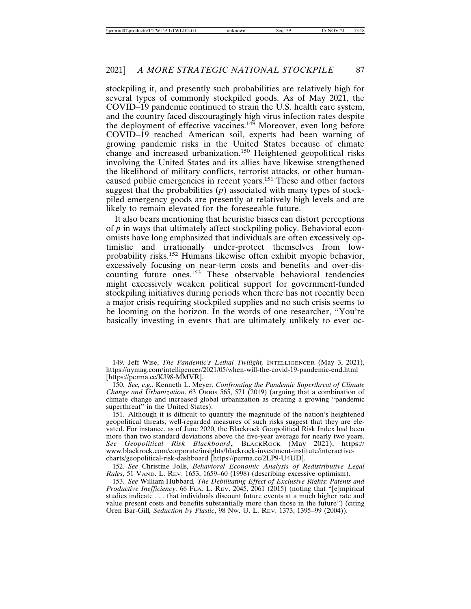stockpiling it, and presently such probabilities are relatively high for several types of commonly stockpiled goods. As of May 2021, the COVID–19 pandemic continued to strain the U.S. health care system, and the country faced discouragingly high virus infection rates despite the deployment of effective vaccines.<sup>149</sup> Moreover, even long before COVID–19 reached American soil, experts had been warning of growing pandemic risks in the United States because of climate change and increased urbanization.<sup>150</sup> Heightened geopolitical risks involving the United States and its allies have likewise strengthened the likelihood of military conflicts, terrorist attacks, or other humancaused public emergencies in recent years.151 These and other factors suggest that the probabilities  $(p)$  associated with many types of stockpiled emergency goods are presently at relatively high levels and are likely to remain elevated for the foreseeable future.

It also bears mentioning that heuristic biases can distort perceptions of *p* in ways that ultimately affect stockpiling policy. Behavioral economists have long emphasized that individuals are often excessively optimistic and irrationally under-protect themselves from lowprobability risks.152 Humans likewise often exhibit myopic behavior, excessively focusing on near-term costs and benefits and over-discounting future ones.<sup>153</sup> These observable behavioral tendencies might excessively weaken political support for government-funded stockpiling initiatives during periods when there has not recently been a major crisis requiring stockpiled supplies and no such crisis seems to be looming on the horizon. In the words of one researcher, "You're basically investing in events that are ultimately unlikely to ever oc-

<sup>149.</sup> Jeff Wise, *The Pandemic's Lethal Twilight,* INTELLIGENCER (May 3, 2021), https://nymag.com/intelligencer/2021/05/when-will-the-covid-19-pandemic-end.html [https://perma.cc/KJ98-MMVR].

<sup>150.</sup> *See, e.g.*, Kenneth L. Meyer, *Confronting the Pandemic Superthreat of Climate Change and Urbanization*, 63 ORBIS 565, 571 (2019) (arguing that a combination of climate change and increased global urbanization as creating a growing "pandemic superthreat" in the United States).

<sup>151.</sup> Although it is difficult to quantify the magnitude of the nation's heightened geopolitical threats, well-regarded measures of such risks suggest that they are elevated. For instance, as of June 2020, the Blackrock Geopolitical Risk Index had been more than two standard deviations above the five-year average for nearly two years. *See Geopolitical Risk Blackboard*, BLACKROCK (May 2021), https:// www.blackrock.com/corporate/insights/blackrock-investment-institute/interactivecharts/geopolitical-risk-dashboard [https://perma.cc/2LP9-U4UD].

<sup>152.</sup> *See* Christine Jolls, *Behavioral Economic Analysis of Redistributive Legal Rules*, 51 VAND. L. REV. 1653, 1659–60 (1998) (describing excessive optimism).

<sup>153.</sup> *See* William Hubbard*, The Debilitating Effect of Exclusive Rights: Patents and Productive Inefficiency,* 66 FLA. L. REV. 2045, 2061 (2015) (noting that "[e]mpirical studies indicate . . . that individuals discount future events at a much higher rate and value present costs and benefits substantially more than those in the future") (citing Oren Bar-Gill*, Seduction by Plastic*, 98 NW. U. L. REV. 1373, 1395–99 (2004)).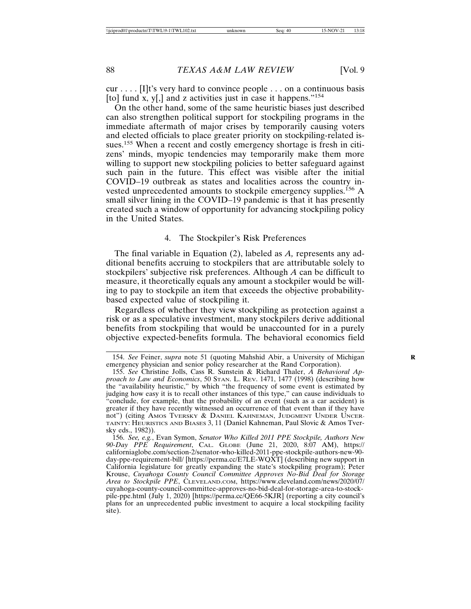cur . . . . [I]t's very hard to convince people . . . on a continuous basis [to] fund x, y[,] and z activities just in case it happens."<sup>154</sup>

On the other hand, some of the same heuristic biases just described can also strengthen political support for stockpiling programs in the immediate aftermath of major crises by temporarily causing voters and elected officials to place greater priority on stockpiling-related issues.<sup>155</sup> When a recent and costly emergency shortage is fresh in citizens' minds, myopic tendencies may temporarily make them more willing to support new stockpiling policies to better safeguard against such pain in the future. This effect was visible after the initial COVID–19 outbreak as states and localities across the country invested unprecedented amounts to stockpile emergency supplies.<sup>156</sup> A small silver lining in the COVID–19 pandemic is that it has presently created such a window of opportunity for advancing stockpiling policy in the United States.

## 4. The Stockpiler's Risk Preferences

The final variable in Equation (2), labeled as *A,* represents any additional benefits accruing to stockpilers that are attributable solely to stockpilers' subjective risk preferences. Although *A* can be difficult to measure, it theoretically equals any amount a stockpiler would be willing to pay to stockpile an item that exceeds the objective probabilitybased expected value of stockpiling it.

Regardless of whether they view stockpiling as protection against a risk or as a speculative investment, many stockpilers derive additional benefits from stockpiling that would be unaccounted for in a purely objective expected-benefits formula. The behavioral economics field

<sup>154.</sup> *See* Feiner, *supra* note 51 (quoting Mahshid Abir, a University of Michigan **R** emergency physician and senior policy researcher at the Rand Corporation).

<sup>155.</sup> *See* Christine Jolls, Cass R. Sunstein & Richard Thaler, *A Behavioral Approach to Law and Economics*, 50 STAN. L. REV. 1471, 1477 (1998) (describing how the "availability heuristic," by which "the frequency of some event is estimated by judging how easy it is to recall other instances of this type," can cause individuals to "conclude, for example, that the probability of an event (such as a car accident) is greater if they have recently witnessed an occurrence of that event than if they have not") (citing AMOS TVERSKY & DANIEL KAHNEMAN, JUDGMENT UNDER UNCER-TAINTY: HEURISTICS AND BIASES 3, 11 (Daniel Kahneman, Paul Slovic & Amos Tversky eds., 1982)).

<sup>156.</sup> *See, e.g.*, Evan Symon, *Senator Who Killed 2011 PPE Stockpile, Authors New 90-Day PPE Requirement*, CAL. GLOBE (June 21, 2020, 8:07 AM), https:// californiaglobe.com/section-2/senator-who-killed-2011-ppe-stockpile-authors-new-90 day-ppe-requirement-bill/ [https://perma.cc/E7LE-WQXT] (describing new support in California legislature for greatly expanding the state's stockpiling program); Peter Krouse, *Cuyahoga County Council Committee Approves No-Bid Deal for Storage Area to Stockpile PPE*, CLEVELAND.COM, https://www.cleveland.com/news/2020/07/ cuyahoga-county-council-committee-approves-no-bid-deal-for-storage-area-to-stockpile-ppe.html (July 1, 2020) [https://perma.cc/QE66-5KJR] (reporting a city council's plans for an unprecedented public investment to acquire a local stockpiling facility site).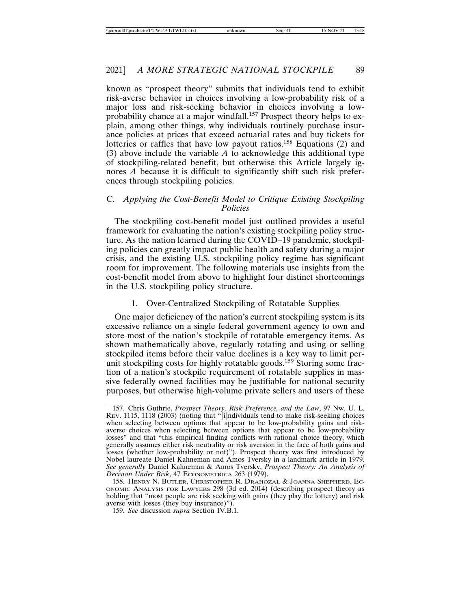known as "prospect theory" submits that individuals tend to exhibit risk-averse behavior in choices involving a low-probability risk of a major loss and risk-seeking behavior in choices involving a lowprobability chance at a major windfall.<sup>157</sup> Prospect theory helps to explain, among other things, why individuals routinely purchase insurance policies at prices that exceed actuarial rates and buy tickets for lotteries or raffles that have low payout ratios.158 Equations (2) and (3) above include the variable *A* to acknowledge this additional type of stockpiling-related benefit, but otherwise this Article largely ignores *A* because it is difficult to significantly shift such risk preferences through stockpiling policies.

## C. *Applying the Cost-Benefit Model to Critique Existing Stockpiling Policies*

The stockpiling cost-benefit model just outlined provides a useful framework for evaluating the nation's existing stockpiling policy structure. As the nation learned during the COVID–19 pandemic, stockpiling policies can greatly impact public health and safety during a major crisis, and the existing U.S. stockpiling policy regime has significant room for improvement. The following materials use insights from the cost-benefit model from above to highlight four distinct shortcomings in the U.S. stockpiling policy structure.

## 1. Over-Centralized Stockpiling of Rotatable Supplies

One major deficiency of the nation's current stockpiling system is its excessive reliance on a single federal government agency to own and store most of the nation's stockpile of rotatable emergency items. As shown mathematically above, regularly rotating and using or selling stockpiled items before their value declines is a key way to limit perunit stockpiling costs for highly rotatable goods.<sup>159</sup> Storing some fraction of a nation's stockpile requirement of rotatable supplies in massive federally owned facilities may be justifiable for national security purposes, but otherwise high-volume private sellers and users of these

<sup>157.</sup> Chris Guthrie, *Prospect Theory, Risk Preference, and the Law*, 97 NW. U. L. REV. 1115, 1118 (2003) (noting that "[i]ndividuals tend to make risk-seeking choices when selecting between options that appear to be low-probability gains and riskaverse choices when selecting between options that appear to be low-probability losses" and that "this empirical finding conflicts with rational choice theory, which generally assumes either risk neutrality or risk aversion in the face of both gains and losses (whether low-probability or not)"). Prospect theory was first introduced by Nobel laureate Daniel Kahneman and Amos Tversky in a landmark article in 1979. *See generally* Daniel Kahneman & Amos Tversky, *Prospect Theory: An Analysis of Decision Under Risk*, 47 ECONOMETRICA 263 (1979).

<sup>158.</sup> HENRY N. BUTLER, CHRISTOPHER R. DRAHOZAL & JOANNA SHEPHERD, EC-ONOMIC ANALYSIS FOR LAWYERS 298 (3d ed. 2014) (describing prospect theory as holding that "most people are risk seeking with gains (they play the lottery) and risk averse with losses (they buy insurance)").

<sup>159.</sup> *See* discussion *supra* Section IV.B.1.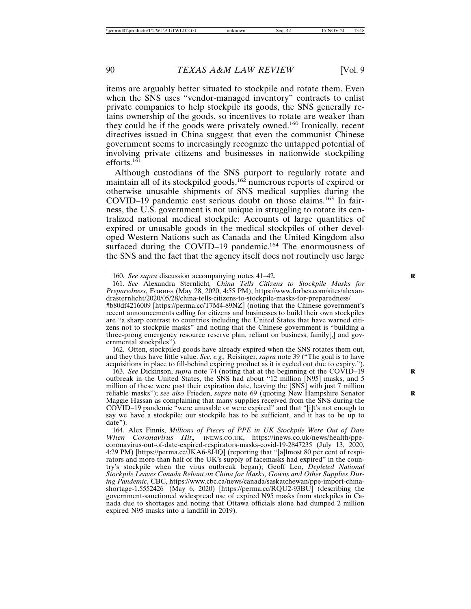items are arguably better situated to stockpile and rotate them. Even when the SNS uses "vendor-managed inventory" contracts to enlist private companies to help stockpile its goods, the SNS generally retains ownership of the goods, so incentives to rotate are weaker than they could be if the goods were privately owned.160 Ironically, recent directives issued in China suggest that even the communist Chinese government seems to increasingly recognize the untapped potential of involving private citizens and businesses in nationwide stockpiling efforts. $161$ 

Although custodians of the SNS purport to regularly rotate and maintain all of its stockpiled goods,<sup>162</sup> numerous reports of expired or otherwise unusable shipments of SNS medical supplies during the COVID–19 pandemic cast serious doubt on those claims.163 In fairness, the U.S. government is not unique in struggling to rotate its centralized national medical stockpile: Accounts of large quantities of expired or unusable goods in the medical stockpiles of other developed Western Nations such as Canada and the United Kingdom also surfaced during the COVID–19 pandemic.<sup>164</sup> The enormousness of the SNS and the fact that the agency itself does not routinely use large

161. *See* Alexandra Sternlicht*, China Tells Citizens to Stockpile Masks for Preparedness*, FORBES (May 28, 2020, 4:55 PM), https://www.forbes.com/sites/alexandrasternlicht/2020/05/28/china-tells-citizens-to-stockpile-masks-for-preparedness/ #b80df4216009 [https://perma.cc/T7M4-89NZ] (noting that the Chinese government's recent announcements calling for citizens and businesses to build their own stockpiles are "a sharp contrast to countries including the United States that have warned citizens not to stockpile masks" and noting that the Chinese government is "building a three-prong emergency resource reserve plan, reliant on business, family[,] and governmental stockpiles").

162. Often, stockpiled goods have already expired when the SNS rotates them out, and they thus have little value. *See, e.g.,* Reisinger, *supra* note 39 ("The goal is to have acquisitions in place to fill-behind expiring product as it is cycled out due to expiry.").

163. *See Dickinson, supra* note  $74$  (noting that at the beginning of the COVID–19 outbreak in the United States, the SNS had about "12 million [N95] masks, and 5 million of these were past their expiration date, leaving the [SNS] with just 7 million reliable masks"); *see also* Frieden, *supra* note 69 (quoting New Hampshire Senator Maggie Hassan as complaining that many supplies received from the SNS during the COVID–19 pandemic "were unusable or were expired" and that "[i]t's not enough to say we have a stockpile; our stockpile has to be sufficient, and it has to be up to date").

<sup>160.</sup> *See supra* discussion accompanying notes 41–42. **R**

<sup>164.</sup> Alex Finnis, *Millions of Pieces of PPE in UK Stockpile Were Out of Date When Coronavirus Hit*, INEWS.CO.UK, https://inews.co.uk/news/health/ppecoronavirus-out-of-date-expired-respirators-masks-covid-19-2847235 (July 13, 2020, 4:29 PM) [https://perma.cc/JKA6-8J4Q] (reporting that "[a]lmost 80 per cent of respirators and more than half of the UK's supply of facemasks had expired" in the country's stockpile when the virus outbreak began); Geoff Leo, *Depleted National Stockpile Leaves Canada Reliant on China for Masks, Gowns and Other Supplies During Pandemic*, CBC, https://www.cbc.ca/news/canada/saskatchewan/ppe-import-chinashortage-1.5552426 (May 6, 2020) [https://perma.cc/RQU2-93BU] (describing the government-sanctioned widespread use of expired N95 masks from stockpiles in Canada due to shortages and noting that Ottawa officials alone had dumped 2 million expired N95 masks into a landfill in 2019).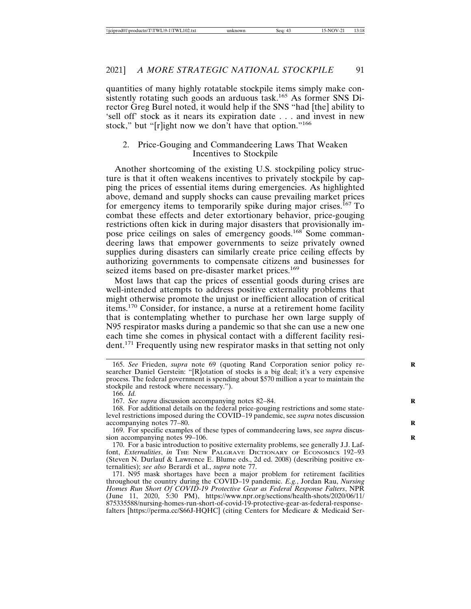quantities of many highly rotatable stockpile items simply make consistently rotating such goods an arduous task.<sup>165</sup> As former SNS Director Greg Burel noted, it would help if the SNS "had [the] ability to 'sell off' stock as it nears its expiration date . . . and invest in new stock," but "[r]ight now we don't have that option."<sup>166</sup>

## 2. Price-Gouging and Commandeering Laws That Weaken Incentives to Stockpile

Another shortcoming of the existing U.S. stockpiling policy structure is that it often weakens incentives to privately stockpile by capping the prices of essential items during emergencies. As highlighted above, demand and supply shocks can cause prevailing market prices for emergency items to temporarily spike during major crises.<sup> $167$ </sup> To combat these effects and deter extortionary behavior, price-gouging restrictions often kick in during major disasters that provisionally impose price ceilings on sales of emergency goods.<sup>168</sup> Some commandeering laws that empower governments to seize privately owned supplies during disasters can similarly create price ceiling effects by authorizing governments to compensate citizens and businesses for seized items based on pre-disaster market prices.<sup>169</sup>

Most laws that cap the prices of essential goods during crises are well-intended attempts to address positive externality problems that might otherwise promote the unjust or inefficient allocation of critical items.170 Consider, for instance, a nurse at a retirement home facility that is contemplating whether to purchase her own large supply of N95 respirator masks during a pandemic so that she can use a new one each time she comes in physical contact with a different facility resident.171 Frequently using new respirator masks in that setting not only

<sup>165.</sup> *See* Frieden, *supra* note 69 (quoting Rand Corporation senior policy re- **R** searcher Daniel Gerstein: "[R]otation of stocks is a big deal; it's a very expensive process. The federal government is spending about \$570 million a year to maintain the stockpile and restock where necessary.").

<sup>166.</sup> *Id.*

<sup>167.</sup> *See supra* discussion accompanying notes 82–84. **R**

<sup>168.</sup> For additional details on the federal price-gouging restrictions and some statelevel restrictions imposed during the COVID–19 pandemic, see *supra* notes discussion accompanying notes 77–80.

<sup>169.</sup> For specific examples of these types of commandeering laws, see *supra* discussion accompanying notes 99-106.

<sup>170.</sup> For a basic introduction to positive externality problems, see generally J.J. Laffont, *Externalities*, *in* THE NEW PALGRAVE DICTIONARY OF ECONOMICS 192–93 (Steven N. Durlauf & Lawrence E. Blume eds., 2d ed. 2008) (describing positive externalities); *see also* Berardi et al., *supra* note 77.

<sup>171.</sup> N95 mask shortages have been a major problem for retirement facilities throughout the country during the COVID–19 pandemic. *E.g.*, Jordan Rau, *Nursing Homes Run Short Of COVID-19 Protective Gear as Federal Response Falters*, NPR (June 11, 2020, 5:30 PM), https://www.npr.org/sections/health-shots/2020/06/11/ 875335588/nursing-homes-run-short-of-covid-19-protective-gear-as-federal-responsefalters [https://perma.cc/S66J-HQHC] (citing Centers for Medicare & Medicaid Ser-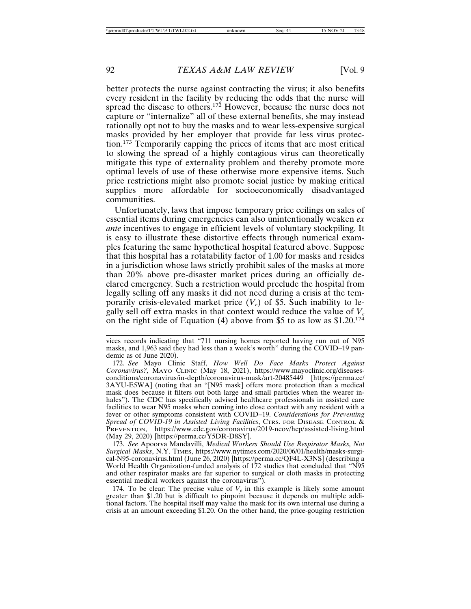better protects the nurse against contracting the virus; it also benefits every resident in the facility by reducing the odds that the nurse will spread the disease to others.<sup>172</sup> However, because the nurse does not capture or "internalize" all of these external benefits, she may instead rationally opt not to buy the masks and to wear less-expensive surgical masks provided by her employer that provide far less virus protection.173 Temporarily capping the prices of items that are most critical to slowing the spread of a highly contagious virus can theoretically mitigate this type of externality problem and thereby promote more optimal levels of use of these otherwise more expensive items. Such price restrictions might also promote social justice by making critical supplies more affordable for socioeconomically disadvantaged communities.

Unfortunately, laws that impose temporary price ceilings on sales of essential items during emergencies can also unintentionally weaken *ex ante* incentives to engage in efficient levels of voluntary stockpiling. It is easy to illustrate these distortive effects through numerical examples featuring the same hypothetical hospital featured above. Suppose that this hospital has a rotatability factor of 1.00 for masks and resides in a jurisdiction whose laws strictly prohibit sales of the masks at more than 20% above pre-disaster market prices during an officially declared emergency. Such a restriction would preclude the hospital from legally selling off any masks it did not need during a crisis at the temporarily crisis-elevated market price  $(V_e)$  of \$5. Such inability to legally sell off extra masks in that context would reduce the value of  $V_e$ on the right side of Equation (4) above from \$5 to as low as  $$1.20$ <sup>174</sup>

173. *See* Apoorva Mandavilli, *Medical Workers Should Use Respirator Masks, Not Surgical Masks*, N.Y. TIMES, https://www.nytimes.com/2020/06/01/health/masks-surgical-N95-coronavirus.html (June 26, 2020) [https://perma.cc/QF4L-X3NS] (describing a World Health Organization-funded analysis of 172 studies that concluded that "N95 and other respirator masks are far superior to surgical or cloth masks in protecting essential medical workers against the coronavirus").

174. To be clear: The precise value of  $V_e$  in this example is likely some amount greater than \$1.20 but is difficult to pinpoint because it depends on multiple additional factors. The hospital itself may value the mask for its own internal use during a crisis at an amount exceeding \$1.20. On the other hand, the price-gouging restriction

vices records indicating that "711 nursing homes reported having run out of N95 masks, and 1,963 said they had less than a week's worth" during the COVID–19 pandemic as of June 2020).

<sup>172.</sup> *See* Mayo Clinic Staff, *How Well Do Face Masks Protect Against Coronavirus?,* MAYO CLINIC (May 18, 2021), https://www.mayoclinic.org/diseasesconditions/coronavirus/in-depth/coronavirus-mask/art-20485449 [https://perma.cc/ 3AYU-E5WA] (noting that an "[N95 mask] offers more protection than a medical mask does because it filters out both large and small particles when the wearer inhales"). The CDC has specifically advised healthcare professionals in assisted care facilities to wear N95 masks when coming into close contact with any resident with a fever or other symptoms consistent with COVID–19. *Considerations for Preventing Spread of COVID-19 in Assisted Living Facilities*, CTRS. FOR DISEASE CONTROL & PREVENTION, https://www.cdc.gov/coronavirus/2019-ncov/hcp/assisted-living.html (May 29, 2020) [https://perma.cc/Y5DR-D8SY].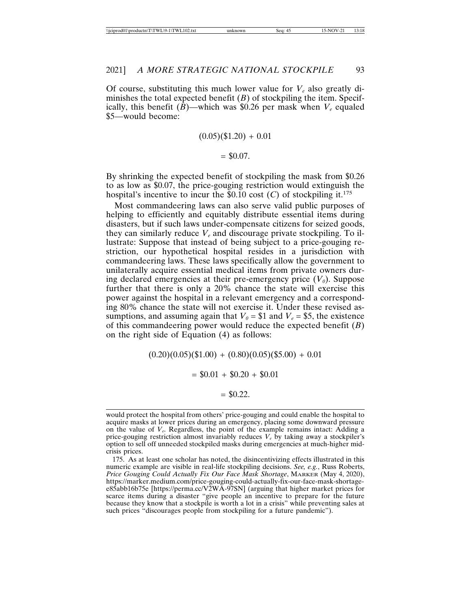Of course, substituting this much lower value for  $V_e$  also greatly diminishes the total expected benefit  $(B)$  of stockpiling the item. Specifically, this benefit  $(\bar{B})$ —which was \$0.26 per mask when  $V_e$  equaled \$5—would become:

$$
(0.05)(\$1.20) + 0.01
$$

$$
= $0.07.
$$

By shrinking the expected benefit of stockpiling the mask from \$0.26 to as low as \$0.07, the price-gouging restriction would extinguish the hospital's incentive to incur the  $$0.10 \text{ cost } (C)$  of stockpiling it.<sup>175</sup>

Most commandeering laws can also serve valid public purposes of helping to efficiently and equitably distribute essential items during disasters, but if such laws under-compensate citizens for seized goods, they can similarly reduce  $V_e$  and discourage private stockpiling. To illustrate: Suppose that instead of being subject to a price-gouging restriction, our hypothetical hospital resides in a jurisdiction with commandeering laws. These laws specifically allow the government to unilaterally acquire essential medical items from private owners during declared emergencies at their pre-emergency price  $(V_0)$ . Suppose further that there is only a 20% chance the state will exercise this power against the hospital in a relevant emergency and a corresponding 80% chance the state will not exercise it. Under these revised assumptions, and assuming again that  $V_0 = $1$  and  $V_e = $5$ , the existence of this commandeering power would reduce the expected benefit (*B*) on the right side of Equation (4) as follows:

 $(0.20)(0.05)(\$1.00) + (0.80)(0.05)(\$5.00) + 0.01$ 

 $= $0.01 + $0.20 + $0.01$ 

$$
= $0.22.
$$

would protect the hospital from others' price-gouging and could enable the hospital to acquire masks at lower prices during an emergency, placing some downward pressure on the value of *Ve*. Regardless, the point of the example remains intact: Adding a price-gouging restriction almost invariably reduces  $V_e$  by taking away a stockpiler's option to sell off unneeded stockpiled masks during emergencies at much-higher midcrisis prices.

175. As at least one scholar has noted, the disincentivizing effects illustrated in this numeric example are visible in real-life stockpiling decisions. *See, e.g.*, Russ Roberts, *Price Gouging Could Actually Fix Our Face Mask Shortage*, MARKER (May 4, 2020), https://marker.medium.com/price-gouging-could-actually-fix-our-face-mask-shortagee85abb16b75e [https://perma.cc/V2WA-97SN] (arguing that higher market prices for scarce items during a disaster "give people an incentive to prepare for the future because they know that a stockpile is worth a lot in a crisis" while preventing sales at such prices "discourages people from stockpiling for a future pandemic").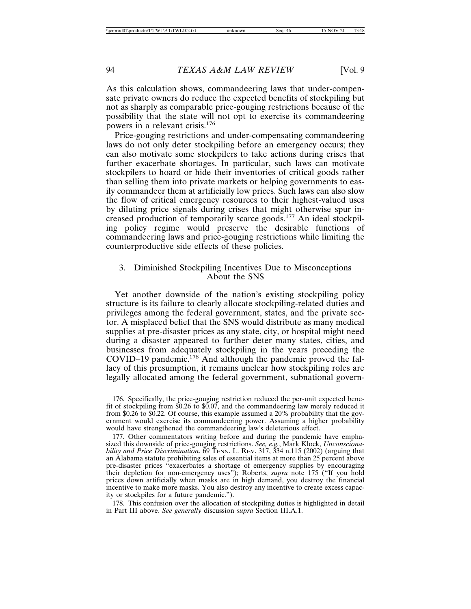As this calculation shows, commandeering laws that under-compensate private owners do reduce the expected benefits of stockpiling but not as sharply as comparable price-gouging restrictions because of the possibility that the state will not opt to exercise its commandeering powers in a relevant crisis.<sup>176</sup>

Price-gouging restrictions and under-compensating commandeering laws do not only deter stockpiling before an emergency occurs; they can also motivate some stockpilers to take actions during crises that further exacerbate shortages. In particular, such laws can motivate stockpilers to hoard or hide their inventories of critical goods rather than selling them into private markets or helping governments to easily commandeer them at artificially low prices. Such laws can also slow the flow of critical emergency resources to their highest-valued uses by diluting price signals during crises that might otherwise spur increased production of temporarily scarce goods.177 An ideal stockpiling policy regime would preserve the desirable functions of commandeering laws and price-gouging restrictions while limiting the counterproductive side effects of these policies.

## 3. Diminished Stockpiling Incentives Due to Misconceptions About the SNS

Yet another downside of the nation's existing stockpiling policy structure is its failure to clearly allocate stockpiling-related duties and privileges among the federal government, states, and the private sector. A misplaced belief that the SNS would distribute as many medical supplies at pre-disaster prices as any state, city, or hospital might need during a disaster appeared to further deter many states, cities, and businesses from adequately stockpiling in the years preceding the COVID–19 pandemic.178 And although the pandemic proved the fallacy of this presumption, it remains unclear how stockpiling roles are legally allocated among the federal government, subnational govern-

178. This confusion over the allocation of stockpiling duties is highlighted in detail in Part III above. *See generally* discussion *supra* Section III.A.1.

<sup>176.</sup> Specifically, the price-gouging restriction reduced the per-unit expected benefit of stockpiling from \$0.26 to \$0.07, and the commandeering law merely reduced it from \$0.26 to \$0.22. Of course, this example assumed a 20% probability that the government would exercise its commandeering power. Assuming a higher probability would have strengthened the commandeering law's deleterious effect.

<sup>177.</sup> Other commentators writing before and during the pandemic have emphasized this downside of price-gouging restrictions. *See, e.g.*, Mark Klock, *Unconscionability and Price Discrimination*, 69 TENN. L. REV. 317, 334 n.115 (2002) (arguing that an Alabama statute prohibiting sales of essential items at more than 25 percent above pre-disaster prices "exacerbates a shortage of emergency supplies by encouraging their depletion for non-emergency uses"); Roberts, *supra* note 175 ("If you hold prices down artificially when masks are in high demand, you destroy the financial incentive to make more masks. You also destroy any incentive to create excess capacity or stockpiles for a future pandemic.").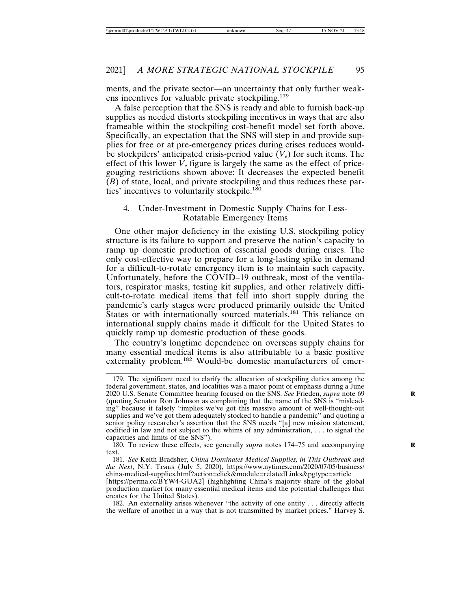ments, and the private sector—an uncertainty that only further weakens incentives for valuable private stockpiling.<sup>179</sup>

A false perception that the SNS is ready and able to furnish back-up supplies as needed distorts stockpiling incentives in ways that are also frameable within the stockpiling cost-benefit model set forth above. Specifically, an expectation that the SNS will step in and provide supplies for free or at pre-emergency prices during crises reduces wouldbe stockpilers' anticipated crisis-period value  $(V_e)$  for such items. The effect of this lower  $V_e$  figure is largely the same as the effect of pricegouging restrictions shown above: It decreases the expected benefit  $(B)$  of state, local, and private stockpiling and thus reduces these parties' incentives to voluntarily stockpile.<sup>180</sup>

#### 4. Under-Investment in Domestic Supply Chains for Less-Rotatable Emergency Items

One other major deficiency in the existing U.S. stockpiling policy structure is its failure to support and preserve the nation's capacity to ramp up domestic production of essential goods during crises. The only cost-effective way to prepare for a long-lasting spike in demand for a difficult-to-rotate emergency item is to maintain such capacity. Unfortunately, before the COVID–19 outbreak, most of the ventilators, respirator masks, testing kit supplies, and other relatively difficult-to-rotate medical items that fell into short supply during the pandemic's early stages were produced primarily outside the United States or with internationally sourced materials.<sup>181</sup> This reliance on international supply chains made it difficult for the United States to quickly ramp up domestic production of these goods.

The country's longtime dependence on overseas supply chains for many essential medical items is also attributable to a basic positive externality problem.<sup>182</sup> Would-be domestic manufacturers of emer-

180. To review these effects, see generally *supra* notes 174–75 and accompanying **R** text.

181. *See* Keith Bradsher, *China Dominates Medical Supplies, in This Outbreak and the Next*, N.Y. TIMES (July 5, 2020), https://www.nytimes.com/2020/07/05/business/ china-medical-supplies.html?action=click&module=relatedLinks&pgtype=article

[https://perma.cc/BYW4-GUA2] (highlighting China's majority share of the global production market for many essential medical items and the potential challenges that creates for the United States).

182. An externality arises whenever "the activity of one entity . . . directly affects the welfare of another in a way that is not transmitted by market prices." Harvey S.

<sup>179.</sup> The significant need to clarify the allocation of stockpiling duties among the federal government, states, and localities was a major point of emphasis during a June 2020 U.S. Senate Committee hearing focused on the SNS. *See* Frieden, *supra* note 69 **R** (quoting Senator Ron Johnson as complaining that the name of the SNS is "misleading" because it falsely "implies we've got this massive amount of well-thought-out supplies and we've got them adequately stocked to handle a pandemic" and quoting a senior policy researcher's assertion that the SNS needs "[a] new mission statement, codified in law and not subject to the whims of any administration, . . . to signal the capacities and limits of the SNS").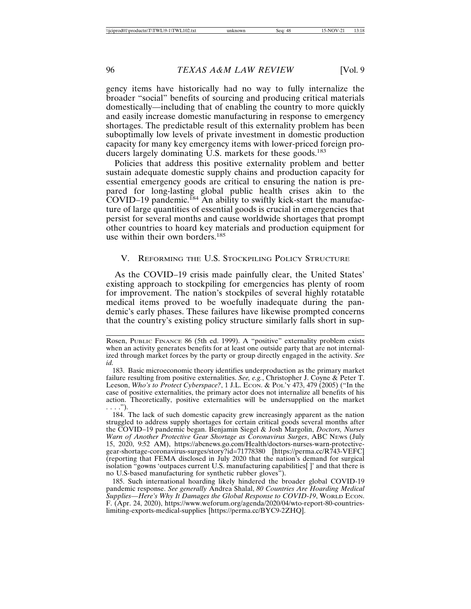gency items have historically had no way to fully internalize the broader "social" benefits of sourcing and producing critical materials domestically—including that of enabling the country to more quickly and easily increase domestic manufacturing in response to emergency shortages. The predictable result of this externality problem has been suboptimally low levels of private investment in domestic production capacity for many key emergency items with lower-priced foreign producers largely dominating U.S. markets for these goods.<sup>183</sup>

Policies that address this positive externality problem and better sustain adequate domestic supply chains and production capacity for essential emergency goods are critical to ensuring the nation is prepared for long-lasting global public health crises akin to the COVID–19 pandemic.<sup>184</sup> An ability to swiftly kick-start the manufacture of large quantities of essential goods is crucial in emergencies that persist for several months and cause worldwide shortages that prompt other countries to hoard key materials and production equipment for use within their own borders.<sup>185</sup>

## V. REFORMING THE U.S. STOCKPILING POLICY STRUCTURE

As the COVID–19 crisis made painfully clear, the United States' existing approach to stockpiling for emergencies has plenty of room for improvement. The nation's stockpiles of several highly rotatable medical items proved to be woefully inadequate during the pandemic's early phases. These failures have likewise prompted concerns that the country's existing policy structure similarly falls short in sup-

185. Such international hoarding likely hindered the broader global COVID-19 pandemic response. *See generally* Andrea Shalal, *80 Countries Are Hoarding Medical Supplies—Here's Why It Damages the Global Response to COVID-19*, WORLD ECON. F. (Apr. 24, 2020), https://www.weforum.org/agenda/2020/04/wto-report-80-countrieslimiting-exports-medical-supplies [https://perma.cc/BYC9-2ZHQ].

Rosen, PUBLIC FINANCE 86 (5th ed. 1999). A "positive" externality problem exists when an activity generates benefits for at least one outside party that are not internalized through market forces by the party or group directly engaged in the activity. *See id.*

<sup>183.</sup> Basic microeconomic theory identifies underproduction as the primary market failure resulting from positive externalities. *See, e.g.*, Christopher J. Coyne & Peter T. Leeson, *Who's to Protect Cyberspace?*, 1 J.L. Econ. & Pol.'Y 473, 479 (2005) ("In the case of positive externalities, the primary actor does not internalize all benefits of his action. Theoretically, positive externalities will be undersupplied on the market  $\ldots$ .").

<sup>184.</sup> The lack of such domestic capacity grew increasingly apparent as the nation struggled to address supply shortages for certain critical goods several months after the COVID–19 pandemic began. Benjamin Siegel & Josh Margolin, *Doctors, Nurses Warn of Another Protective Gear Shortage as Coronavirus Surges*, ABC NEWS (July 15, 2020, 9:52 AM), https://abcnews.go.com/Health/doctors-nurses-warn-protectivegear-shortage-coronavirus-surges/story?id=71778380 [https://perma.cc/R743-VEFC] (reporting that FEMA disclosed in July 2020 that the nation's demand for surgical isolation "gowns 'outpaces current U.S. manufacturing capabilities[ ]' and that there is no U.S-based manufacturing for synthetic rubber gloves").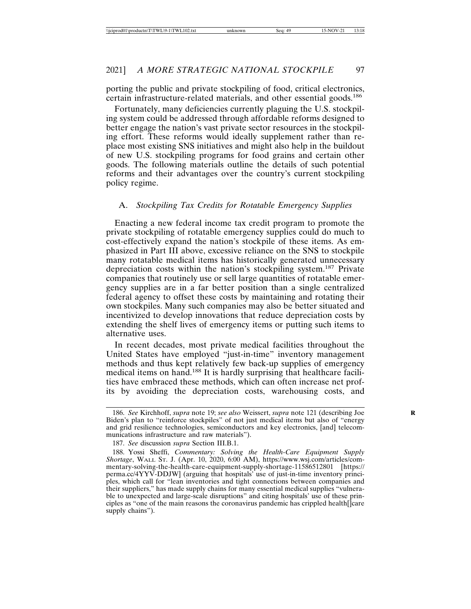porting the public and private stockpiling of food, critical electronics, certain infrastructure-related materials, and other essential goods.<sup>186</sup>

Fortunately, many deficiencies currently plaguing the U.S. stockpiling system could be addressed through affordable reforms designed to better engage the nation's vast private sector resources in the stockpiling effort. These reforms would ideally supplement rather than replace most existing SNS initiatives and might also help in the buildout of new U.S. stockpiling programs for food grains and certain other goods. The following materials outline the details of such potential reforms and their advantages over the country's current stockpiling policy regime.

## A. *Stockpiling Tax Credits for Rotatable Emergency Supplies*

Enacting a new federal income tax credit program to promote the private stockpiling of rotatable emergency supplies could do much to cost-effectively expand the nation's stockpile of these items. As emphasized in Part III above, excessive reliance on the SNS to stockpile many rotatable medical items has historically generated unnecessary depreciation costs within the nation's stockpiling system.<sup>187</sup> Private companies that routinely use or sell large quantities of rotatable emergency supplies are in a far better position than a single centralized federal agency to offset these costs by maintaining and rotating their own stockpiles. Many such companies may also be better situated and incentivized to develop innovations that reduce depreciation costs by extending the shelf lives of emergency items or putting such items to alternative uses.

In recent decades, most private medical facilities throughout the United States have employed "just-in-time" inventory management methods and thus kept relatively few back-up supplies of emergency medical items on hand.188 It is hardly surprising that healthcare facilities have embraced these methods, which can often increase net profits by avoiding the depreciation costs, warehousing costs, and

<sup>186.</sup> *See* Kirchhoff, *supra* note 19; *see also* Weissert, *supra* note 121 (describing Joe **R** Biden's plan to "reinforce stockpiles" of not just medical items but also of "energy and grid resilience technologies, semiconductors and key electronics, [and] telecommunications infrastructure and raw materials").

<sup>187.</sup> *See* discussion *supra* Section III.B.1.

<sup>188.</sup> Yossi Sheffi, *Commentary: Solving the Health-Care Equipment Supply Shortage*, WALL ST. J. (Apr. 10, 2020, 6:00 AM), https://www.wsj.com/articles/commentary-solving-the-health-care-equipment-supply-shortage-11586512801 [https:// perma.cc/4YYV-DDJW] (arguing that hospitals' use of just-in-time inventory principles, which call for "lean inventories and tight connections between companies and their suppliers," has made supply chains for many essential medical supplies "vulnerable to unexpected and large-scale disruptions" and citing hospitals' use of these principles as "one of the main reasons the coronavirus pandemic has crippled health[]care supply chains").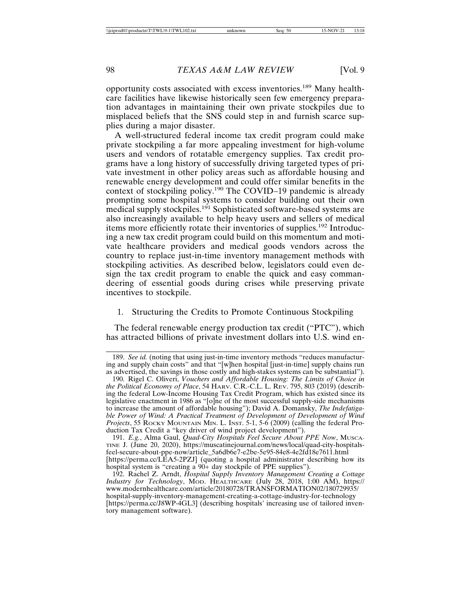opportunity costs associated with excess inventories.189 Many healthcare facilities have likewise historically seen few emergency preparation advantages in maintaining their own private stockpiles due to misplaced beliefs that the SNS could step in and furnish scarce supplies during a major disaster.

A well-structured federal income tax credit program could make private stockpiling a far more appealing investment for high-volume users and vendors of rotatable emergency supplies. Tax credit programs have a long history of successfully driving targeted types of private investment in other policy areas such as affordable housing and renewable energy development and could offer similar benefits in the context of stockpiling policy.<sup>190</sup> The COVID–19 pandemic is already prompting some hospital systems to consider building out their own medical supply stockpiles.<sup>191</sup> Sophisticated software-based systems are also increasingly available to help heavy users and sellers of medical items more efficiently rotate their inventories of supplies.<sup>192</sup> Introducing a new tax credit program could build on this momentum and motivate healthcare providers and medical goods vendors across the country to replace just-in-time inventory management methods with stockpiling activities. As described below, legislators could even design the tax credit program to enable the quick and easy commandeering of essential goods during crises while preserving private incentives to stockpile.

## 1. Structuring the Credits to Promote Continuous Stockpiling

The federal renewable energy production tax credit ("PTC"), which has attracted billions of private investment dollars into U.S. wind en-

<sup>189.</sup> *See id.* (noting that using just-in-time inventory methods "reduces manufacturing and supply chain costs" and that "[w]hen hospital [just-in-time] supply chains run as advertised, the savings in those costly and high-stakes systems can be substantial").

<sup>190.</sup> Rigel C. Oliveri, *Vouchers and Affordable Housing: The Limits of Choice in the Political Economy of Place*, 54 HARV. C.R.-C.L. L. REV. 795, 803 (2019) (describing the federal Low-Income Housing Tax Credit Program, which has existed since its legislative enactment in 1986 as "[o]ne of the most successful supply-side mechanisms to increase the amount of affordable housing"); David A. Domansky, *The Indefatigable Power of Wind: A Practical Treatment of Development of Development of Wind Projects*, 55 ROCKY MOUNTAIN MIN. L. INST. 5-1, 5-6 (2009) (calling the federal Production Tax Credit a "key driver of wind project development").

<sup>191.</sup> *E.g.*, Alma Gaul, *Quad-City Hospitals Feel Secure About PPE Now*, MUSCA-TINE J. (June 20, 2020), https://muscatinejournal.com/news/local/quad-city-hospitalsfeel-secure-about-ppe-now/article\_5a6db6e7-e2be-5e95-84e8-4e2fd18e7611.html [https://perma.cc/LEA5-2PZJ] (quoting a hospital administrator describing how its hospital system is "creating a  $90+$  day stockpile of PPE supplies").

<sup>192.</sup> Rachel Z. Arndt, *Hospital Supply Inventory Management Creating a Cottage Industry for Technology*, MOD. HEALTHCARE (July 28, 2018, 1:00 AM), https:// www.modernhealthcare.com/article/20180728/TRANSFORMATION02/180729935/ hospital-supply-inventory-management-creating-a-cottage-industry-for-technology [https://perma.cc/J8WP-4GL3] (describing hospitals' increasing use of tailored inventory management software).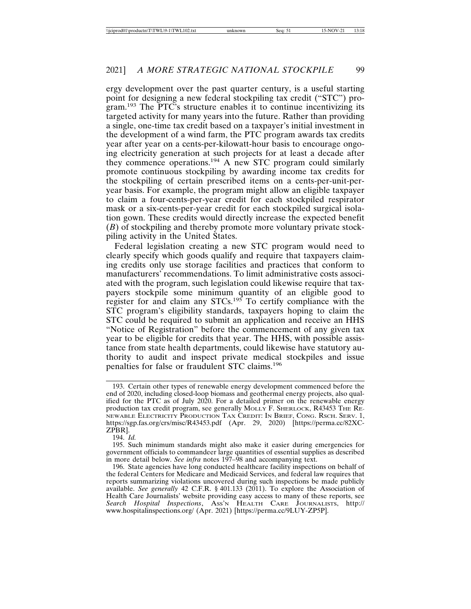ergy development over the past quarter century, is a useful starting point for designing a new federal stockpiling tax credit ("STC") program.193 The PTC's structure enables it to continue incentivizing its targeted activity for many years into the future. Rather than providing a single, one-time tax credit based on a taxpayer's initial investment in the development of a wind farm, the PTC program awards tax credits year after year on a cents-per-kilowatt-hour basis to encourage ongoing electricity generation at such projects for at least a decade after they commence operations.194 A new STC program could similarly promote continuous stockpiling by awarding income tax credits for the stockpiling of certain prescribed items on a cents-per-unit-peryear basis. For example, the program might allow an eligible taxpayer to claim a four-cents-per-year credit for each stockpiled respirator mask or a six-cents-per-year credit for each stockpiled surgical isolation gown. These credits would directly increase the expected benefit (*B*) of stockpiling and thereby promote more voluntary private stockpiling activity in the United States.

Federal legislation creating a new STC program would need to clearly specify which goods qualify and require that taxpayers claiming credits only use storage facilities and practices that conform to manufacturers' recommendations. To limit administrative costs associated with the program, such legislation could likewise require that taxpayers stockpile some minimum quantity of an eligible good to register for and claim any STCs.195 To certify compliance with the STC program's eligibility standards, taxpayers hoping to claim the STC could be required to submit an application and receive an HHS "Notice of Registration" before the commencement of any given tax year to be eligible for credits that year. The HHS, with possible assistance from state health departments, could likewise have statutory authority to audit and inspect private medical stockpiles and issue penalties for false or fraudulent STC claims.<sup>196</sup>

194. *Id.*

195. Such minimum standards might also make it easier during emergencies for government officials to commandeer large quantities of essential supplies as described in more detail below. *See infra* notes 197–98 and accompanying text.

<sup>193.</sup> Certain other types of renewable energy development commenced before the end of 2020, including closed-loop biomass and geothermal energy projects, also qualified for the PTC as of July 2020. For a detailed primer on the renewable energy production tax credit program, see generally MOLLY F. SHERLOCK, R43453 THE RE-NEWABLE ELECTRICITY PRODUCTION TAX CREDIT: IN BRIEF, CONG. RSCH. SERV. 1, https://sgp.fas.org/crs/misc/R43453.pdf (Apr. 29, 2020) [https://perma.cc/82XC-ZPBR].

<sup>196.</sup> State agencies have long conducted healthcare facility inspections on behalf of the federal Centers for Medicare and Medicaid Services, and federal law requires that reports summarizing violations uncovered during such inspections be made publicly available. *See generally* 42 C.F.R. § 401.133 (2011). To explore the Association of Health Care Journalists' website providing easy access to many of these reports, see *Search Hospital Inspections*, ASS'N HEALTH CARE JOURNALISTS, http:// www.hospitalinspections.org/ (Apr. 2021) [https://perma.cc/9LUY-ZP5P].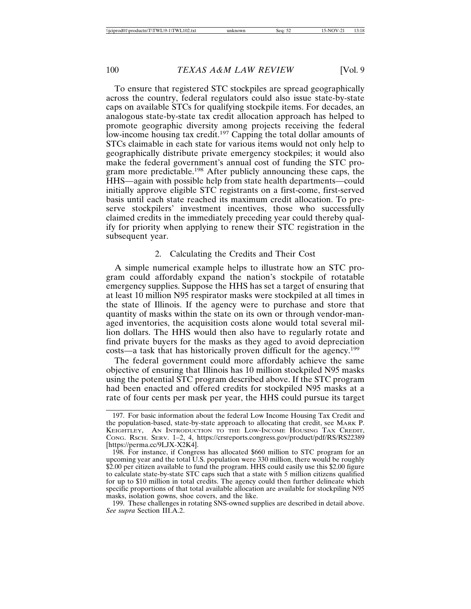To ensure that registered STC stockpiles are spread geographically across the country, federal regulators could also issue state-by-state caps on available STCs for qualifying stockpile items. For decades, an analogous state-by-state tax credit allocation approach has helped to promote geographic diversity among projects receiving the federal low-income housing tax credit.<sup>197</sup> Capping the total dollar amounts of STCs claimable in each state for various items would not only help to geographically distribute private emergency stockpiles; it would also make the federal government's annual cost of funding the STC program more predictable.198 After publicly announcing these caps, the HHS—again with possible help from state health departments—could initially approve eligible STC registrants on a first-come, first-served basis until each state reached its maximum credit allocation. To preserve stockpilers' investment incentives, those who successfully claimed credits in the immediately preceding year could thereby qualify for priority when applying to renew their STC registration in the subsequent year.

## 2. Calculating the Credits and Their Cost

A simple numerical example helps to illustrate how an STC program could affordably expand the nation's stockpile of rotatable emergency supplies. Suppose the HHS has set a target of ensuring that at least 10 million N95 respirator masks were stockpiled at all times in the state of Illinois. If the agency were to purchase and store that quantity of masks within the state on its own or through vendor-managed inventories, the acquisition costs alone would total several million dollars. The HHS would then also have to regularly rotate and find private buyers for the masks as they aged to avoid depreciation costs—a task that has historically proven difficult for the agency.<sup>199</sup>

The federal government could more affordably achieve the same objective of ensuring that Illinois has 10 million stockpiled N95 masks using the potential STC program described above. If the STC program had been enacted and offered credits for stockpiled N95 masks at a rate of four cents per mask per year, the HHS could pursue its target

<sup>197.</sup> For basic information about the federal Low Income Housing Tax Credit and the population-based, state-by-state approach to allocating that credit, see MARK P. KEIGHTLEY, AN INTRODUCTION TO THE LOW-INCOME HOUSING TAX CREDIT, CONG. RSCH. SERV. 1–2, 4, https://crsreports.congress.gov/product/pdf/RS/RS22389 [https://perma.cc/9LJX-X2K4].

<sup>198.</sup> For instance, if Congress has allocated \$660 million to STC program for an upcoming year and the total U.S. population were 330 million, there would be roughly \$2.00 per citizen available to fund the program. HHS could easily use this \$2.00 figure to calculate state-by-state STC caps such that a state with 5 million citizens qualified for up to \$10 million in total credits. The agency could then further delineate which specific proportions of that total available allocation are available for stockpiling N95 masks, isolation gowns, shoe covers, and the like.

<sup>199.</sup> These challenges in rotating SNS-owned supplies are described in detail above. *See supra* Section III.A.2.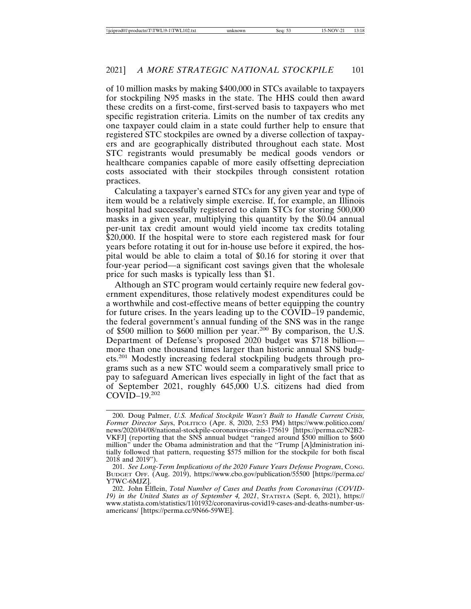of 10 million masks by making \$400,000 in STCs available to taxpayers for stockpiling N95 masks in the state. The HHS could then award these credits on a first-come, first-served basis to taxpayers who met specific registration criteria. Limits on the number of tax credits any one taxpayer could claim in a state could further help to ensure that registered STC stockpiles are owned by a diverse collection of taxpayers and are geographically distributed throughout each state. Most STC registrants would presumably be medical goods vendors or healthcare companies capable of more easily offsetting depreciation costs associated with their stockpiles through consistent rotation practices.

Calculating a taxpayer's earned STCs for any given year and type of item would be a relatively simple exercise. If, for example, an Illinois hospital had successfully registered to claim STCs for storing 500,000 masks in a given year, multiplying this quantity by the \$0.04 annual per-unit tax credit amount would yield income tax credits totaling \$20,000. If the hospital were to store each registered mask for four years before rotating it out for in-house use before it expired, the hospital would be able to claim a total of \$0.16 for storing it over that four-year period—a significant cost savings given that the wholesale price for such masks is typically less than \$1.

Although an STC program would certainly require new federal government expenditures, those relatively modest expenditures could be a worthwhile and cost-effective means of better equipping the country for future crises. In the years leading up to the COVID–19 pandemic, the federal government's annual funding of the SNS was in the range of \$500 million to \$600 million per year.200 By comparison, the U.S. Department of Defense's proposed 2020 budget was \$718 billion more than one thousand times larger than historic annual SNS budgets.201 Modestly increasing federal stockpiling budgets through programs such as a new STC would seem a comparatively small price to pay to safeguard American lives especially in light of the fact that as of September 2021, roughly 645,000 U.S. citizens had died from COVID–19.<sup>202</sup>

<sup>200.</sup> Doug Palmer, *U.S. Medical Stockpile Wasn't Built to Handle Current Crisis, Former Director Say*s, POLITICO (Apr. 8, 2020, 2:53 PM) https://www.politico.com/ news/2020/04/08/national-stockpile-coronavirus-crisis-175619 [https://perma.cc/N2B2- VKFJ] (reporting that the SNS annual budget "ranged around \$500 million to \$600 million" under the Obama administration and that the "Trump [A]dministration initially followed that pattern, requesting \$575 million for the stockpile for both fiscal 2018 and 2019").

<sup>201.</sup> *See Long-Term Implications of the 2020 Future Years Defense Program*, CONG. BUDGET OFF. (Aug. 2019), https://www.cbo.gov/publication/55500 [https://perma.cc/ Y7WC-6MJZ].

<sup>202.</sup> John Elflein, *Total Number of Cases and Deaths from Coronavirus (COVID-19) in the United States as of September 4, 2021*, STATISTA (Sept. 6, 2021), https:// www.statista.com/statistics/1101932/coronavirus-covid19-cases-and-deaths-number-usamericans/ [https://perma.cc/9N66-59WE].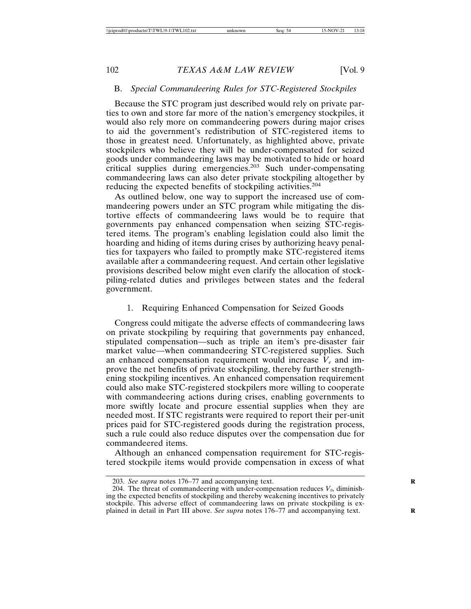#### B. *Special Commandeering Rules for STC-Registered Stockpiles*

Because the STC program just described would rely on private parties to own and store far more of the nation's emergency stockpiles, it would also rely more on commandeering powers during major crises to aid the government's redistribution of STC-registered items to those in greatest need. Unfortunately, as highlighted above, private stockpilers who believe they will be under-compensated for seized goods under commandeering laws may be motivated to hide or hoard critical supplies during emergencies.203 Such under-compensating commandeering laws can also deter private stockpiling altogether by reducing the expected benefits of stockpiling activities.<sup>204</sup>

As outlined below, one way to support the increased use of commandeering powers under an STC program while mitigating the distortive effects of commandeering laws would be to require that governments pay enhanced compensation when seizing STC-registered items. The program's enabling legislation could also limit the hoarding and hiding of items during crises by authorizing heavy penalties for taxpayers who failed to promptly make STC-registered items available after a commandeering request. And certain other legislative provisions described below might even clarify the allocation of stockpiling-related duties and privileges between states and the federal government.

#### 1. Requiring Enhanced Compensation for Seized Goods

Congress could mitigate the adverse effects of commandeering laws on private stockpiling by requiring that governments pay enhanced, stipulated compensation—such as triple an item's pre-disaster fair market value—when commandeering STC-registered supplies. Such an enhanced compensation requirement would increase  $V_e$  and improve the net benefits of private stockpiling, thereby further strengthening stockpiling incentives. An enhanced compensation requirement could also make STC-registered stockpilers more willing to cooperate with commandeering actions during crises, enabling governments to more swiftly locate and procure essential supplies when they are needed most. If STC registrants were required to report their per-unit prices paid for STC-registered goods during the registration process, such a rule could also reduce disputes over the compensation due for commandeered items.

Although an enhanced compensation requirement for STC-registered stockpile items would provide compensation in excess of what

<sup>203.</sup> *See supra* notes 176–77 and accompanying text. **R**

<sup>204.</sup> The threat of commandeering with under-compensation reduces  $V_0$ , diminishing the expected benefits of stockpiling and thereby weakening incentives to privately stockpile. This adverse effect of commandeering laws on private stockpiling is explained in detail in Part III above. *See supra* notes 176–77 and accompanying text. **R**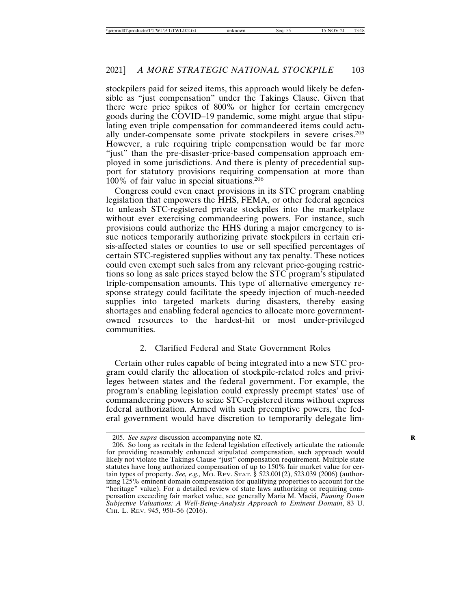stockpilers paid for seized items, this approach would likely be defensible as "just compensation" under the Takings Clause. Given that there were price spikes of 800% or higher for certain emergency goods during the COVID–19 pandemic, some might argue that stipulating even triple compensation for commandeered items could actually under-compensate some private stockpilers in severe crises.<sup>205</sup> However, a rule requiring triple compensation would be far more "just" than the pre-disaster-price-based compensation approach employed in some jurisdictions. And there is plenty of precedential support for statutory provisions requiring compensation at more than 100% of fair value in special situations.<sup>206</sup>

Congress could even enact provisions in its STC program enabling legislation that empowers the HHS, FEMA, or other federal agencies to unleash STC-registered private stockpiles into the marketplace without ever exercising commandeering powers. For instance, such provisions could authorize the HHS during a major emergency to issue notices temporarily authorizing private stockpilers in certain crisis-affected states or counties to use or sell specified percentages of certain STC-registered supplies without any tax penalty. These notices could even exempt such sales from any relevant price-gouging restrictions so long as sale prices stayed below the STC program's stipulated triple-compensation amounts. This type of alternative emergency response strategy could facilitate the speedy injection of much-needed supplies into targeted markets during disasters, thereby easing shortages and enabling federal agencies to allocate more governmentowned resources to the hardest-hit or most under-privileged communities.

### 2. Clarified Federal and State Government Roles

Certain other rules capable of being integrated into a new STC program could clarify the allocation of stockpile-related roles and privileges between states and the federal government. For example, the program's enabling legislation could expressly preempt states' use of commandeering powers to seize STC-registered items without express federal authorization. Armed with such preemptive powers, the federal government would have discretion to temporarily delegate lim-

<sup>205.</sup> *See supra* discussion accompanying note 82. **R**

<sup>206.</sup> So long as recitals in the federal legislation effectively articulate the rationale for providing reasonably enhanced stipulated compensation, such approach would likely not violate the Takings Clause "just" compensation requirement. Multiple state statutes have long authorized compensation of up to 150% fair market value for certain types of property. *See, e.g.,* MO. REV. STAT. § 523.001(2), 523.039 (2006) (authorizing 125% eminent domain compensation for qualifying properties to account for the "heritage" value). For a detailed review of state laws authorizing or requiring compensation exceeding fair market value, see generally Maria M. Maciá, *Pinning Down Subjective Valuations: A Well-Being-Analysis Approach to Eminent Domain*, 83 U. CHI. L. REV. 945, 950–56 (2016).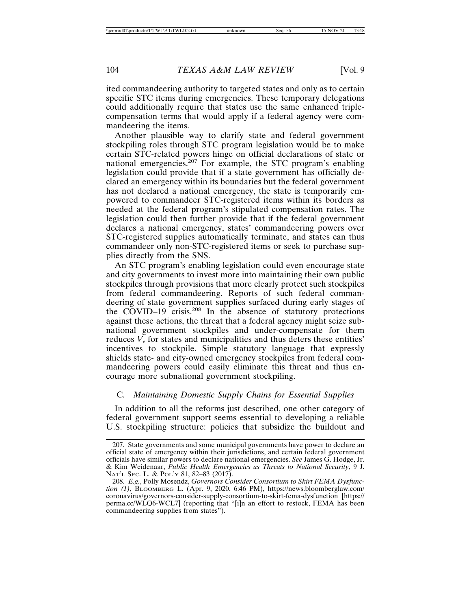ited commandeering authority to targeted states and only as to certain specific STC items during emergencies. These temporary delegations could additionally require that states use the same enhanced triplecompensation terms that would apply if a federal agency were commandeering the items.

Another plausible way to clarify state and federal government stockpiling roles through STC program legislation would be to make certain STC-related powers hinge on official declarations of state or national emergencies.<sup>207</sup> For example, the STC program's enabling legislation could provide that if a state government has officially declared an emergency within its boundaries but the federal government has not declared a national emergency, the state is temporarily empowered to commandeer STC-registered items within its borders as needed at the federal program's stipulated compensation rates. The legislation could then further provide that if the federal government declares a national emergency, states' commandeering powers over STC-registered supplies automatically terminate, and states can thus commandeer only non-STC-registered items or seek to purchase supplies directly from the SNS.

An STC program's enabling legislation could even encourage state and city governments to invest more into maintaining their own public stockpiles through provisions that more clearly protect such stockpiles from federal commandeering. Reports of such federal commandeering of state government supplies surfaced during early stages of the COVID–19 crisis.<sup>208</sup> In the absence of statutory protections against these actions, the threat that a federal agency might seize subnational government stockpiles and under-compensate for them reduces  $V_e$  for states and municipalities and thus deters these entities' incentives to stockpile. Simple statutory language that expressly shields state- and city-owned emergency stockpiles from federal commandeering powers could easily eliminate this threat and thus encourage more subnational government stockpiling.

## C. *Maintaining Domestic Supply Chains for Essential Supplies*

In addition to all the reforms just described, one other category of federal government support seems essential to developing a reliable U.S. stockpiling structure: policies that subsidize the buildout and

<sup>207.</sup> State governments and some municipal governments have power to declare an official state of emergency within their jurisdictions, and certain federal government officials have similar powers to declare national emergencies. *See* James G. Hodge, Jr. & Kim Weidenaar, *Public Health Emergencies as Threats to National Security*, 9 J. NAT'L SEC. L. & POL'Y 81, 82–83 (2017).

<sup>208.</sup> *E.g.*, Polly Mosendz, *Governors Consider Consortium to Skirt FEMA Dysfunction (1)*, BLOOMBERG L. (Apr. 9, 2020, 6:46 PM), https://news.bloomberglaw.com/ coronavirus/governors-consider-supply-consortium-to-skirt-fema-dysfunction [https:// perma.cc/WLQ6-WCL7] (reporting that "[i]n an effort to restock, FEMA has been commandeering supplies from states").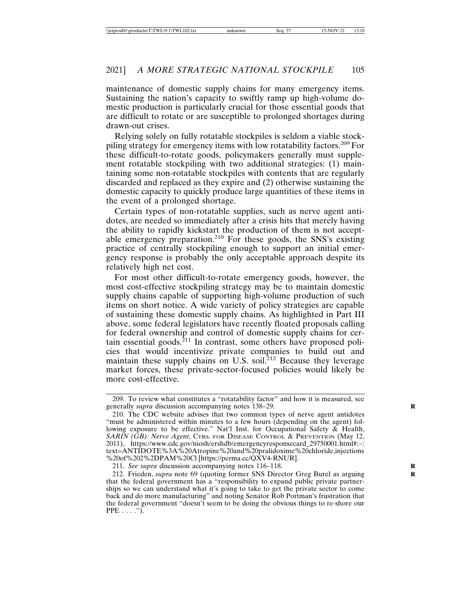maintenance of domestic supply chains for many emergency items. Sustaining the nation's capacity to swiftly ramp up high-volume domestic production is particularly crucial for those essential goods that are difficult to rotate or are susceptible to prolonged shortages during drawn-out crises.

Relying solely on fully rotatable stockpiles is seldom a viable stockpiling strategy for emergency items with low rotatability factors.209 For these difficult-to-rotate goods, policymakers generally must supplement rotatable stockpiling with two additional strategies: (1) maintaining some non-rotatable stockpiles with contents that are regularly discarded and replaced as they expire and (2) otherwise sustaining the domestic capacity to quickly produce large quantities of these items in the event of a prolonged shortage.

Certain types of non-rotatable supplies, such as nerve agent antidotes, are needed so immediately after a crisis hits that merely having the ability to rapidly kickstart the production of them is not acceptable emergency preparation.210 For these goods, the SNS's existing practice of centrally stockpiling enough to support an initial emergency response is probably the only acceptable approach despite its relatively high net cost.

For most other difficult-to-rotate emergency goods, however, the most cost-effective stockpiling strategy may be to maintain domestic supply chains capable of supporting high-volume production of such items on short notice. A wide variety of policy strategies are capable of sustaining these domestic supply chains. As highlighted in Part III above, some federal legislators have recently floated proposals calling for federal ownership and control of domestic supply chains for certain essential goods. ${}^{211}$  In contrast, some others have proposed policies that would incentivize private companies to build out and maintain these supply chains on U.S. soil. ${}^{212}$  Because they leverage market forces, these private-sector-focused policies would likely be more cost-effective.

<sup>209.</sup> To review what constitutes a "rotatability factor" and how it is measured, see generally *supra* discussion accompanying notes 138–29. **R**

<sup>210.</sup> The CDC website advises that two common types of nerve agent antidotes "must be administered within minutes to a few hours (depending on the agent) following exposure to be effective." Nat'l Inst. for Occupational Safety & Health, *SARIN (GB): Nerve Agent*, CTRS. FOR DISEASE CONTROL & PREVENTION (May 12, 2011), https://www.cdc.gov/niosh/ershdb/emergencyresponsecard\_29750001.html#:~: text=ANTIDOTE%3A%20Atropine%20and%20pralidoxime%20chloride,injections %20of%202%2DPAM%20Cl [https://perma.cc/QXV4-RNUR].

<sup>211.</sup> *See supra* discussion accompanying notes 116–118.

<sup>212.</sup> Frieden, *supra* note 69 (quoting former SNS Director Greg Burel as arguing **R** that the federal government has a "responsibility to expand public private partnerships so we can understand what it's going to take to get the private sector to come back and do more manufacturing" and noting Senator Rob Portman's frustration that the federal government "doesn't seem to be doing the obvious things to re-shore our  $PPE \ldots$ ").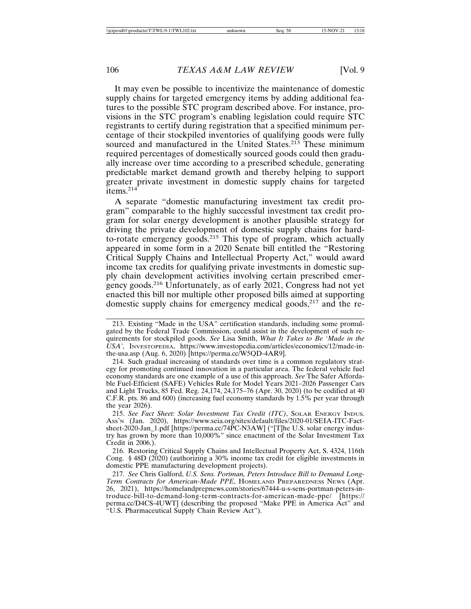It may even be possible to incentivize the maintenance of domestic supply chains for targeted emergency items by adding additional features to the possible STC program described above. For instance, provisions in the STC program's enabling legislation could require STC registrants to certify during registration that a specified minimum percentage of their stockpiled inventories of qualifying goods were fully sourced and manufactured in the United States.<sup>213</sup> These minimum required percentages of domestically sourced goods could then gradually increase over time according to a prescribed schedule, generating predictable market demand growth and thereby helping to support greater private investment in domestic supply chains for targeted items.214

A separate "domestic manufacturing investment tax credit program" comparable to the highly successful investment tax credit program for solar energy development is another plausible strategy for driving the private development of domestic supply chains for hardto-rotate emergency goods.215 This type of program, which actually appeared in some form in a 2020 Senate bill entitled the "Restoring Critical Supply Chains and Intellectual Property Act," would award income tax credits for qualifying private investments in domestic supply chain development activities involving certain prescribed emergency goods.216 Unfortunately, as of early 2021, Congress had not yet enacted this bill nor multiple other proposed bills aimed at supporting domestic supply chains for emergency medical goods, $217$  and the re-

<sup>213.</sup> Existing "Made in the USA" certification standards, including some promulgated by the Federal Trade Commission, could assist in the development of such requirements for stockpiled goods. *See* Lisa Smith, *What It Takes to Be 'Made in the USA'*, INVESTOPEDIA, https://www.investopedia.com/articles/economics/12/made-inthe-usa.asp (Aug. 6, 2020) [https://perma.cc/W5QD-4AR9].

<sup>214.</sup> Such gradual increasing of standards over time is a common regulatory strategy for promoting continued innovation in a particular area. The federal vehicle fuel economy standards are one example of a use of this approach. *See* The Safer Affordable Fuel-Efficient (SAFE) Vehicles Rule for Model Years 2021–2026 Passenger Cars and Light Trucks, 85 Fed. Reg. 24,174, 24,175–76 (Apr. 30, 2020) (to be codified at 40 C.F.R. pts. 86 and 600) (increasing fuel economy standards by 1.5% per year through the year 2026).

<sup>215.</sup> *See Fact Sheet: Solar Investment Tax Credit (ITC)*, SOLAR ENERGY INDUS. ASS'N (Jan. 2020), https://www.seia.org/sites/default/files/2020-01/SEIA-ITC-Factsheet-2020-Jan\_1.pdf [https://perma.cc/74PC-N3AW] ("[T]he U.S. solar energy industry has grown by more than 10,000%" since enactment of the Solar Investment Tax Credit in 2006.).

<sup>216.</sup> Restoring Critical Supply Chains and Intellectual Property Act, S. 4324, 116th Cong. § 48D (2020) (authorizing a 30% income tax credit for eligible investments in domestic PPE manufacturing development projects).

<sup>217.</sup> *See* Chris Galford, *U.S. Sens. Portman, Peters Introduce Bill to Demand Long-Term Contracts for American-Made PPE*, HOMELAND PREPAREDNESS NEWS (Apr. 26, 2021), https://homelandprepnews.com/stories/67444-u-s-sens-portman-peters-introduce-bill-to-demand-long-term-contracts-for-american-made-ppe/ [https:// perma.cc/D4CS-4UWT] (describing the proposed "Make PPE in America Act" and "U.S. Pharmaceutical Supply Chain Review Act").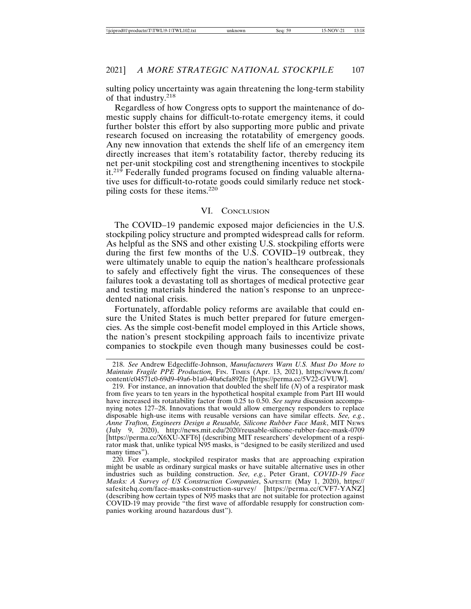sulting policy uncertainty was again threatening the long-term stability of that industry.<sup>218</sup>

Regardless of how Congress opts to support the maintenance of domestic supply chains for difficult-to-rotate emergency items, it could further bolster this effort by also supporting more public and private research focused on increasing the rotatability of emergency goods. Any new innovation that extends the shelf life of an emergency item directly increases that item's rotatability factor, thereby reducing its net per-unit stockpiling cost and strengthening incentives to stockpile it.219 Federally funded programs focused on finding valuable alternative uses for difficult-to-rotate goods could similarly reduce net stockpiling costs for these items.<sup>220</sup>

## VI. CONCLUSION

The COVID–19 pandemic exposed major deficiencies in the U.S. stockpiling policy structure and prompted widespread calls for reform. As helpful as the SNS and other existing U.S. stockpiling efforts were during the first few months of the U.S. COVID–19 outbreak, they were ultimately unable to equip the nation's healthcare professionals to safely and effectively fight the virus. The consequences of these failures took a devastating toll as shortages of medical protective gear and testing materials hindered the nation's response to an unprecedented national crisis.

Fortunately, affordable policy reforms are available that could ensure the United States is much better prepared for future emergencies. As the simple cost-benefit model employed in this Article shows, the nation's present stockpiling approach fails to incentivize private companies to stockpile even though many businesses could be cost-

<sup>218.</sup> *See* Andrew Edgecliffe-Johnson, *Manufacturers Warn U.S. Must Do More to Maintain Fragile PPE Production,* FIN. TIMES (Apr. 13, 2021), https://www.ft.com/ content/c04571c0-69d9-49a6-b1a0-40a6cfa892fe [https://perma.cc/5V22-GVUW].

<sup>219.</sup> For instance, an innovation that doubled the shelf life (*N*) of a respirator mask from five years to ten years in the hypothetical hospital example from Part III would have increased its rotatability factor from 0.25 to 0.50. *See supra* discussion accompanying notes 127–28. Innovations that would allow emergency responders to replace disposable high-use items with reusable versions can have similar effects. *See, e.g.*, *Anne Trafton, Engineers Design a Reusable, Silicone Rubber Face Mask*, MIT NEWS (July 9, 2020), http://news.mit.edu/2020/reusable-silicone-rubber-face-mask-0709 [https://perma.cc/X6XU-XFT6] (describing MIT researchers' development of a respirator mask that, unlike typical N95 masks, is "designed to be easily sterilized and used many times").

<sup>220.</sup> For example, stockpiled respirator masks that are approaching expiration might be usable as ordinary surgical masks or have suitable alternative uses in other industries such as building construction. *See, e.g.*, Peter Grant, *COVID-19 Face Masks: A Survey of US Construction Companies*, SAFESITE (May 1, 2020), https:// safesitehq.com/face-masks-construction-survey/ [https://perma.cc/CVF7-YANZ] (describing how certain types of N95 masks that are not suitable for protection against COVID-19 may provide "the first wave of affordable resupply for construction companies working around hazardous dust").